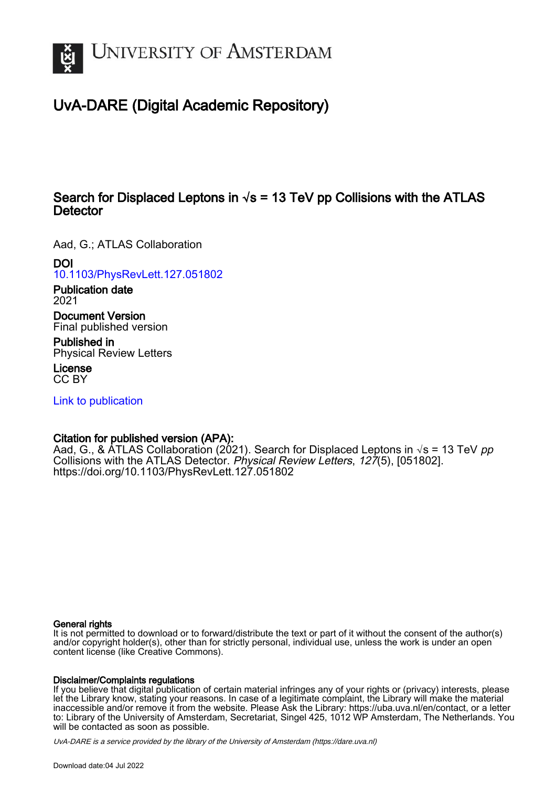

# UvA-DARE (Digital Academic Repository)

### Search for Displaced Leptons in  $\sqrt{s}$  = 13 TeV pp Collisions with the ATLAS **Detector**

Aad, G.; ATLAS Collaboration

DOI

[10.1103/PhysRevLett.127.051802](https://doi.org/10.1103/PhysRevLett.127.051802)

Publication date 2021

Document Version Final published version

Published in Physical Review Letters

License CC BY

[Link to publication](https://dare.uva.nl/personal/pure/en/publications/search-for-displaced-leptons-in-s--13-tev-pp-collisions-with-the-atlas-detector(89d9406f-f796-418f-941f-b29c71a4c825).html)

### Citation for published version (APA):

Aad, G., & ATLAS Collaboration (2021). Search for Displaced Leptons in  $\sqrt{s}$  = 13 TeV pp Collisions with the ATLAS Detector. Physical Review Letters, 127(5), [051802]. <https://doi.org/10.1103/PhysRevLett.127.051802>

#### General rights

It is not permitted to download or to forward/distribute the text or part of it without the consent of the author(s) and/or copyright holder(s), other than for strictly personal, individual use, unless the work is under an open content license (like Creative Commons).

#### Disclaimer/Complaints regulations

If you believe that digital publication of certain material infringes any of your rights or (privacy) interests, please let the Library know, stating your reasons. In case of a legitimate complaint, the Library will make the material inaccessible and/or remove it from the website. Please Ask the Library: https://uba.uva.nl/en/contact, or a letter to: Library of the University of Amsterdam, Secretariat, Singel 425, 1012 WP Amsterdam, The Netherlands. You will be contacted as soon as possible.

UvA-DARE is a service provided by the library of the University of Amsterdam (http*s*://dare.uva.nl)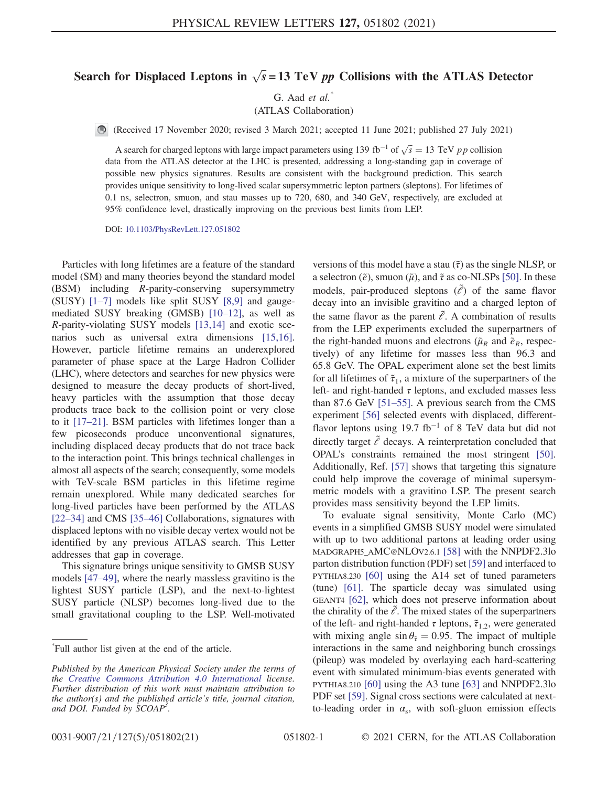## Search for Displaced Leptons in  $\sqrt{s} = 13$  TeV pp Collisions with the ATLAS Detector

G. Aad  $et$  al.<sup>\*</sup>

(ATLAS Collaboration)

(Received 17 November 2020; revised 3 March 2021; accepted 11 June 2021; published 27 July 2021)

A search for charged leptons with large impact parameters using 139 fb<sup>-1</sup> of  $\sqrt{s} = 13$  TeV pp collision data from the ATLAS detector at the LHC is presented, addressing a long-standing gap in coverage of possible new physics signatures. Results are consistent with the background prediction. This search provides unique sensitivity to long-lived scalar supersymmetric lepton partners (sleptons). For lifetimes of 0.1 ns, selectron, smuon, and stau masses up to 720, 680, and 340 GeV, respectively, are excluded at 95% confidence level, drastically improving on the previous best limits from LEP.

DOI: [10.1103/PhysRevLett.127.051802](https://doi.org/10.1103/PhysRevLett.127.051802)

Particles with long lifetimes are a feature of the standard model (SM) and many theories beyond the standard model (BSM) including R-parity-conserving supersymmetry (SUSY) [\[1](#page-6-0)–7] models like split SUSY [\[8,9\]](#page-6-1) and gaugemediated SUSY breaking (GMSB) [10–[12\]](#page-6-2), as well as R-parity-violating SUSY models [\[13,14\]](#page-6-3) and exotic scenarios such as universal extra dimensions [\[15,16\]](#page-6-4). However, particle lifetime remains an underexplored parameter of phase space at the Large Hadron Collider (LHC), where detectors and searches for new physics were designed to measure the decay products of short-lived, heavy particles with the assumption that those decay products trace back to the collision point or very close to it [17–[21\].](#page-6-5) BSM particles with lifetimes longer than a few picoseconds produce unconventional signatures, including displaced decay products that do not trace back to the interaction point. This brings technical challenges in almost all aspects of the search; consequently, some models with TeV-scale BSM particles in this lifetime regime remain unexplored. While many dedicated searches for long-lived particles have been performed by the ATLAS [\[22](#page-6-6)–34] and CMS [35–[46\]](#page-7-0) Collaborations, signatures with displaced leptons with no visible decay vertex would not be identified by any previous ATLAS search. This Letter addresses that gap in coverage.

This signature brings unique sensitivity to GMSB SUSY models [47–[49\],](#page-7-1) where the nearly massless gravitino is the lightest SUSY particle (LSP), and the next-to-lightest SUSY particle (NLSP) becomes long-lived due to the small gravitational coupling to the LSP. Well-motivated

versions of this model have a stau  $(\tilde{\tau})$  as the single NLSP, or a selectron ( $\tilde{e}$ ), smuon ( $\tilde{\mu}$ ), and  $\tilde{\tau}$  as co-NLSPs [\[50\].](#page-7-2) In these models, pair-produced sleptons  $(\tilde{\ell})$  of the same flavor decay into an invisible gravitino and a charged lepton of the same flavor as the parent  $\tilde{e}$ . A combination of results from the LEP experiments excluded the superpartners of the right-handed muons and electrons ( $\tilde{\mu}_R$  and  $\tilde{e}_R$ , respectively) of any lifetime for masses less than 96.3 and 65.8 GeV. The OPAL experiment alone set the best limits for all lifetimes of  $\tilde{\tau}_1$ , a mixture of the superpartners of the left- and right-handed  $\tau$  leptons, and excluded masses less than 87.6 GeV [51–[55\].](#page-7-3) A previous search from the CMS experiment [\[56\]](#page-7-4) selected events with displaced, differentflavor leptons using 19.7 fb<sup>-1</sup> of 8 TeV data but did not directly target  $\tilde{e}$  decays. A reinterpretation concluded that OPAL's constraints remained the most stringent [\[50\]](#page-7-2). Additionally, Ref. [\[57\]](#page-7-5) shows that targeting this signature could help improve the coverage of minimal supersymmetric models with a gravitino LSP. The present search provides mass sensitivity beyond the LEP limits.

To evaluate signal sensitivity, Monte Carlo (MC) events in a simplified GMSB SUSY model were simulated with up to two additional partons at leading order using MADGRAPH5\_AMC@NLOV2.6.1 [\[58\]](#page-7-6) with the NNPDF2.3lo parton distribution function (PDF) set [\[59\]](#page-8-0) and interfaced to PYTHIA8.230 [\[60\]](#page-8-1) using the A14 set of tuned parameters (tune) [\[61\].](#page-8-2) The sparticle decay was simulated using GEANT4 [\[62\],](#page-8-3) which does not preserve information about the chirality of the  $\tilde{e}$ . The mixed states of the superpartners of the left- and right-handed  $\tau$  leptons,  $\tilde{\tau}_{1,2}$ , were generated with mixing angle  $\sin \theta_{\tilde{\tau}} = 0.95$ . The impact of multiple interactions in the same and neighboring bunch crossings (pileup) was modeled by overlaying each hard-scattering event with simulated minimum-bias events generated with PYTHIA8.210 [\[60\]](#page-8-1) using the A3 tune [\[63\]](#page-8-4) and NNPDF2.3lo PDF set [\[59\].](#page-8-0) Signal cross sections were calculated at nextto-leading order in  $\alpha_s$ , with soft-gluon emission effects

<sup>\*</sup> Full author list given at the end of the article.

Published by the American Physical Society under the terms of the [Creative Commons Attribution 4.0 International](https://creativecommons.org/licenses/by/4.0/) license. Further distribution of this work must maintain attribution to the author(s) and the published article's title, journal citation, and DOI. Funded by SCOAP<sup>3</sup>.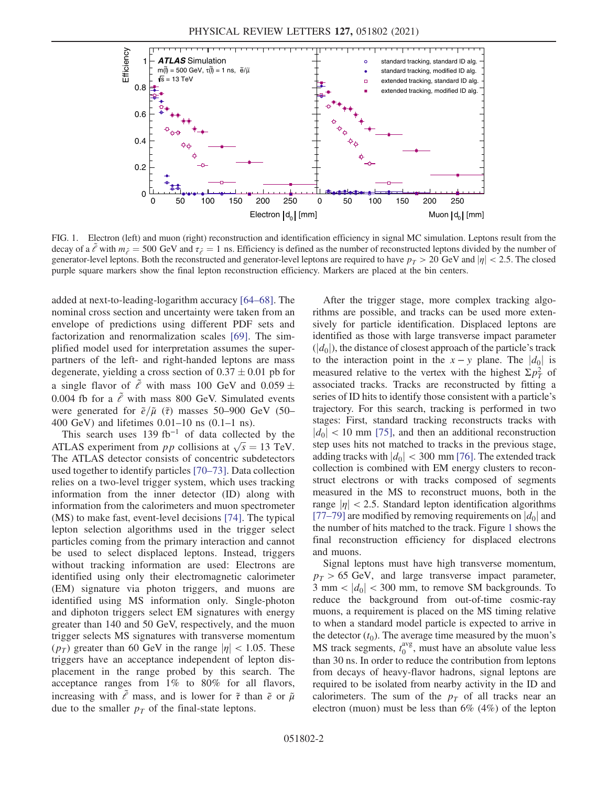<span id="page-2-0"></span>

FIG. 1. Electron (left) and muon (right) reconstruction and identification efficiency in signal MC simulation. Leptons result from the decay of a  $\ell$  with  $m_{\tilde{\ell}} = 500$  GeV and  $\tau_{\tilde{\ell}} = 1$  ns. Efficiency is defined as the number of reconstructed leptons divided by the number of generator-level leptons. Both the reconstructed and generator-level leptons are required to have  $p_T > 20$  GeV and  $|\eta| < 2.5$ . The closed purple square markers show the final lepton reconstruction efficiency. Markers are placed at the bin centers.

added at next-to-leading-logarithm accuracy [64–[68\].](#page-8-5) The nominal cross section and uncertainty were taken from an envelope of predictions using different PDF sets and factorization and renormalization scales [\[69\].](#page-8-6) The simplified model used for interpretation assumes the superpartners of the left- and right-handed leptons are mass degenerate, yielding a cross section of  $0.37 \pm 0.01$  pb for a single flavor of  $\tilde{e}$  with mass 100 GeV and 0.059  $\pm$ 0.004 fb for a  $\tilde{e}$  with mass 800 GeV. Simulated events were generated for  $\tilde{e}/\tilde{\mu}$  ( $\tilde{\tau}$ ) masses 50–900 GeV (50– 400 GeV) and lifetimes 0.01–10 ns (0.1–1 ns).

This search uses 139 fb<sup>−</sup><sup>1</sup> of data collected by the ATLAS experiment from *pp* collisions at  $\sqrt{s} = 13$  TeV. The ATLAS detector consists of concentric subdetectors used together to identify particles [70–[73\]](#page-8-7). Data collection relies on a two-level trigger system, which uses tracking information from the inner detector (ID) along with information from the calorimeters and muon spectrometer (MS) to make fast, event-level decisions [\[74\].](#page-8-8) The typical lepton selection algorithms used in the trigger select particles coming from the primary interaction and cannot be used to select displaced leptons. Instead, triggers without tracking information are used: Electrons are identified using only their electromagnetic calorimeter (EM) signature via photon triggers, and muons are identified using MS information only. Single-photon and diphoton triggers select EM signatures with energy greater than 140 and 50 GeV, respectively, and the muon trigger selects MS signatures with transverse momentum  $(p_T)$  greater than 60 GeV in the range  $|\eta| < 1.05$ . These triggers have an acceptance independent of lepton displacement in the range probed by this search. The acceptance ranges from 1% to 80% for all flavors, increasing with  $\tilde{\ell}$  mass, and is lower for  $\tilde{\tau}$  than  $\tilde{e}$  or  $\tilde{\mu}$ due to the smaller  $p<sub>T</sub>$  of the final-state leptons.

After the trigger stage, more complex tracking algorithms are possible, and tracks can be used more extensively for particle identification. Displaced leptons are identified as those with large transverse impact parameter  $(|d_0|)$ , the distance of closest approach of the particle's track to the interaction point in the  $x - y$  plane. The  $|d_0|$  is measured relative to the vertex with the highest  $\Sigma p_T^2$  of associated tracks. Tracks are reconstructed by fitting a series of ID hits to identify those consistent with a particle's trajectory. For this search, tracking is performed in two stages: First, standard tracking reconstructs tracks with  $|d_0|$  < 10 mm [\[75\]](#page-8-9), and then an additional reconstruction step uses hits not matched to tracks in the previous stage, adding tracks with  $|d_0| < 300 \text{ mm}$  [\[76\].](#page-8-10) The extended track collection is combined with EM energy clusters to reconstruct electrons or with tracks composed of segments measured in the MS to reconstruct muons, both in the range  $|\eta|$  < 2.5. Standard lepton identification algorithms [\[77](#page-8-11)–79] are modified by removing requirements on  $|d_0|$  and the number of hits matched to the track. Figure [1](#page-2-0) shows the final reconstruction efficiency for displaced electrons and muons.

Signal leptons must have high transverse momentum,  $p_T > 65$  GeV, and large transverse impact parameter, 3 mm  $\langle |d_0|$  < 300 mm, to remove SM backgrounds. To reduce the background from out-of-time cosmic-ray muons, a requirement is placed on the MS timing relative to when a standard model particle is expected to arrive in the detector  $(t_0)$ . The average time measured by the muon's MS track segments,  $t_0^{\text{avg}}$ , must have an absolute value less than 30 ns. In order to reduce the contribution from leptons from decays of heavy-flavor hadrons, signal leptons are required to be isolated from nearby activity in the ID and calorimeters. The sum of the  $p<sub>T</sub>$  of all tracks near an electron (muon) must be less than 6% (4%) of the lepton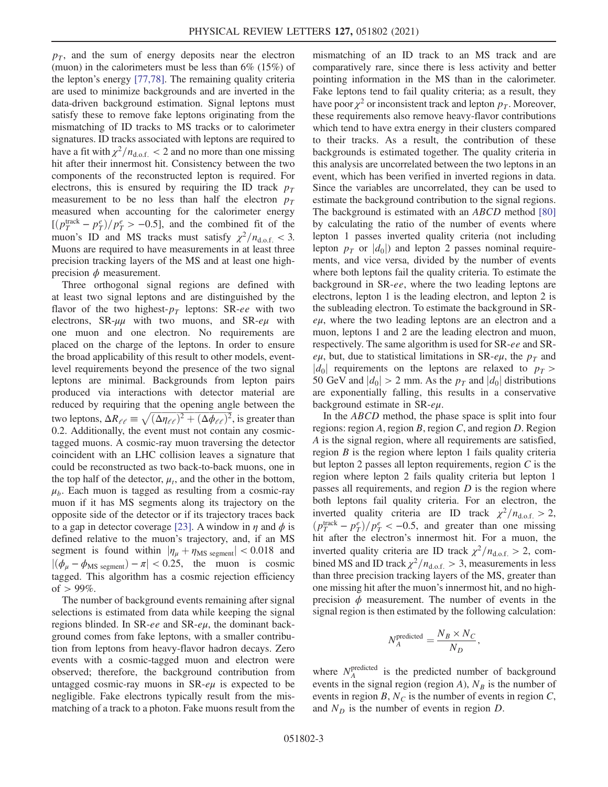$p_T$ , and the sum of energy deposits near the electron (muon) in the calorimeters must be less than 6% (15%) of the lepton's energy [\[77,78\].](#page-8-11) The remaining quality criteria are used to minimize backgrounds and are inverted in the data-driven background estimation. Signal leptons must satisfy these to remove fake leptons originating from the mismatching of ID tracks to MS tracks or to calorimeter signatures. ID tracks associated with leptons are required to have a fit with  $\chi^2/n_{d.o.f.} < 2$  and no more than one missing hit after their innermost hit. Consistency between the two components of the reconstructed lepton is required. For electrons, this is ensured by requiring the ID track  $p_T$ measurement to be no less than half the electron  $p_T$ measured when accounting for the calorimeter energy  $[(p_T^{\text{track}} - p_T^e)/p_T^e > -0.5]$ , and the combined fit of the muon's ID and MS tracks must satisfy  $\chi^2/n_{\text{d.o.f.}} < 3$ . Muons are required to have measurements in at least three precision tracking layers of the MS and at least one highprecision  $\phi$  measurement.

Three orthogonal signal regions are defined with at least two signal leptons and are distinguished by the flavor of the two highest- $p_T$  leptons: SR-ee with two electrons,  $SR-\mu\mu$  with two muons, and  $SR-\nu\mu$  with one muon and one electron. No requirements are placed on the charge of the leptons. In order to ensure the broad applicability of this result to other models, eventlevel requirements beyond the presence of the two signal leptons are minimal. Backgrounds from lepton pairs produced via interactions with detector material are reduced by requiring that the opening angle between the two leptons,  $\Delta R_{\ell\ell} \equiv \sqrt{(\Delta \eta_{\ell\ell})^2 + (\Delta \phi_{\ell\ell})^2}$ , is greater than 0.2. Additionally, the event must not contain any cosmictagged muons. A cosmic-ray muon traversing the detector coincident with an LHC collision leaves a signature that could be reconstructed as two back-to-back muons, one in the top half of the detector,  $\mu_t$ , and the other in the bottom,  $\mu_b$ . Each muon is tagged as resulting from a cosmic-ray muon if it has MS segments along its trajectory on the opposite side of the detector or if its trajectory traces back to a gap in detector coverage [\[23\].](#page-6-7) A window in  $\eta$  and  $\phi$  is defined relative to the muon's trajectory, and, if an MS segment is found within  $|\eta_{\mu} + \eta_{\text{MS segment}}| < 0.018$  and  $|(\phi_\mu - \phi_{\text{MS segment}}) - \pi| < 0.25$ , the muon is cosmic tagged. This algorithm has a cosmic rejection efficiency of  $> 99\%$ .

The number of background events remaining after signal selections is estimated from data while keeping the signal regions blinded. In SR-ee and SR-eμ, the dominant background comes from fake leptons, with a smaller contribution from leptons from heavy-flavor hadron decays. Zero events with a cosmic-tagged muon and electron were observed; therefore, the background contribution from untagged cosmic-ray muons in  $SR$ - $e\mu$  is expected to be negligible. Fake electrons typically result from the mismatching of a track to a photon. Fake muons result from the mismatching of an ID track to an MS track and are comparatively rare, since there is less activity and better pointing information in the MS than in the calorimeter. Fake leptons tend to fail quality criteria; as a result, they have poor  $\chi^2$  or inconsistent track and lepton  $p_T$ . Moreover, these requirements also remove heavy-flavor contributions which tend to have extra energy in their clusters compared to their tracks. As a result, the contribution of these backgrounds is estimated together. The quality criteria in this analysis are uncorrelated between the two leptons in an event, which has been verified in inverted regions in data. Since the variables are uncorrelated, they can be used to estimate the background contribution to the signal regions. The background is estimated with an ABCD method [\[80\]](#page-8-12) by calculating the ratio of the number of events where lepton 1 passes inverted quality criteria (not including lepton  $p_T$  or  $|d_0|$  and lepton 2 passes nominal requirements, and vice versa, divided by the number of events where both leptons fail the quality criteria. To estimate the background in SR-ee, where the two leading leptons are electrons, lepton 1 is the leading electron, and lepton 2 is the subleading electron. To estimate the background in SReμ, where the two leading leptons are an electron and a muon, leptons 1 and 2 are the leading electron and muon, respectively. The same algorithm is used for SR-ee and SReμ, but, due to statistical limitations in SR-eμ, the  $p_T$  and  $|d_0|$  requirements on the leptons are relaxed to  $p_T >$ 50 GeV and  $|d_0| > 2$  mm. As the  $p_T$  and  $|d_0|$  distributions are exponentially falling, this results in a conservative background estimate in  $SR$ - $e\mu$ .

In the ABCD method, the phase space is split into four regions: region A, region B, region C, and region D. Region A is the signal region, where all requirements are satisfied, region  $B$  is the region where lepton 1 fails quality criteria but lepton 2 passes all lepton requirements, region  $C$  is the region where lepton 2 fails quality criteria but lepton 1 passes all requirements, and region  $D$  is the region where both leptons fail quality criteria. For an electron, the inverted quality criteria are ID track  $\chi^2/n_{\text{d.o.f.}} > 2$ ,  $\left(p_T^{\text{track}} - p_T^e\right)/p_T^e < -0.5$ , and greater than one missing hit after the electron's innermost hit. For a muon, the inverted quality criteria are ID track  $\chi^2/n_{\text{d.o.f.}} > 2$ , combined MS and ID track  $\chi^2/n_{d.o.f.} > 3$ , measurements in less than three precision tracking layers of the MS, greater than one missing hit after the muon's innermost hit, and no highprecision  $\phi$  measurement. The number of events in the signal region is then estimated by the following calculation:

$$
N_A^{\rm predicted} = \frac{N_B \times N_C}{N_D},
$$

where  $N_A^{\text{predicted}}$  is the predicted number of background events in the signal region (region A),  $N_B$  is the number of events in region B,  $N_c$  is the number of events in region C, and  $N_D$  is the number of events in region  $D$ .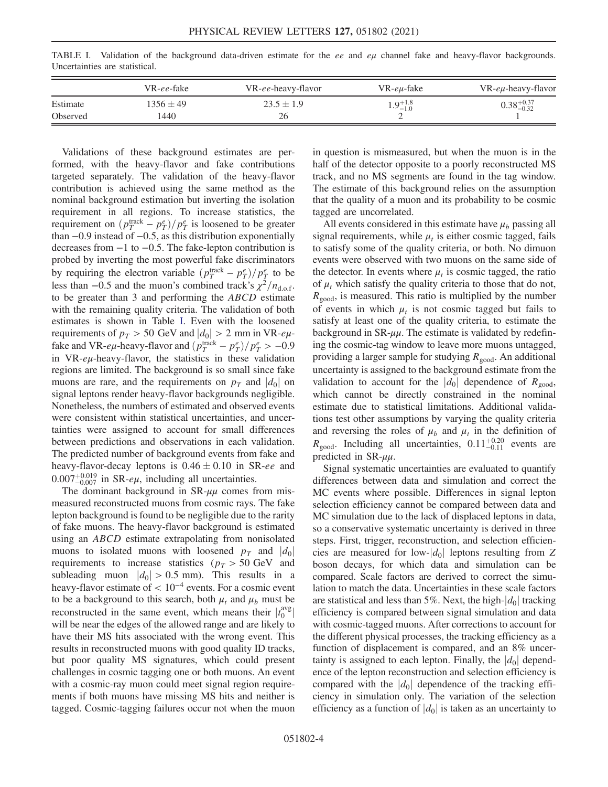<span id="page-4-0"></span>TABLE I. Validation of the background data-driven estimate for the ee and  $e\mu$  channel fake and heavy-flavor backgrounds. Uncertainties are statistical.

|          | VR-ee-fake    | VR-ee-heavy-flavor | VR-eu-fake          | $VR$ -e $\mu$ -heavy-flavor |
|----------|---------------|--------------------|---------------------|-----------------------------|
| Estimate | $1356 \pm 49$ | $23.5 \pm 1.9$     | $1.9^{+1.8}_{-1.0}$ | $0.38_{-0.32}^{+0.37}$      |
| Observed | 1440          | 26                 |                     |                             |

Validations of these background estimates are performed, with the heavy-flavor and fake contributions targeted separately. The validation of the heavy-flavor contribution is achieved using the same method as the nominal background estimation but inverting the isolation requirement in all regions. To increase statistics, the requirement on  $\left(p_T^{\text{track}} - p_T^e\right)/p_T^e$  is loosened to be greater than −0.9 instead of −0.5, as this distribution exponentially decreases from −1 to −0.5. The fake-lepton contribution is probed by inverting the most powerful fake discriminators by requiring the electron variable  $\left(p_T^{\text{track}} - p_T^e\right) / p_T^e$  to be less than −0.5 and the muon's combined track's  $\chi^2/n_{\text{dof}}$ . to be greater than 3 and performing the ABCD estimate with the remaining quality criteria. The validation of both estimates is shown in Table [I](#page-4-0). Even with the loosened requirements of  $p_T > 50$  GeV and  $|d_0| > 2$  mm in VR- $e\mu$ fake and VR- $e\mu$ -heavy-flavor and  $\left(p_T^{\text{track}} - p_T^e\right) / p_T^e > -0.9$ in VR-eμ-heavy-flavor, the statistics in these validation regions are limited. The background is so small since fake muons are rare, and the requirements on  $p_T$  and  $|d_0|$  on signal leptons render heavy-flavor backgrounds negligible. Nonetheless, the numbers of estimated and observed events were consistent within statistical uncertainties, and uncertainties were assigned to account for small differences between predictions and observations in each validation. The predicted number of background events from fake and heavy-flavor-decay leptons is  $0.46 \pm 0.10$  in SR-ee and  $0.007^{+0.019}_{-0.007}$  in SR- $e\mu$ , including all uncertainties.

The dominant background in  $SR-\mu\mu$  comes from mismeasured reconstructed muons from cosmic rays. The fake lepton background is found to be negligible due to the rarity of fake muons. The heavy-flavor background is estimated using an ABCD estimate extrapolating from nonisolated muons to isolated muons with loosened  $p_T$  and  $|d_0|$ requirements to increase statistics ( $p_T > 50$  GeV and subleading muon  $|d_0| > 0.5$  mm). This results in a heavy-flavor estimate of  $< 10^{-4}$  events. For a cosmic event to be a background to this search, both  $\mu_t$  and  $\mu_b$  must be reconstructed in the same event, which means their  $|t_0^{\text{avg}}|$ will be near the edges of the allowed range and are likely to have their MS hits associated with the wrong event. This results in reconstructed muons with good quality ID tracks, but poor quality MS signatures, which could present challenges in cosmic tagging one or both muons. An event with a cosmic-ray muon could meet signal region requirements if both muons have missing MS hits and neither is tagged. Cosmic-tagging failures occur not when the muon in question is mismeasured, but when the muon is in the half of the detector opposite to a poorly reconstructed MS track, and no MS segments are found in the tag window. The estimate of this background relies on the assumption that the quality of a muon and its probability to be cosmic tagged are uncorrelated.

All events considered in this estimate have  $\mu_b$  passing all signal requirements, while  $\mu_t$  is either cosmic tagged, fails to satisfy some of the quality criteria, or both. No dimuon events were observed with two muons on the same side of the detector. In events where  $\mu_t$  is cosmic tagged, the ratio of  $\mu_t$  which satisfy the quality criteria to those that do not,  $R_{\text{good}}$ , is measured. This ratio is multiplied by the number of events in which  $\mu_t$  is not cosmic tagged but fails to satisfy at least one of the quality criteria, to estimate the background in  $SR-\mu\mu$ . The estimate is validated by redefining the cosmic-tag window to leave more muons untagged, providing a larger sample for studying  $R_{\text{good}}$ . An additional uncertainty is assigned to the background estimate from the validation to account for the  $|d_0|$  dependence of  $R_{\text{good}}$ , which cannot be directly constrained in the nominal estimate due to statistical limitations. Additional validations test other assumptions by varying the quality criteria and reversing the roles of  $\mu_b$  and  $\mu_t$  in the definition of  $R_{\text{good}}$ . Including all uncertainties,  $0.11_{-0.11}^{+0.20}$  events are predicted in SR-μμ.

Signal systematic uncertainties are evaluated to quantify differences between data and simulation and correct the MC events where possible. Differences in signal lepton selection efficiency cannot be compared between data and MC simulation due to the lack of displaced leptons in data, so a conservative systematic uncertainty is derived in three steps. First, trigger, reconstruction, and selection efficiencies are measured for low- $|d_0|$  leptons resulting from Z boson decays, for which data and simulation can be compared. Scale factors are derived to correct the simulation to match the data. Uncertainties in these scale factors are statistical and less than 5%. Next, the high- $|d_0|$  tracking efficiency is compared between signal simulation and data with cosmic-tagged muons. After corrections to account for the different physical processes, the tracking efficiency as a function of displacement is compared, and an 8% uncertainty is assigned to each lepton. Finally, the  $|d_0|$  dependence of the lepton reconstruction and selection efficiency is compared with the  $|d_0|$  dependence of the tracking efficiency in simulation only. The variation of the selection efficiency as a function of  $|d_0|$  is taken as an uncertainty to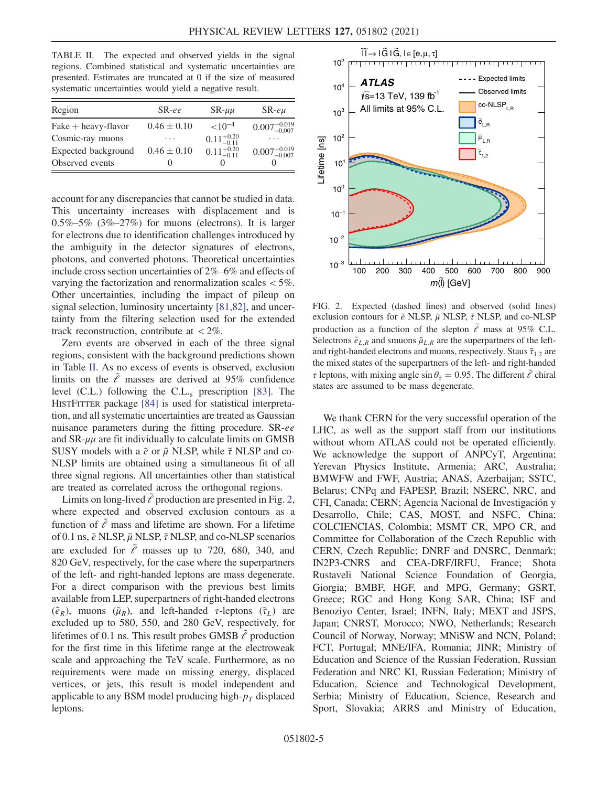<span id="page-5-0"></span>TABLE II. The expected and observed yields in the signal regions. Combined statistical and systematic uncertainties are presented. Estimates are truncated at 0 if the size of measured systematic uncertainties would yield a negative result.

| Region                | $S_{R-ee}$      | $SR-\mu\mu$            | $SR$ -e $\mu$             |
|-----------------------|-----------------|------------------------|---------------------------|
| $Fake + heavy-flavor$ | $0.46 \pm 0.10$ | $< 10^{-4}$            | $0.007^{+0.019}_{-0.007}$ |
| Cosmic-ray muons      | .               | $0.11^{+0.20}_{-0.11}$ | .                         |
| Expected background   | $0.46 \pm 0.10$ | $0.11^{+0.20}_{-0.11}$ | $0.007^{+0.019}_{-0.007}$ |
| Observed events       | 0               |                        | $\mathbf{\Omega}$         |

account for any discrepancies that cannot be studied in data. This uncertainty increases with displacement and is  $0.5\% -5\%$  (3\% $-27\%$ ) for muons (electrons). It is larger for electrons due to identification challenges introduced by the ambiguity in the detector signatures of electrons, photons, and converted photons. Theoretical uncertainties include cross section uncertainties of 2%–6% and effects of varying the factorization and renormalization scales < 5%. Other uncertainties, including the impact of pileup on signal selection, luminosity uncertainty [\[81,82\],](#page-8-13) and uncertainty from the filtering selection used for the extended track reconstruction, contribute at  $\langle 2\% \rangle$ .

Zero events are observed in each of the three signal regions, consistent with the background predictions shown in Table [II.](#page-5-0) As no excess of events is observed, exclusion limits on the  $\tilde{e}$  masses are derived at 95% confidence level (C.L.) following the C.L. $_s$  prescription [\[83\].](#page-8-14) The HISTFITTER package [\[84\]](#page-8-15) is used for statistical interpretation, and all systematic uncertainties are treated as Gaussian nuisance parameters during the fitting procedure. SR-ee and  $SR-\mu\mu$  are fit individually to calculate limits on GMSB SUSY models with a  $\tilde{e}$  or  $\tilde{\mu}$  NLSP, while  $\tilde{\tau}$  NLSP and co-NLSP limits are obtained using a simultaneous fit of all three signal regions. All uncertainties other than statistical are treated as correlated across the orthogonal regions.

Limits on long-lived  $\ell$  production are presented in Fig. [2](#page-5-1), where expected and observed exclusion contours as a function of  $\tilde{e}$  mass and lifetime are shown. For a lifetime of 0.1 ns,  $\tilde{e}$  NLSP,  $\tilde{\mu}$  NLSP,  $\tilde{\tau}$  NLSP, and co-NLSP scenarios are excluded for  $\tilde{\ell}$  masses up to 720, 680, 340, and 820 GeV, respectively, for the case where the superpartners of the left- and right-handed leptons are mass degenerate. For a direct comparison with the previous best limits available from LEP, superpartners of right-handed electrons  $(\tilde{e}_R)$ , muons  $(\tilde{\mu}_R)$ , and left-handed *τ*-leptons  $(\tilde{\tau}_L)$  are excluded up to 580, 550, and 280 GeV, respectively, for lifetimes of 0.1 ns. This result probes GMSB  $\tilde{e}$  production for the first time in this lifetime range at the electroweak scale and approaching the TeV scale. Furthermore, as no requirements were made on missing energy, displaced vertices, or jets, this result is model independent and applicable to any BSM model producing high- $p<sub>T</sub>$  displaced leptons.

<span id="page-5-1"></span>

FIG. 2. Expected (dashed lines) and observed (solid lines) exclusion contours for  $\tilde{e}$  NLSP,  $\tilde{\mu}$  NLSP,  $\tilde{\tau}$  NLSP, and co-NLSP production as a function of the slepton  $\tilde{e}$  mass at 95% C.L. Selectrons  $\tilde{e}_{L,R}$  and smuons  $\tilde{\mu}_{L,R}$  are the superpartners of the leftand right-handed electrons and muons, respectively. Staus  $\tilde{\tau}_{1,2}$  are the mixed states of the superpartners of the left- and right-handed  $\tau$  leptons, with mixing angle sin  $\theta_{\tilde{\tau}} = 0.95$ . The different  $\tilde{\ell}$  chiral states are assumed to be mass degenerate.

We thank CERN for the very successful operation of the LHC, as well as the support staff from our institutions without whom ATLAS could not be operated efficiently. We acknowledge the support of ANPCyT, Argentina; Yerevan Physics Institute, Armenia; ARC, Australia; BMWFW and FWF, Austria; ANAS, Azerbaijan; SSTC, Belarus; CNPq and FAPESP, Brazil; NSERC, NRC, and CFI, Canada; CERN; Agencia Nacional de Investigación y Desarrollo, Chile; CAS, MOST, and NSFC, China; COLCIENCIAS, Colombia; MSMT CR, MPO CR, and Committee for Collaboration of the Czech Republic with CERN, Czech Republic; DNRF and DNSRC, Denmark; IN2P3-CNRS and CEA-DRF/IRFU, France; Shota Rustaveli National Science Foundation of Georgia, Giorgia; BMBF, HGF, and MPG, Germany; GSRT, Greece; RGC and Hong Kong SAR, China; ISF and Benoziyo Center, Israel; INFN, Italy; MEXT and JSPS, Japan; CNRST, Morocco; NWO, Netherlands; Research Council of Norway, Norway; MNiSW and NCN, Poland; FCT, Portugal; MNE/IFA, Romania; JINR; Ministry of Education and Science of the Russian Federation, Russian Federation and NRC KI, Russian Federation; Ministry of Education, Science and Technological Development, Serbia; Ministry of Education, Science, Research and Sport, Slovakia; ARRS and Ministry of Education,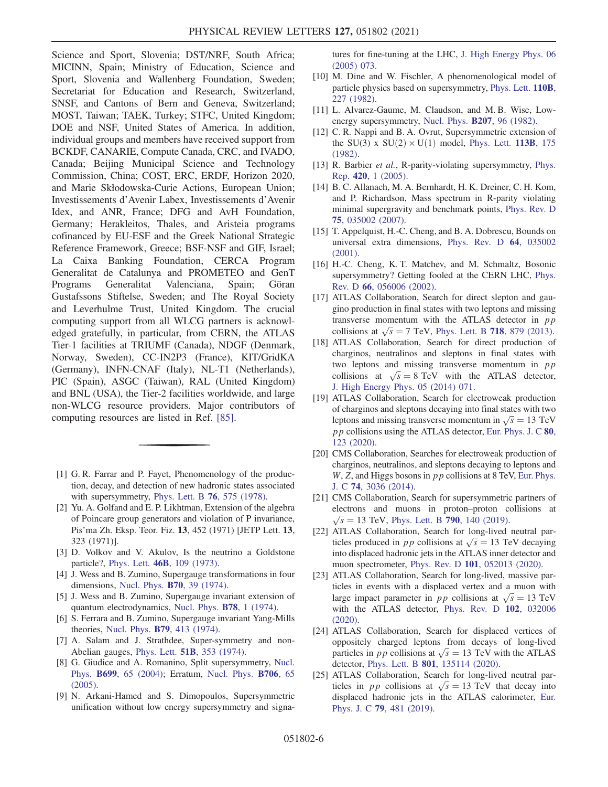Science and Sport, Slovenia; DST/NRF, South Africa; MICINN, Spain; Ministry of Education, Science and Sport, Slovenia and Wallenberg Foundation, Sweden; Secretariat for Education and Research, Switzerland, SNSF, and Cantons of Bern and Geneva, Switzerland; MOST, Taiwan; TAEK, Turkey; STFC, United Kingdom; DOE and NSF, United States of America. In addition, individual groups and members have received support from BCKDF, CANARIE, Compute Canada, CRC, and IVADO, Canada; Beijing Municipal Science and Technology Commission, China; COST, ERC, ERDF, Horizon 2020, and Marie Skłodowska-Curie Actions, European Union; Investissements d'Avenir Labex, Investissements d'Avenir Idex, and ANR, France; DFG and AvH Foundation, Germany; Herakleitos, Thales, and Aristeia programs cofinanced by EU-ESF and the Greek National Strategic Reference Framework, Greece; BSF-NSF and GIF, Israel; La Caixa Banking Foundation, CERCA Program Generalitat de Catalunya and PROMETEO and GenT Programs Generalitat Valenciana, Spain; Göran Gustafssons Stiftelse, Sweden; and The Royal Society and Leverhulme Trust, United Kingdom. The crucial computing support from all WLCG partners is acknowledged gratefully, in particular, from CERN, the ATLAS Tier-1 facilities at TRIUMF (Canada), NDGF (Denmark, Norway, Sweden), CC-IN2P3 (France), KIT/GridKA (Germany), INFN-CNAF (Italy), NL-T1 (Netherlands), PIC (Spain), ASGC (Taiwan), RAL (United Kingdom) and BNL (USA), the Tier-2 facilities worldwide, and large non-WLCG resource providers. Major contributors of computing resources are listed in Ref. [\[85\].](#page-8-16)

- <span id="page-6-0"></span>[1] G. R. Farrar and P. Fayet, Phenomenology of the production, decay, and detection of new hadronic states associated with supersymmetry, [Phys. Lett. B](https://doi.org/10.1016/0370-2693(78)90858-4) 76, 575 (1978).
- [2] Yu. A. Golfand and E. P. Likhtman, Extension of the algebra of Poincare group generators and violation of P invariance, Pis'ma Zh. Eksp. Teor. Fiz. 13, 452 (1971) [JETP Lett. 13, 323 (1971)].
- [3] D. Volkov and V. Akulov, Is the neutrino a Goldstone particle?, Phys. Lett. 46B[, 109 \(1973\).](https://doi.org/10.1016/0370-2693(73)90490-5)
- [4] J. Wess and B. Zumino, Supergauge transformations in four dimensions, [Nucl. Phys.](https://doi.org/10.1016/0550-3213(74)90355-1) B70, 39 (1974).
- [5] J. Wess and B. Zumino, Supergauge invariant extension of quantum electrodynamics, [Nucl. Phys.](https://doi.org/10.1016/0550-3213(74)90112-6) **B78**, 1 (1974).
- [6] S. Ferrara and B. Zumino, Supergauge invariant Yang-Mills theories, Nucl. Phys. B79[, 413 \(1974\).](https://doi.org/10.1016/0550-3213(74)90559-8)
- <span id="page-6-1"></span>[7] A. Salam and J. Strathdee, Super-symmetry and non-Abelian gauges, Phys. Lett. 51B[, 353 \(1974\)](https://doi.org/10.1016/0370-2693(74)90226-3).
- [8] G. Giudice and A. Romanino, Split supersymmetry, [Nucl.](https://doi.org/10.1016/j.nuclphysb.2004.08.001) Phys. B699[, 65 \(2004\)](https://doi.org/10.1016/j.nuclphysb.2004.08.001); Erratum, [Nucl. Phys.](https://doi.org/10.1016/j.nuclphysb.2004.11.048) B706, 65 [\(2005\).](https://doi.org/10.1016/j.nuclphysb.2004.11.048)
- [9] N. Arkani-Hamed and S. Dimopoulos, Supersymmetric unification without low energy supersymmetry and signa-

tures for fine-tuning at the LHC, [J. High Energy Phys. 06](https://doi.org/10.1088/1126-6708/2005/06/073) [\(2005\) 073.](https://doi.org/10.1088/1126-6708/2005/06/073)

- <span id="page-6-2"></span>[10] M. Dine and W. Fischler, A phenomenological model of particle physics based on supersymmetry, [Phys. Lett.](https://doi.org/10.1016/0370-2693(82)91241-2) 110B, [227 \(1982\)](https://doi.org/10.1016/0370-2693(82)91241-2).
- [11] L. Alvarez-Gaume, M. Claudson, and M. B. Wise, Lowenergy supersymmetry, [Nucl. Phys.](https://doi.org/10.1016/0550-3213(82)90138-9) B207, 96 (1982).
- [12] C. R. Nappi and B. A. Ovrut, Supersymmetric extension of the SU(3) x SU(2)  $\times$  U(1) model, [Phys. Lett.](https://doi.org/10.1016/0370-2693(82)90418-X) 113B, 175 [\(1982\).](https://doi.org/10.1016/0370-2693(82)90418-X)
- <span id="page-6-3"></span>[13] R. Barbier et al., R-parity-violating supersymmetry, [Phys.](https://doi.org/10.1016/j.physrep.2005.08.006) Rep. 420[, 1 \(2005\).](https://doi.org/10.1016/j.physrep.2005.08.006)
- [14] B. C. Allanach, M. A. Bernhardt, H. K. Dreiner, C. H. Kom, and P. Richardson, Mass spectrum in R-parity violating minimal supergravity and benchmark points, [Phys. Rev. D](https://doi.org/10.1103/PhysRevD.75.035002) 75[, 035002 \(2007\).](https://doi.org/10.1103/PhysRevD.75.035002)
- <span id="page-6-4"></span>[15] T. Appelquist, H.-C. Cheng, and B. A. Dobrescu, Bounds on universal extra dimensions, [Phys. Rev. D](https://doi.org/10.1103/PhysRevD.64.035002) 64, 035002 [\(2001\).](https://doi.org/10.1103/PhysRevD.64.035002)
- [16] H.-C. Cheng, K. T. Matchev, and M. Schmaltz, Bosonic supersymmetry? Getting fooled at the CERN LHC, [Phys.](https://doi.org/10.1103/PhysRevD.66.056006) Rev. D 66[, 056006 \(2002\)](https://doi.org/10.1103/PhysRevD.66.056006).
- <span id="page-6-5"></span>[17] ATLAS Collaboration, Search for direct slepton and gaugino production in final states with two leptons and missing transverse momentum with the ATLAS detector in pp collisions at  $\sqrt{s} = 7$  TeV, [Phys. Lett. B](https://doi.org/10.1016/j.physletb.2012.11.058) 718, 879 (2013).
- [18] ATLAS Collaboration, Search for direct production of charginos, neutralinos and sleptons in final states with two leptons and missing transverse momentum in  $pp$ collisions at  $\sqrt{s} = 8 \text{ TeV}$  with the ATLAS detector, [J. High Energy Phys. 05 \(2014\) 071.](https://doi.org/10.1007/JHEP05(2014)071)
- [19] ATLAS Collaboration, Search for electroweak production of charginos and sleptons decaying into final states with two leptons and missing transverse momentum in  $\sqrt{s} = 13$  TeV pp collisions using the ATLAS detector, [Eur. Phys. J. C](https://doi.org/10.1140/epjc/s10052-019-7594-6) 80, [123 \(2020\)](https://doi.org/10.1140/epjc/s10052-019-7594-6).
- [20] CMS Collaboration, Searches for electroweak production of charginos, neutralinos, and sleptons decaying to leptons and  $W$ , Z, and Higgs bosons in  $pp$  collisions at 8 TeV, [Eur. Phys.](https://doi.org/10.1140/epjc/s10052-014-3036-7) J. C 74[, 3036 \(2014\)](https://doi.org/10.1140/epjc/s10052-014-3036-7).
- [21] CMS Collaboration, Search for supersymmetric partners of electrons and muons in proton–proton collisions at  $\sqrt{s}$  = 13 TeV, [Phys. Lett. B](https://doi.org/10.1016/j.physletb.2019.01.005) 790, 140 (2019).
- <span id="page-6-6"></span>[22] ATLAS Collaboration, Search for long-lived neutral particles produced in *pp* collisions at  $\sqrt{s} = 13$  TeV decaying into displaced hadronic jets in the ATLAS inner detector and muon spectrometer, Phys. Rev. D 101[, 052013 \(2020\).](https://doi.org/10.1103/PhysRevD.101.052013)
- <span id="page-6-7"></span>[23] ATLAS Collaboration, Search for long-lived, massive particles in events with a displaced vertex and a muon with large impact parameter in *pp* collisions at  $\sqrt{s} = 13$  TeV with the ATLAS detector, [Phys. Rev. D](https://doi.org/10.1103/PhysRevD.102.032006) 102, 032006 [\(2020\).](https://doi.org/10.1103/PhysRevD.102.032006)
- [24] ATLAS Collaboration, Search for displaced vertices of oppositely charged leptons from decays of long-lived particles in *pp* collisions at  $\sqrt{s} = 13$  TeV with the ATLAS detector, Phys. Lett. B 801[, 135114 \(2020\).](https://doi.org/10.1016/j.physletb.2019.135114)
- [25] ATLAS Collaboration, Search for long-lived neutral particles in *pp* collisions at  $\sqrt{s} = 13$  TeV that decay into displaced hadronic jets in the ATLAS calorimeter, [Eur.](https://doi.org/10.1140/epjc/s10052-019-6962-6) Phys. J. C 79[, 481 \(2019\).](https://doi.org/10.1140/epjc/s10052-019-6962-6)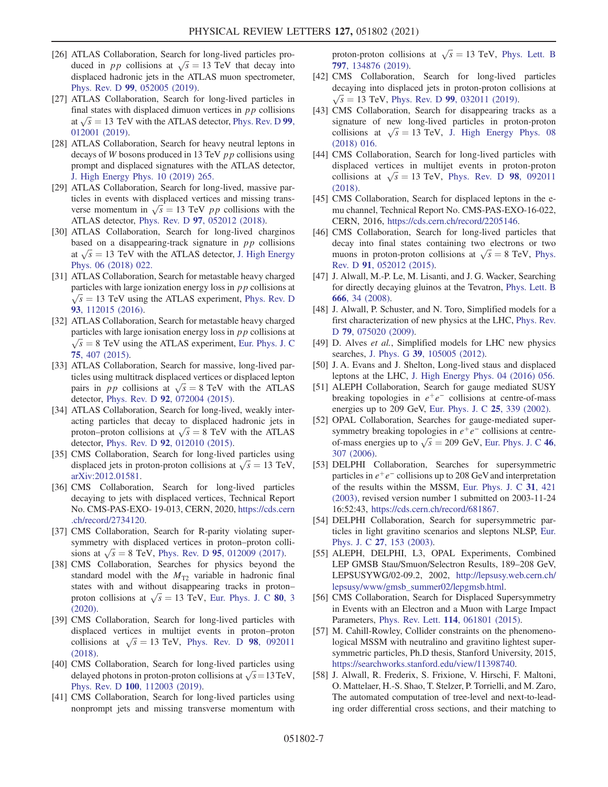- [26] ATLAS Collaboration, Search for long-lived particles produced in *pp* collisions at  $\sqrt{s} = 13$  TeV that decay into displaced hadronic jets in the ATLAS muon spectrometer, Phys. Rev. D 99[, 052005 \(2019\)](https://doi.org/10.1103/PhysRevD.99.052005).
- [27] ATLAS Collaboration, Search for long-lived particles in final states with displaced dimuon vertices in  $pp$  collisions at  $\sqrt{s}$  = 13 TeV with the ATLAS detector, [Phys. Rev. D](https://doi.org/10.1103/PhysRevD.99.012001) 99, [012001 \(2019\).](https://doi.org/10.1103/PhysRevD.99.012001)
- [28] ATLAS Collaboration, Search for heavy neutral leptons in decays of W bosons produced in 13 TeV pp collisions using prompt and displaced signatures with the ATLAS detector, [J. High Energy Phys. 10 \(2019\) 265.](https://doi.org/10.1007/JHEP10(2019)265)
- [29] ATLAS Collaboration, Search for long-lived, massive particles in events with displaced vertices and missing transverse momentum in  $\sqrt{s} = 13$  TeV *pp* collisions with the ATLAS detector, Phys. Rev. D 97[, 052012 \(2018\).](https://doi.org/10.1103/PhysRevD.97.052012)
- [30] ATLAS Collaboration, Search for long-lived charginos based on a disappearing-track signature in  $pp$  collisions at  $\sqrt{s}$  = 13 TeV with the ATLAS detector, [J. High Energy](https://doi.org/10.1007/JHEP06(2018)022) [Phys. 06 \(2018\) 022.](https://doi.org/10.1007/JHEP06(2018)022)
- [31] ATLAS Collaboration, Search for metastable heavy charged particles with large ionization energy loss in  $p p$  collisions at  $\sqrt{s}$  = 13 TeV using the ATLAS experiment, [Phys. Rev. D](https://doi.org/10.1103/PhysRevD.93.112015) 93[, 112015 \(2016\).](https://doi.org/10.1103/PhysRevD.93.112015)
- [32] ATLAS Collaboration, Search for metastable heavy charged particles with large ionisation energy loss in  $p p$  collisions at  $\sqrt{s}$  = 8 TeV using the ATLAS experiment, [Eur. Phys. J. C](https://doi.org/10.1140/epjc/s10052-015-3609-0) 75[, 407 \(2015\).](https://doi.org/10.1140/epjc/s10052-015-3609-0)
- [33] ATLAS Collaboration, Search for massive, long-lived particles using multitrack displaced vertices or displaced lepton pairs in *pp* collisions at  $\sqrt{s} = 8$  TeV with the ATLAS detector, Phys. Rev. D 92[, 072004 \(2015\)](https://doi.org/10.1103/PhysRevD.92.072004).
- [34] ATLAS Collaboration, Search for long-lived, weakly interacting particles that decay to displaced hadronic jets in proton–proton collisions at  $\sqrt{s} = 8$  TeV with the ATLAS detector, Phys. Rev. D 92[, 012010 \(2015\)](https://doi.org/10.1103/PhysRevD.92.012010).
- <span id="page-7-0"></span>[35] CMS Collaboration, Search for long-lived particles using displaced jets in proton-proton collisions at  $\sqrt{s} = 13$  TeV, [arXiv:2012.01581.](https://arXiv.org/abs/2012.01581)
- [36] CMS Collaboration, Search for long-lived particles decaying to jets with displaced vertices, Technical Report No. CMS-PAS-EXO- 19-013, CERN, 2020, [https://cds.cern](https://cds.cern.ch/record/2734120) [.ch/record/2734120](https://cds.cern.ch/record/2734120).
- [37] CMS Collaboration, Search for R-parity violating supersymmetry with displaced vertices in proton–proton collisions at  $\sqrt{s} = 8$  TeV, Phys. Rev. D 95[, 012009 \(2017\)](https://doi.org/10.1103/PhysRevD.95.012009).
- [38] CMS Collaboration, Searches for physics beyond the standard model with the  $M_{T2}$  variable in hadronic final states with and without disappearing tracks in proton– proton collisions at  $\sqrt{s} = 13$  TeV, [Eur. Phys. J. C](https://doi.org/10.1140/epjc/s10052-019-7493-x) 80, 3 [\(2020\).](https://doi.org/10.1140/epjc/s10052-019-7493-x)
- [39] CMS Collaboration, Search for long-lived particles with displaced vertices in multijet events in proton–proton collisions at  $\sqrt{s} = 13$  TeV, [Phys. Rev. D](https://doi.org/10.1103/PhysRevD.98.092011) 98, 092011 [\(2018\).](https://doi.org/10.1103/PhysRevD.98.092011)
- [40] CMS Collaboration, Search for long-lived particles using delayed photons in proton-proton collisions at  $\sqrt{s} = 13 \text{ TeV}$ , Phys. Rev. D 100[, 112003 \(2019\)](https://doi.org/10.1103/PhysRevD.100.112003).
- [41] CMS Collaboration, Search for long-lived particles using nonprompt jets and missing transverse momentum with

proton-proton collisions at  $\sqrt{s} = 13$  TeV, [Phys. Lett. B](https://doi.org/10.1016/j.physletb.2019.134876) 797[, 134876 \(2019\).](https://doi.org/10.1016/j.physletb.2019.134876)

- [42] CMS Collaboration, Search for long-lived particles decaying into displaced jets in proton-proton collisions at  $\sqrt{s} = 13$  TeV, Phys. Rev. D 99[, 032011 \(2019\)](https://doi.org/10.1103/PhysRevD.99.032011).
- [43] CMS Collaboration, Search for disappearing tracks as a signature of new long-lived particles in proton-proton collisions at  $\sqrt{s} = 13$  TeV, [J. High Energy Phys. 08](https://doi.org/10.1007/JHEP08(2018)016) [\(2018\) 016.](https://doi.org/10.1007/JHEP08(2018)016)
- [44] CMS Collaboration, Search for long-lived particles with displaced vertices in multijet events in proton-proton collisions at  $\sqrt{s} = 13$  TeV, [Phys. Rev. D](https://doi.org/10.1103/PhysRevD.98.092011) 98, 092011 [\(2018\)](https://doi.org/10.1103/PhysRevD.98.092011).
- [45] CMS Collaboration, Search for displaced leptons in the emu channel, Technical Report No. CMS-PAS-EXO-16-022, CERN, 2016, <https://cds.cern.ch/record/2205146>.
- [46] CMS Collaboration, Search for long-lived particles that decay into final states containing two electrons or two muons in proton-proton collisions at  $\sqrt{s} = 8$  TeV, [Phys.](https://doi.org/10.1103/PhysRevD.91.052012) Rev. D 91[, 052012 \(2015\)](https://doi.org/10.1103/PhysRevD.91.052012).
- <span id="page-7-1"></span>[47] J. Alwall, M.-P. Le, M. Lisanti, and J. G. Wacker, Searching for directly decaying gluinos at the Tevatron, [Phys. Lett. B](https://doi.org/10.1016/j.physletb.2008.06.065) 666[, 34 \(2008\).](https://doi.org/10.1016/j.physletb.2008.06.065)
- [48] J. Alwall, P. Schuster, and N. Toro, Simplified models for a first characterization of new physics at the LHC, [Phys. Rev.](https://doi.org/10.1103/PhysRevD.79.075020) D 79[, 075020 \(2009\)](https://doi.org/10.1103/PhysRevD.79.075020).
- [49] D. Alves et al., Simplified models for LHC new physics searches, J. Phys. G 39[, 105005 \(2012\)](https://doi.org/10.1088/0954-3899/39/10/105005).
- <span id="page-7-2"></span>[50] J. A. Evans and J. Shelton, Long-lived staus and displaced leptons at the LHC, [J. High Energy Phys. 04 \(2016\) 056.](https://doi.org/10.1007/JHEP04(2016)056)
- <span id="page-7-3"></span>[51] ALEPH Collaboration, Search for gauge mediated SUSY breaking topologies in  $e^+e^-$  collisions at centre-of-mass energies up to 209 GeV, [Eur. Phys. J. C](https://doi.org/10.1007/s10052-002-1005-z) 25, 339 (2002).
- [52] OPAL Collaboration, Searches for gauge-mediated supersymmetry breaking topologies in  $e^+e^-$  collisions at centreof-mass energies up to  $\sqrt{s} = 209$  GeV, [Eur. Phys. J. C](https://doi.org/10.1140/epjc/s2006-02524-8) 46, [307 \(2006\)](https://doi.org/10.1140/epjc/s2006-02524-8).
- [53] DELPHI Collaboration, Searches for supersymmetric particles in  $e^+e^-$  collisions up to 208 GeV and interpretation of the results within the MSSM, [Eur. Phys. J. C](https://doi.org/10.1140/epjc/s2003-01355-5) 31, 421 [\(2003\),](https://doi.org/10.1140/epjc/s2003-01355-5) revised version number 1 submitted on 2003-11-24 16∶52∶43, <https://cds.cern.ch/record/681867>.
- [54] DELPHI Collaboration, Search for supersymmetric particles in light gravitino scenarios and sleptons NLSP, [Eur.](https://doi.org/10.1140/epjc/s2002-01112-4) Phys. J. C 27[, 153 \(2003\).](https://doi.org/10.1140/epjc/s2002-01112-4)
- [55] ALEPH, DELPHI, L3, OPAL Experiments, Combined LEP GMSB Stau/Smuon/Selectron Results, 189–208 GeV, LEPSUSYWG/02-09.2, 2002, [http://lepsusy.web.cern.ch/](http://lepsusy.web.cern.ch/lepsusy/www/gmsb_summer02/lepgmsb.html) [lepsusy/www/gmsb\\_summer02/lepgmsb.html.](http://lepsusy.web.cern.ch/lepsusy/www/gmsb_summer02/lepgmsb.html)
- <span id="page-7-4"></span>[56] CMS Collaboration, Search for Displaced Supersymmetry in Events with an Electron and a Muon with Large Impact Parameters, Phys. Rev. Lett. 114[, 061801 \(2015\)](https://doi.org/10.1103/PhysRevLett.114.061801).
- <span id="page-7-5"></span>[57] M. Cahill-Rowley, Collider constraints on the phenomenological MSSM with neutralino and gravitino lightest supersymmetric particles, Ph.D thesis, Stanford University, 2015, <https://searchworks.stanford.edu/view/11398740>.
- <span id="page-7-6"></span>[58] J. Alwall, R. Frederix, S. Frixione, V. Hirschi, F. Maltoni, O. Mattelaer, H.-S. Shao, T. Stelzer, P. Torrielli, and M. Zaro, The automated computation of tree-level and next-to-leading order differential cross sections, and their matching to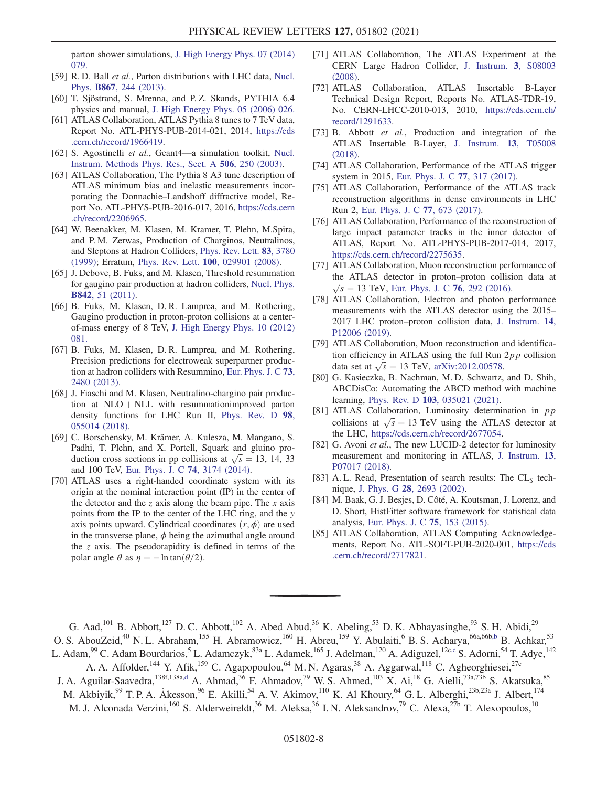parton shower simulations, [J. High Energy Phys. 07 \(2014\)](https://doi.org/10.1007/JHEP07(2014)079) [079.](https://doi.org/10.1007/JHEP07(2014)079)

- <span id="page-8-0"></span>[59] R. D. Ball et al., Parton distributions with LHC data, [Nucl.](https://doi.org/10.1016/j.nuclphysb.2012.10.003) Phys. B867[, 244 \(2013\).](https://doi.org/10.1016/j.nuclphysb.2012.10.003)
- <span id="page-8-1"></span>[60] T. Sjöstrand, S. Mrenna, and P. Z. Skands, PYTHIA 6.4 physics and manual, [J. High Energy Phys. 05 \(2006\) 026.](https://doi.org/10.1088/1126-6708/2006/05/026)
- <span id="page-8-2"></span>[61] ATLAS Collaboration, ATLAS Pythia 8 tunes to 7 TeV data, Report No. ATL-PHYS-PUB-2014-021, 2014, [https://cds](https://cds.cern.ch/record/1966419) [.cern.ch/record/1966419.](https://cds.cern.ch/record/1966419)
- <span id="page-8-3"></span>[62] S. Agostinelli et al., Geant4-a simulation toolkit, [Nucl.](https://doi.org/10.1016/S0168-9002(03)01368-8) [Instrum. Methods Phys. Res., Sect. A](https://doi.org/10.1016/S0168-9002(03)01368-8) 506, 250 (2003).
- <span id="page-8-4"></span>[63] ATLAS Collaboration, The Pythia 8 A3 tune description of ATLAS minimum bias and inelastic measurements incorporating the Donnachie–Landshoff diffractive model, Report No. ATL-PHYS-PUB-2016-017, 2016, [https://cds.cern](https://cds.cern.ch/record/2206965) [.ch/record/2206965](https://cds.cern.ch/record/2206965).
- <span id="page-8-5"></span>[64] W. Beenakker, M. Klasen, M. Kramer, T. Plehn, M.Spira, and P. M. Zerwas, Production of Charginos, Neutralinos, and Sleptons at Hadron Colliders, [Phys. Rev. Lett.](https://doi.org/10.1103/PhysRevLett.83.3780) 83, 3780 [\(1999\);](https://doi.org/10.1103/PhysRevLett.83.3780) Erratum, Phys. Rev. Lett. 100[, 029901 \(2008\)](https://doi.org/10.1103/PhysRevLett.100.029901).
- [65] J. Debove, B. Fuks, and M. Klasen, Threshold resummation for gaugino pair production at hadron colliders, [Nucl. Phys.](https://doi.org/10.1016/j.nuclphysb.2010.08.016) B842[, 51 \(2011\)](https://doi.org/10.1016/j.nuclphysb.2010.08.016).
- [66] B. Fuks, M. Klasen, D. R. Lamprea, and M. Rothering, Gaugino production in proton-proton collisions at a centerof-mass energy of 8 TeV, [J. High Energy Phys. 10 \(2012\)](https://doi.org/10.1007/JHEP10(2012)081) [081.](https://doi.org/10.1007/JHEP10(2012)081)
- [67] B. Fuks, M. Klasen, D. R. Lamprea, and M. Rothering, Precision predictions for electroweak superpartner production at hadron colliders with Resummino, [Eur. Phys. J. C](https://doi.org/10.1140/epjc/s10052-013-2480-0) 73, [2480 \(2013\)](https://doi.org/10.1140/epjc/s10052-013-2480-0).
- [68] J. Fiaschi and M. Klasen, Neutralino-chargino pair production at  $NLO + NLL$  with resummationimproved parton density functions for LHC Run II, [Phys. Rev. D](https://doi.org/10.1103/PhysRevD.98.055014) 98, [055014 \(2018\).](https://doi.org/10.1103/PhysRevD.98.055014)
- <span id="page-8-6"></span>[69] C. Borschensky, M. Krämer, A. Kulesza, M. Mangano, S. Padhi, T. Plehn, and X. Portell, Squark and gluino production cross sections in pp collisions at  $\sqrt{s} = 13, 14, 33$ and 100 TeV, [Eur. Phys. J. C](https://doi.org/10.1140/epjc/s10052-014-3174-y) 74, 3174 (2014).
- <span id="page-8-7"></span>[70] ATLAS uses a right-handed coordinate system with its origin at the nominal interaction point (IP) in the center of the detector and the z axis along the beam pipe. The x axis points from the IP to the center of the LHC ring, and the y axis points upward. Cylindrical coordinates  $(r, \phi)$  are used in the transverse plane,  $\phi$  being the azimuthal angle around the  $z$  axis. The pseudorapidity is defined in terms of the polar angle  $\theta$  as  $\eta = -\ln \tan(\theta/2)$ .
- [71] ATLAS Collaboration, The ATLAS Experiment at the CERN Large Hadron Collider, [J. Instrum.](https://doi.org/10.1088/1748-0221/3/08/S08003) 3, S08003 [\(2008\).](https://doi.org/10.1088/1748-0221/3/08/S08003)
- [72] ATLAS Collaboration, ATLAS Insertable B-Layer Technical Design Report, Reports No. ATLAS-TDR-19, No. CERN-LHCC-2010-013, 2010, [https://cds.cern.ch/](https://cds.cern.ch/record/1291633) [record/1291633.](https://cds.cern.ch/record/1291633)
- [73] B. Abbott *et al.*, Production and integration of the ATLAS Insertable B-Layer, [J. Instrum.](https://doi.org/10.1088/1748-0221/13/05/T05008) 13, T05008 [\(2018\).](https://doi.org/10.1088/1748-0221/13/05/T05008)
- <span id="page-8-8"></span>[74] ATLAS Collaboration, Performance of the ATLAS trigger system in 2015, [Eur. Phys. J. C](https://doi.org/10.1140/epjc/s10052-017-4852-3) 77, 317 (2017).
- <span id="page-8-9"></span>[75] ATLAS Collaboration, Performance of the ATLAS track reconstruction algorithms in dense environments in LHC Run 2, [Eur. Phys. J. C](https://doi.org/10.1140/epjc/s10052-017-5225-7) 77, 673 (2017).
- <span id="page-8-10"></span>[76] ATLAS Collaboration, Performance of the reconstruction of large impact parameter tracks in the inner detector of ATLAS, Report No. ATL-PHYS-PUB-2017-014, 2017, [https://cds.cern.ch/record/2275635.](https://cds.cern.ch/record/2275635)
- <span id="page-8-11"></span>[77] ATLAS Collaboration, Muon reconstruction performance of the ATLAS detector in proton–proton collision data at  $\sqrt{s}$  = 13 TeV, [Eur. Phys. J. C](https://doi.org/10.1140/epjc/s10052-016-4120-y) 76, 292 (2016).
- [78] ATLAS Collaboration, Electron and photon performance measurements with the ATLAS detector using the 2015– 2017 LHC proton–proton collision data, [J. Instrum.](https://doi.org/10.1088/1748-0221/14/12/P12006) 14, [P12006 \(2019\)](https://doi.org/10.1088/1748-0221/14/12/P12006).
- [79] ATLAS Collaboration, Muon reconstruction and identification efficiency in ATLAS using the full Run  $2pp$  collision data set at  $\sqrt{s}$  = 13 TeV, [arXiv:2012.00578](https://arXiv.org/abs/2012.00578).
- <span id="page-8-12"></span>[80] G. Kasieczka, B. Nachman, M. D. Schwartz, and D. Shih, ABCDisCo: Automating the ABCD method with machine learning, Phys. Rev. D 103[, 035021 \(2021\).](https://doi.org/10.1103/PhysRevD.103.035021)
- <span id="page-8-13"></span>[81] ATLAS Collaboration, Luminosity determination in pp collisions at  $\sqrt{s} = 13$  TeV using the ATLAS detector at the LHC, <https://cds.cern.ch/record/2677054>.
- [82] G. Avoni et al., The new LUCID-2 detector for luminosity measurement and monitoring in ATLAS, [J. Instrum.](https://doi.org/10.1088/1748-0221/13/07/P07017) 13, [P07017 \(2018\)](https://doi.org/10.1088/1748-0221/13/07/P07017).
- <span id="page-8-15"></span><span id="page-8-14"></span>[83] A. L. Read, Presentation of search results: The  $CL<sub>S</sub>$  technique, J. Phys. G 28[, 2693 \(2002\).](https://doi.org/10.1088/0954-3899/28/10/313)
- [84] M. Baak, G. J. Besjes, D. Côté, A. Koutsman, J. Lorenz, and D. Short, HistFitter software framework for statistical data analysis, [Eur. Phys. J. C](https://doi.org/10.1140/epjc/s10052-015-3327-7) 75, 153 (2015).
- <span id="page-8-16"></span>[85] ATLAS Collaboration, ATLAS Computing Acknowledgements, Report No. ATL-SOFT-PUB-2020-001, [https://cds](https://cds.cern.ch/record/2717821) [.cern.ch/record/2717821.](https://cds.cern.ch/record/2717821)

<span id="page-8-18"></span><span id="page-8-17"></span>G. Aad,<sup>101</sup> B. Abbott,<sup>127</sup> D. C. Abbott,<sup>102</sup> A. Abed Abud,<sup>36</sup> K. Abeling,<sup>53</sup> D. K. Abhayasinghe,<sup>93</sup> S. H. Abidi,<sup>29</sup> O. S. AbouZeid,<sup>40</sup> N. L. Abraham,<sup>155</sup> H. Abramowicz,<sup>160</sup> H. Abreu,<sup>159</sup> Y. Abulaiti,<sup>6</sup> B. S. Acharya,<sup>66a,66b[,b](#page-20-0)</sup> B. Achkar,<sup>53</sup>

L. Adam, <sup>99</sup> C. Adam Bourdarios,<sup>5</sup> L. Adamczyk, <sup>83a</sup> L. Adamek, <sup>165</sup> J. Adelman, <sup>120</sup> A. Adiguzel, <sup>12[c,c](#page-21-0)</sup> S. Adorni, <sup>54</sup> T. Adye, <sup>142</sup> A. A. Affolder,<sup>144</sup> Y. Afik,<sup>159</sup> C. Agapopoulou,<sup>64</sup> M. N. Agaras,<sup>38</sup> A. Aggarwal,<sup>118</sup> C. Agheorghiesei,<sup>27c</sup>

<span id="page-8-19"></span>J. A. Aguilar-Saavedra,<sup>138f,138[a,d](#page-21-1)</sup> A. Ahmad,<sup>36</sup> F. Ahmadov,<sup>79</sup> W. S. Ahmed,<sup>103</sup> X. Ai,<sup>18</sup> G. Aielli,<sup>73a,73b</sup> S. Akatsuka,<sup>85</sup> M. Akbiyik,<sup>99</sup> T. P. A. Åkesson,<sup>96</sup> E. Akilli,<sup>54</sup> A. V. Akimov,<sup>110</sup> K. Al Khoury,<sup>64</sup> G. L. Alberghi,<sup>23b,23a</sup> J. Albert,<sup>174</sup> M. J. Alconada Verzini,<sup>160</sup> S. Alderweireldt,<sup>36</sup> M. Aleksa,<sup>36</sup> I. N. Aleksandrov,<sup>79</sup> C. Alexa,<sup>27b</sup> T. Alexopoulos,<sup>10</sup>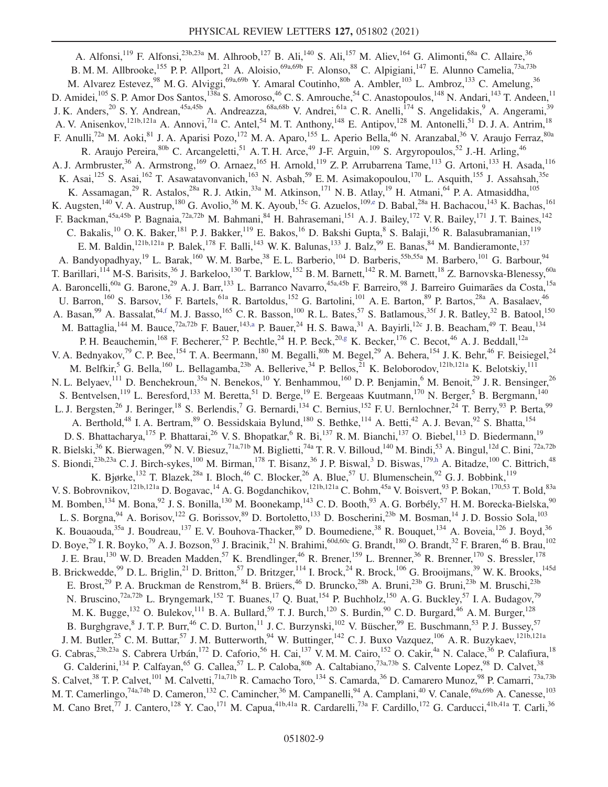<span id="page-9-4"></span><span id="page-9-3"></span><span id="page-9-2"></span><span id="page-9-1"></span><span id="page-9-0"></span>A. Alfonsi,<sup>119</sup> F. Alfonsi,<sup>23b,23a</sup> M. Alhroob,<sup>127</sup> B. Ali,<sup>140</sup> S. Ali,<sup>157</sup> M. Aliev,<sup>164</sup> G. Alimonti,<sup>68a</sup> C. Allaire,<sup>36</sup> B. M. M. Allbrooke,<sup>155</sup> P. P. Allport,<sup>21</sup> A. Aloisio,<sup>69a,69b</sup> F. Alonso,<sup>88</sup> C. Alpigiani,<sup>147</sup> E. Alunno Camelia,<sup>73a,73b</sup> M. Alvarez Estevez,<sup>98</sup> M. G. Alviggi,<sup>69a,69b</sup> Y. Amaral Coutinho,<sup>80b</sup> A. Ambler,<sup>103</sup> L. Ambroz,<sup>133</sup> C. Amelung,<sup>36</sup> D. Amidei,<sup>105</sup> S. P. Amor Dos Santos,<sup>138a</sup> S. Amoroso,<sup>46</sup> C. S. Amrouche,<sup>54</sup> C. Anastopoulos,<sup>148</sup> N. Andari,<sup>143</sup> T. Andeen,<sup>11</sup> J. K. Anders,<sup>20</sup> S. Y. Andrean,<sup>45a,45b</sup> A. Andreazza,<sup>68a,68b</sup> V. Andrei,<sup>61a</sup> C. R. Anelli,<sup>174</sup> S. Angelidakis,<sup>9</sup> A. Angerami,<sup>39</sup> A. V. Anisenkov, <sup>121b,121a</sup> A. Annovi, <sup>71a</sup> C. Antel, <sup>54</sup> M. T. Anthony, <sup>148</sup> E. Antipov, <sup>128</sup> M. Antonelli, <sup>51</sup> D. J. A. Antrim, <sup>18</sup> F. Anulli,<sup>72a</sup> M. Aoki,<sup>81</sup> J. A. Aparisi Pozo,<sup>172</sup> M. A. Aparo,<sup>155</sup> L. Aperio Bella,<sup>46</sup> N. Aranzabal,<sup>36</sup> V. Araujo Ferraz,<sup>80a</sup> R. Araujo Pereira, <sup>80b</sup> C. Arcangeletti, 51 A. T. H. Arce, <sup>49</sup> J-F. Arguin, <sup>109</sup> S. Argyropoulos, <sup>52</sup> J.-H. Arling, <sup>46</sup> A. J. Armbruster,<sup>36</sup> A. Armstrong,<sup>169</sup> O. Arnaez,<sup>165</sup> H. Arnold,<sup>119</sup> Z. P. Arrubarrena Tame,<sup>113</sup> G. Artoni,<sup>133</sup> H. Asada,<sup>116</sup> K. Asai,<sup>125</sup> S. Asai,<sup>162</sup> T. Asawatavonvanich,<sup>163</sup> N. Asbah,<sup>59</sup> E.M. Asimakopoulou,<sup>170</sup> L. Asquith,<sup>155</sup> J. Assahsah,<sup>35e</sup> K. Assamagan,<sup>29</sup> R. Astalos,<sup>28a</sup> R. J. Atkin,<sup>33a</sup> M. Atkinson,<sup>171</sup> N. B. Atlay,<sup>19</sup> H. Atmani,<sup>64</sup> P. A. Atmasiddha,<sup>105</sup> K. Augsten,<sup>140</sup> V. A. Austrup,<sup>180</sup> G. Avolio,<sup>36</sup> M. K. Ayoub,<sup>15c</sup> G. Azuelos,<sup>10[9,e](#page-21-2)</sup> D. Babal,<sup>28a</sup> H. Bachacou,<sup>143</sup> K. Bachas,<sup>161</sup> F. Backman,<sup>45a,45b</sup> P. Bagnaia,<sup>72a,72b</sup> M. Bahmani,<sup>84</sup> H. Bahrasemani,<sup>151</sup> A. J. Bailey,<sup>172</sup> V. R. Bailey,<sup>171</sup> J. T. Baines,<sup>142</sup> C. Bakalis,<sup>10</sup> O. K. Baker,<sup>181</sup> P. J. Bakker,<sup>119</sup> E. Bakos,<sup>16</sup> D. Bakshi Gupta,<sup>8</sup> S. Balaji,<sup>156</sup> R. Balasubramanian,<sup>119</sup> E. M. Baldin, <sup>121b,121a</sup> P. Balek, <sup>178</sup> F. Balli, <sup>143</sup> W. K. Balunas, <sup>133</sup> J. Balz, <sup>99</sup> E. Banas, <sup>84</sup> M. Bandieramonte, <sup>137</sup> A. Bandyopadhyay,<sup>19</sup> L. Barak,<sup>160</sup> W. M. Barbe,<sup>38</sup> E. L. Barberio,<sup>104</sup> D. Barberis,<sup>55b,55a</sup> M. Barbero,<sup>101</sup> G. Barbour,<sup>94</sup> T. Barillari, <sup>114</sup> M-S. Barisits, <sup>36</sup> J. Barkeloo, <sup>130</sup> T. Barklow, <sup>152</sup> B. M. Barnett, <sup>142</sup> R. M. Barnett, <sup>18</sup> Z. Barnovska-Blenessy, <sup>60a</sup> A. Baroncelli,<sup>60a</sup> G. Barone,<sup>29</sup> A. J. Barr,<sup>133</sup> L. Barranco Navarro,<sup>45a,45b</sup> F. Barreiro,<sup>98</sup> J. Barreiro Guimarães da Costa,<sup>15a</sup> U. Barron,<sup>160</sup> S. Barsov,<sup>136</sup> F. Bartels,<sup>61a</sup> R. Bartoldus,<sup>152</sup> G. Bartolini,<sup>101</sup> A. E. Barton,<sup>89</sup> P. Bartos,<sup>28a</sup> A. Basalaev,<sup>46</sup> A. Basan,  $99$  A. Bassalat,  $64,$ f M. J. Basso,  $165$  C. R. Basson,  $100$  R. L. Bates,  $57$  S. Batlamous,  $35f$  J. R. Batley,  $32$  B. Batool,  $150$ M. Battaglia,<sup>144</sup> M. Bauce,<sup>72a,72b</sup> F. Bauer,<sup>143[,a](#page-20-1)</sup> P. Bauer,<sup>24</sup> H. S. Bawa,<sup>31</sup> A. Bayirli,<sup>12c</sup> J. B. Beacham,<sup>49</sup> T. Beau,<sup>134</sup> P. H. Beauchemin,<sup>168</sup> F. Becherer,<sup>52</sup> P. Bechtle,<sup>24</sup> H. P. Beck,<sup>2[0,g](#page-21-4)</sup> K. Becker,<sup>176</sup> C. Becot,<sup>46</sup> A. J. Beddall,<sup>12a</sup> V. A. Bednyakov,<sup>79</sup> C. P. Bee, <sup>154</sup> T. A. Beermann, <sup>180</sup> M. Begalli, <sup>80b</sup> M. Begel, <sup>29</sup> A. Behera, <sup>154</sup> J. K. Behr, <sup>46</sup> F. Beisiegel, <sup>24</sup> M. Belfkir,<sup>5</sup> G. Bella,<sup>160</sup> L. Bellagamba,<sup>23b</sup> A. Bellerive,<sup>34</sup> P. Bellos,<sup>21</sup> K. Beloborodov,<sup>121b,121a</sup> K. Belotskiy,<sup>111</sup> N. L. Belyaev,<sup>111</sup> D. Benchekroun,<sup>35a</sup> N. Benekos,<sup>10</sup> Y. Benhammou,<sup>160</sup> D. P. Benjamin,<sup>6</sup> M. Benoit,<sup>29</sup> J. R. Bensinger,<sup>26</sup> S. Bentvelsen,<sup>119</sup> L. Beresford,<sup>133</sup> M. Beretta,<sup>51</sup> D. Berge,<sup>19</sup> E. Bergeaas Kuutmann,<sup>170</sup> N. Berger,<sup>5</sup> B. Bergmann,<sup>140</sup> L. J. Bergsten,<sup>26</sup> J. Beringer,<sup>18</sup> S. Berlendis,<sup>7</sup> G. Bernardi,<sup>134</sup> C. Bernius,<sup>152</sup> F. U. Bernlochner,<sup>24</sup> T. Berry,<sup>93</sup> P. Berta,<sup>99</sup> A. Berthold,<sup>48</sup> I. A. Bertram,<sup>89</sup> O. Bessidskaia Bylund,<sup>180</sup> S. Bethke,<sup>114</sup> A. Betti,<sup>42</sup> A. J. Bevan,<sup>92</sup> S. Bhatta,<sup>154</sup> D. S. Bhattacharya, <sup>175</sup> P. Bhattarai, <sup>26</sup> V. S. Bhopatkar, <sup>6</sup> R. Bi, <sup>137</sup> R. M. Bianchi, <sup>137</sup> O. Biebel, <sup>113</sup> D. Biedermann, <sup>19</sup> R. Bielski,<sup>36</sup> K. Bierwagen,<sup>99</sup> N. V. Biesuz,<sup>71a,71b</sup> M. Biglietti,<sup>74a</sup> T. R. V. Billoud,<sup>140</sup> M. Bindi,<sup>53</sup> A. Bingul,<sup>12d</sup> C. Bini,<sup>72a,72b</sup> S. Biondi,<sup>23b,23a</sup> C. J. Birch-sykes,<sup>100</sup> M. Birman,<sup>178</sup> T. Bisanz,<sup>36</sup> J. P. Biswal,<sup>3</sup> D. Biswas,<sup>17[9,h](#page-21-5)</sup> A. Bitadze,<sup>100</sup> C. Bittrich,<sup>48</sup> K. Bjørke,<sup>132</sup> T. Blazek,<sup>28a</sup> I. Bloch,<sup>46</sup> C. Blocker,<sup>26</sup> A. Blue,<sup>57</sup> U. Blumenschein,<sup>92</sup> G. J. Bobbink,<sup>119</sup> V. S. Bobrovnikov,<sup>121b,121a</sup> D. Bogavac,<sup>14</sup> A. G. Bogdanchikov,<sup>121b,121a</sup> C. Bohm,<sup>45a</sup> V. Boisvert,<sup>93</sup> P. Bokan,<sup>170,53</sup> T. Bold,<sup>83a</sup> M. Bomben,<sup>134</sup> M. Bona,<sup>92</sup> J. S. Bonilla,<sup>130</sup> M. Boonekamp,<sup>143</sup> C. D. Booth,<sup>93</sup> A. G. Borbély,<sup>57</sup> H. M. Borecka-Bielska,<sup>90</sup> L. S. Borgna, <sup>94</sup> A. Borisov, <sup>122</sup> G. Borissov, <sup>89</sup> D. Bortoletto, <sup>133</sup> D. Boscherini, <sup>23b</sup> M. Bosman, <sup>14</sup> J. D. Bossio Sola, <sup>103</sup> K. Bouaouda,<sup>35a</sup> J. Boudreau,<sup>137</sup> E.V. Bouhova-Thacker,<sup>89</sup> D. Boumediene,<sup>38</sup> R. Bouquet,<sup>134</sup> A. Boveia,<sup>126</sup> J. Boyd,<sup>36</sup> D. Boye,<sup>29</sup> I. R. Boyko,<sup>79</sup> A. J. Bozson,<sup>93</sup> J. Bracinik,<sup>21</sup> N. Brahimi,<sup>60d,60c</sup> G. Brandt,<sup>180</sup> O. Brandt,<sup>32</sup> F. Braren,<sup>46</sup> B. Brau,<sup>102</sup> J. E. Brau,<sup>130</sup> W. D. Breaden Madden,<sup>57</sup> K. Brendlinger,<sup>46</sup> R. Brener,<sup>159</sup> L. Brenner,<sup>36</sup> R. Brenner,<sup>170</sup> S. Bressler,<sup>178</sup> B. Brickwedde,<sup>99</sup> D. L. Briglin,<sup>21</sup> D. Britton,<sup>57</sup> D. Britzger,<sup>114</sup> I. Brock,<sup>24</sup> R. Brock,<sup>106</sup> G. Brooijmans,<sup>39</sup> W. K. Brooks,<sup>145d</sup> E. Brost,<sup>29</sup> P. A. Bruckman de Renstrom,<sup>84</sup> B. Brüers,<sup>46</sup> D. Bruncko,<sup>28b</sup> A. Bruni,<sup>23b</sup> G. Bruni,<sup>23b</sup> M. Bruschi,<sup>23b</sup> N. Bruscino,<sup>72a,72b</sup> L. Bryngemark,<sup>152</sup> T. Buanes,<sup>17</sup> Q. Buat,<sup>154</sup> P. Buchholz,<sup>150</sup> A. G. Buckley,<sup>57</sup> I. A. Budagov,<sup>79</sup> M. K. Bugge,<sup>132</sup> O. Bulekov,<sup>111</sup> B. A. Bullard,<sup>59</sup> T. J. Burch,<sup>120</sup> S. Burdin,<sup>90</sup> C. D. Burgard,<sup>46</sup> A. M. Burger,<sup>128</sup> B. Burghgrave, <sup>8</sup> J. T. P. Burr, <sup>46</sup> C. D. Burton, <sup>11</sup> J. C. Burzynski, <sup>102</sup> V. Büscher, <sup>99</sup> E. Buschmann, <sup>53</sup> P. J. Bussey, <sup>57</sup> J. M. Butler,<sup>25</sup> C. M. Buttar,<sup>57</sup> J. M. Butterworth,<sup>94</sup> W. Buttinger,<sup>142</sup> C. J. Buxo Vazquez,<sup>106</sup> A. R. Buzykaev,<sup>121b,121a</sup> G. Cabras,<sup>23b,23a</sup> S. Cabrera Urbán,<sup>172</sup> D. Caforio,<sup>56</sup> H. Cai,<sup>137</sup> V. M. M. Cairo,<sup>152</sup> O. Cakir,<sup>4a</sup> N. Calace,<sup>36</sup> P. Calafiura,<sup>18</sup> G. Calderini,<sup>134</sup> P. Calfayan,<sup>65</sup> G. Callea,<sup>57</sup> L. P. Caloba,<sup>80b</sup> A. Caltabiano,<sup>73a,73b</sup> S. Calvente Lopez,<sup>98</sup> D. Calvet,<sup>38</sup> S. Calvet,<sup>38</sup> T. P. Calvet,<sup>101</sup> M. Calvetti,<sup>71a,71b</sup> R. Camacho Toro,<sup>134</sup> S. Camarda,<sup>36</sup> D. Camarero Munoz,<sup>98</sup> P. Camarri,<sup>73a,73b</sup> M. T. Camerlingo,<sup>74a,74b</sup> D. Cameron,<sup>132</sup> C. Camincher,<sup>36</sup> M. Campanelli,<sup>94</sup> A. Camplani,<sup>40</sup> V. Canale,<sup>69a,69b</sup> A. Canesse,<sup>103</sup> M. Cano Bret,<sup>77</sup> J. Cantero,<sup>128</sup> Y. Cao,<sup>171</sup> M. Capua,<sup>41b,41a</sup> R. Cardarelli,<sup>73a</sup> F. Cardillo,<sup>172</sup> G. Carducci,<sup>41b,41a</sup> T. Carli,<sup>36</sup>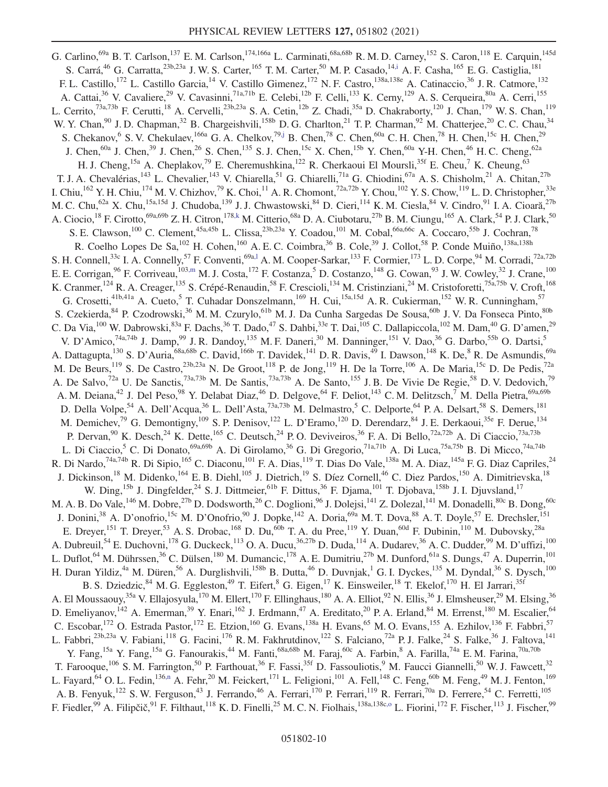<span id="page-10-6"></span><span id="page-10-5"></span><span id="page-10-4"></span><span id="page-10-3"></span><span id="page-10-2"></span><span id="page-10-1"></span><span id="page-10-0"></span>G. Carlino,<sup>69a</sup> B. T. Carlson,<sup>137</sup> E. M. Carlson,<sup>174,166a</sup> L. Carminati,<sup>68a,68b</sup> R. M. D. Carney,<sup>152</sup> S. Caron,<sup>118</sup> E. Carquin,<sup>145d</sup> S. Carrá,<sup>46</sup> G. Carratta,<sup>23b,23a</sup> J. W. S. Carter,<sup>165</sup> T. M. Carter,<sup>50</sup> M. P. Casado,<sup>1[4,i](#page-21-6)</sup> A. F. Casha,<sup>165</sup> E. G. Castiglia,<sup>181</sup> F. L. Castillo,<sup>172</sup> L. Castillo Garcia,<sup>14</sup> V. Castillo Gimenez,<sup>172</sup> N. F. Castro,<sup>138a,138e</sup> A. Catinaccio,<sup>36</sup> J. R. Catmore,<sup>132</sup> A. Cattai,<sup>36</sup> V. Cavaliere,<sup>29</sup> V. Cavasinni,<sup>71a,71b</sup> E. Celebi,<sup>12b</sup> F. Celli,<sup>133</sup> K. Cerny,<sup>129</sup> A. S. Cerqueira,<sup>80a</sup> A. Cerri,<sup>155</sup> L. Cerrito,<sup>73a,73b</sup> F. Cerutti,<sup>18</sup> A. Cervelli,<sup>23b,23a</sup> S. A. Cetin,<sup>12b</sup> Z. Chadi,<sup>35a</sup> D. Chakraborty,<sup>120</sup> J. Chan,<sup>179</sup> W. S. Chan,<sup>119</sup> W. Y. Chan, <sup>90</sup> J. D. Chapman, <sup>32</sup> B. Chargeishvili, <sup>158b</sup> D. G. Charlton, <sup>21</sup> T. P. Charman, <sup>92</sup> M. Chatterjee, <sup>20</sup> C. C. Chau, <sup>34</sup> S. Chekanov, <sup>6</sup> S. V. Chekulaev, <sup>166a</sup> G. A. Chelkov, <sup>79[,j](#page-21-7)</sup> B. Chen, <sup>78</sup> C. Chen, <sup>60a</sup> C. H. Chen, <sup>78</sup> H. Chen, <sup>15c</sup> H. Chen, <sup>29</sup> J. Chen,<sup>60a</sup> J. Chen,<sup>39</sup> J. Chen,<sup>26</sup> S. Chen,<sup>135</sup> S. J. Chen,<sup>15c</sup> X. Chen,<sup>15b</sup> Y. Chen,<sup>60a</sup> Y-H. Chen,<sup>46</sup> H. C. Cheng,<sup>62a</sup> H. J. Cheng,<sup>15a</sup> A. Cheplakov,<sup>79</sup> E. Cheremushkina,<sup>122</sup> R. Cherkaoui El Moursli,<sup>35f</sup> E. Cheu,<sup>7</sup> K. Cheung,<sup>63</sup> T. J. A. Chevalérias,<sup>143</sup> L. Chevalier,<sup>143</sup> V. Chiarella,<sup>51</sup> G. Chiarelli,<sup>71a</sup> G. Chiodini,<sup>67a</sup> A. S. Chisholm,<sup>21</sup> A. Chitan,<sup>27b</sup> I. Chiu,  $^{162}$  Y. H. Chiu,  $^{174}$  M. V. Chizhov,  $^{79}$  K. Choi,  $^{11}$  A. R. Chomont,  $^{72a,72b}$  Y. Chou,  $^{102}$  Y. S. Chow,  $^{119}$  L. D. Christopher,  $^{33e}$ M. C. Chu,<sup>62a</sup> X. Chu,<sup>15a,15d</sup> J. Chudoba,<sup>139</sup> J. J. Chwastowski,<sup>84</sup> D. Cieri,<sup>114</sup> K. M. Ciesla,<sup>84</sup> V. Cindro,<sup>91</sup> I. A. Cioară,<sup>27b</sup> A. Ciocio,<sup>18</sup> F. Cirotto,<sup>69a,69b</sup> Z. H. Citron,<sup>178[,k](#page-21-8)</sup> M. Citterio,<sup>68a</sup> D. A. Ciubotaru,<sup>27b</sup> B. M. Ciungu,<sup>165</sup> A. Clark,<sup>54</sup> P. J. Clark,<sup>50</sup> S. E. Clawson,<sup>100</sup> C. Clement,<sup>45a,45b</sup> L. Clissa,<sup>23b,23a</sup> Y. Coadou,<sup>101</sup> M. Cobal,<sup>66a,66c</sup> A. Coccaro,<sup>55b</sup> J. Cochran,<sup>78</sup> R. Coelho Lopes De Sa, <sup>102</sup> H. Cohen, <sup>160</sup> A. E. C. Coimbra, <sup>36</sup> B. Cole, <sup>39</sup> J. Collot, <sup>58</sup> P. Conde Muiño, <sup>138a, 138h</sup> S. H. Connell,<sup>33c</sup> I. A. Connelly,<sup>57</sup> F. Conventi,<sup>69[a,l](#page-21-9)</sup> A. M. Cooper-Sarkar,<sup>133</sup> F. Cormier,<sup>173</sup> L. D. Corpe,<sup>94</sup> M. Corradi,<sup>72a,72b</sup> E. E. Corrigan,  $96$  F. Corriveau,  $^{103,m}$  $^{103,m}$  $^{103,m}$  M. J. Costa,  $^{172}$  F. Costanza,  $^5$  D. Costanzo,  $^{148}$  G. Cowan,  $^{93}$  J. W. Cowley,  $^{32}$  J. Crane,  $^{100}$ K. Cranmer,<sup>124</sup> R. A. Creager,<sup>135</sup> S. Crépé-Renaudin,<sup>58</sup> F. Crescioli,<sup>134</sup> M. Cristinziani,<sup>24</sup> M. Cristoforetti,<sup>75a,75b</sup> V. Croft,<sup>168</sup> G. Crosetti,<sup>41b,41a</sup> A. Cueto,<sup>5</sup> T. Cuhadar Donszelmann,<sup>169</sup> H. Cui,<sup>15a,15d</sup> A. R. Cukierman,<sup>152</sup> W. R. Cunningham,<sup>57</sup> S. Czekierda, <sup>84</sup> P. Czodrowski, <sup>36</sup> M. M. Czurylo, <sup>61b</sup> M. J. Da Cunha Sargedas De Sousa, <sup>60b</sup> J. V. Da Fonseca Pinto, <sup>80b</sup> C. Da Via,  $^{100}$  W. Dabrowski,  $^{83a}$  F. Dachs,  $^{36}$  T. Dado,  $^{47}$  S. Dahbi,  $^{33e}$  T. Dai,  $^{105}$  C. Dallapiccola,  $^{102}$  M. Dam,  $^{40}$  G. D'amen,  $^{29}$ V. D'Amico,<sup>74a,74b</sup> J. Damp,<sup>99</sup> J. R. Dandoy,<sup>135</sup> M. F. Daneri,<sup>30</sup> M. Danninger,<sup>151</sup> V. Dao,<sup>36</sup> G. Darbo,<sup>55b</sup> O. Dartsi,<sup>5</sup> A. Dattagupta,<sup>130</sup> S. D'Auria,<sup>68a,68b</sup> C. David,<sup>166b</sup> T. Davidek,<sup>141</sup> D. R. Davis,<sup>49</sup> I. Dawson,<sup>148</sup> K. De,<sup>8</sup> R. De Asmundis,<sup>69a</sup> M. De Beurs,  $^{119}$  S. De Castro,  $^{23b,23a}$  N. De Groot,  $^{118}$  P. de Jong,  $^{119}$  H. De la Torre,  $^{106}$  A. De Maria,  $^{15c}$  D. De Pedis,  $^{72a}$ A. De Salvo,<sup>72a</sup> U. De Sanctis,<sup>73a,73b</sup> M. De Santis,<sup>73a,73b</sup> A. De Santo,<sup>155</sup> J. B. De Vivie De Regie,<sup>58</sup> D. V. Dedovich,<sup>79</sup> A. M. Deiana,<sup>42</sup> J. Del Peso,<sup>98</sup> Y. Delabat Diaz,<sup>46</sup> D. Delgove,<sup>64</sup> F. Deliot,<sup>143</sup> C. M. Delitzsch,<sup>7</sup> M. Della Pietra,<sup>69a,69b</sup> D. Della Volpe,<sup>54</sup> A. Dell'Acqua,<sup>36</sup> L. Dell'Asta,<sup>73a,73b</sup> M. Delmastro,<sup>5</sup> C. Delporte,<sup>64</sup> P. A. Delsart,<sup>58</sup> S. Demers,<sup>181</sup> M. Demichev,<sup>79</sup> G. Demontigny,<sup>109</sup> S. P. Denisov,<sup>122</sup> L. D'Eramo,<sup>120</sup> D. Derendarz,<sup>84</sup> J. E. Derkaoui,<sup>35e</sup> F. Derue,<sup>134</sup> P. Dervan,  $90$  K. Desch,  $^{24}$  K. Dette,  $^{165}$  C. Deutsch,  $^{24}$  P. O. Deviveiros,  $^{36}$  F. A. Di Bello,  $^{72a,72b}$  A. Di Ciaccio,  $^{73a,73b}$ L. Di Ciaccio,<sup>5</sup> C. Di Donato,<sup>69a,69b</sup> A. Di Girolamo,<sup>36</sup> G. Di Gregorio,<sup>71a,71b</sup> A. Di Luca,<sup>75a,75b</sup> B. Di Micco,<sup>74a,74b</sup> R. Di Nardo,<sup>74a,74b</sup> R. Di Sipio,<sup>165</sup> C. Diaconu,<sup>101</sup> F. A. Dias,<sup>119</sup> T. Dias Do Vale,<sup>138a</sup> M. A. Diaz,<sup>145a</sup> F. G. Diaz Capriles,<sup>24</sup> J. Dickinson,<sup>18</sup> M. Didenko,<sup>164</sup> E. B. Diehl,<sup>105</sup> J. Dietrich,<sup>19</sup> S. Díez Cornell,<sup>46</sup> C. Diez Pardos,<sup>150</sup> A. Dimitrievska,<sup>18</sup> W. Ding,<sup>15b</sup> J. Dingfelder,<sup>24</sup> S. J. Dittmeier,<sup>61b</sup> F. Dittus,<sup>36</sup> F. Djama,<sup>101</sup> T. Djobava,<sup>158b</sup> J. I. Djuvsland,<sup>17</sup> M. A. B. Do Vale,<sup>146</sup> M. Dobre,<sup>27b</sup> D. Dodsworth,<sup>26</sup> C. Doglioni,<sup>96</sup> J. Dolejsi,<sup>141</sup> Z. Dolezal,<sup>141</sup> M. Donadelli,<sup>80c</sup> B. Dong,<sup>60c</sup> J. Donini,<sup>38</sup> A. D'onofrio,<sup>15c</sup> M. D'Onofrio,<sup>90</sup> J. Dopke,<sup>142</sup> A. Doria,<sup>69a</sup> M. T. Dova,<sup>88</sup> A. T. Doyle,<sup>57</sup> E. Drechsler,<sup>151</sup> E. Dreyer,<sup>151</sup> T. Dreyer,<sup>53</sup> A. S. Drobac,<sup>168</sup> D. Du,<sup>60b</sup> T. A. du Pree,<sup>119</sup> Y. Duan,<sup>60d</sup> F. Dubinin,<sup>110</sup> M. Dubovsky,<sup>28a</sup> A. Dubreuil,<sup>54</sup> E. Duchovni,<sup>178</sup> G. Duckeck,<sup>113</sup> O. A. Ducu,<sup>36,27b</sup> D. Duda,<sup>114</sup> A. Dudarev,<sup>36</sup> A. C. Dudder,<sup>99</sup> M. D'uffizi,<sup>100</sup> L. Duflot,<sup>64</sup> M. Dührssen,<sup>36</sup> C. Dülsen,<sup>180</sup> M. Dumancic,<sup>178</sup> A. E. Dumitriu,<sup>27b</sup> M. Dunford,<sup>61a</sup> S. Dungs,<sup>47</sup> A. Duperrin,<sup>101</sup> H. Duran Yildiz,<sup>4a</sup> M. Düren,<sup>56</sup> A. Durglishvili,<sup>158b</sup> B. Dutta,<sup>46</sup> D. Duvnjak,<sup>1</sup> G. I. Dyckes,<sup>135</sup> M. Dyndal,<sup>36</sup> S. Dysch,<sup>100</sup> B. S. Dziedzic,  $84$  M. G. Eggleston,  $49$  T. Eifert,  $8$  G. Eigen,  $17$  K. Einsweiler,  $18$  T. Ekelof,  $170$  H. El Jarrari,  $35$ f A. El Moussaouy,<sup>35a</sup> V. Ellajosyula,<sup>170</sup> M. Ellert,<sup>170</sup> F. Ellinghaus,<sup>180</sup> A. A. Elliot,<sup>92</sup> N. Ellis,<sup>36</sup> J. Elmsheuser,<sup>29</sup> M. Elsing,<sup>36</sup> D. Emeliyanov,<sup>142</sup> A. Emerman,<sup>39</sup> Y. Enari,<sup>162</sup> J. Erdmann,<sup>47</sup> A. Ereditato,<sup>20</sup> P. A. Erland,<sup>84</sup> M. Errenst,<sup>180</sup> M. Escalier,<sup>64</sup> C. Escobar,  $^{172}$  O. Estrada Pastor,  $^{172}$  E. Etzion,  $^{160}$  G. Evans,  $^{138a}$  H. Evans,  $^{65}$  M. O. Evans,  $^{155}$  A. Ezhilov,  $^{136}$  F. Fabbri,  $^{57}$ L. Fabbri,<sup>23b,23a</sup> V. Fabiani,<sup>118</sup> G. Facini,<sup>176</sup> R. M. Fakhrutdinov,<sup>122</sup> S. Falciano,<sup>72a</sup> P. J. Falke,<sup>24</sup> S. Falke,<sup>36</sup> J. Faltova,<sup>141</sup> Y. Fang,<sup>15a</sup> Y. Fang,<sup>15a</sup> G. Fanourakis,<sup>44</sup> M. Fanti,<sup>68a,68b</sup> M. Faraj,<sup>60c</sup> A. Farbin,<sup>8</sup> A. Farilla,<sup>74a</sup> E.M. Farina,<sup>70a,70b</sup> T. Farooque,<sup>106</sup> S.M. Farrington,<sup>50</sup> P. Farthouat,<sup>36</sup> F. Fassi,<sup>35f</sup> D. Fassouliotis,<sup>9</sup> M. Faucci Giannelli,<sup>50</sup> W.J. Fawcett,<sup>32</sup> L. Fayard,  $^{64}$  O. L. Fedin,  $^{136,n}$  $^{136,n}$  $^{136,n}$  A. Fehr,  $^{20}$  M. Feickert,  $^{171}$  L. Feligioni,  $^{101}$  A. Fell,  $^{148}$  C. Feng,  $^{60b}$  M. Feng,  $^{49}$  M. J. Fenton,  $^{169}$ A. B. Fenyuk,<sup>122</sup> S. W. Ferguson,<sup>43</sup> J. Ferrando,<sup>46</sup> A. Ferrari,<sup>170</sup> P. Ferrari,<sup>119</sup> R. Ferrari,<sup>70a</sup> D. Ferrere,<sup>54</sup> C. Ferretti,<sup>105</sup> F. Fiedler,<sup>99</sup> A. Filipčič,<sup>91</sup> F. Filthaut,<sup>118</sup> K. D. Finelli,<sup>25</sup> M. C. N. Fiolhais,<sup>138a,138[c,o](#page-21-12)</sup> L. Fiorini,<sup>172</sup> F. Fischer,<sup>113</sup> J. Fischer,<sup>99</sup>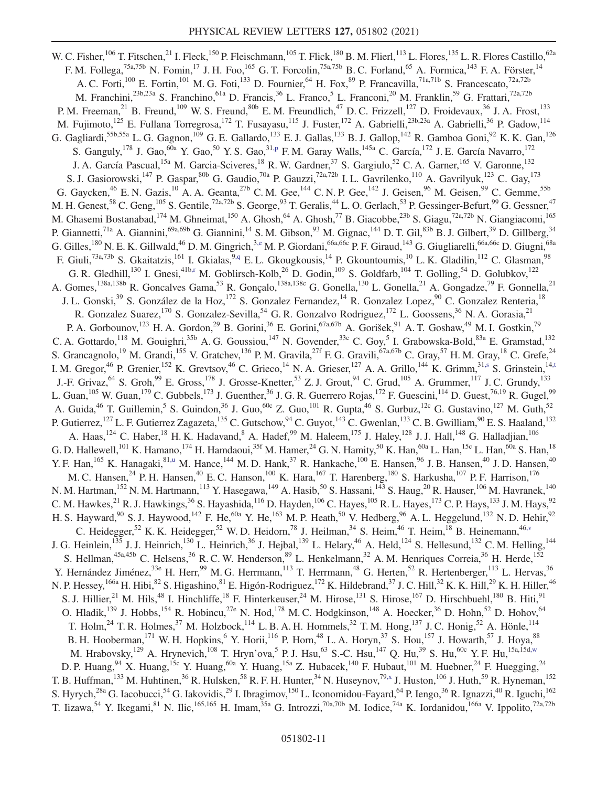<span id="page-11-7"></span><span id="page-11-6"></span><span id="page-11-5"></span><span id="page-11-4"></span><span id="page-11-3"></span><span id="page-11-2"></span><span id="page-11-1"></span><span id="page-11-0"></span>W. C. Fisher,  $^{106}$  T. Fitschen,  $^{21}$  I. Fleck,  $^{150}$  P. Fleischmann,  $^{105}$  T. Flick,  $^{180}$  B. M. Flierl,  $^{113}$  L. Flores,  $^{135}$  L. R. Flores Castillo,  $^{62a}$ F. M. Follega,<sup>75a,75b</sup> N. Fomin,<sup>17</sup> J. H. Foo,<sup>165</sup> G. T. Forcolin,<sup>75a,75b</sup> B. C. Forland,<sup>65</sup> A. Formica,<sup>143</sup> F. A. Förster,<sup>14</sup> A. C. Forti,<sup>100</sup> E. Fortin,<sup>101</sup> M. G. Foti,<sup>133</sup> D. Fournier,<sup>64</sup> H. Fox,<sup>89</sup> P. Francavilla,<sup>71a,71b</sup> S. Francescato,<sup>72a,72b</sup> M. Franchini,<sup>23b,23a</sup> S. Franchino,<sup>61a</sup> D. Francis,<sup>36</sup> L. Franco,<sup>5</sup> L. Franconi,<sup>20</sup> M. Franklin,<sup>59</sup> G. Frattari,<sup>72a,72b</sup> P. M. Freeman,<sup>21</sup> B. Freund,<sup>109</sup> W. S. Freund,<sup>80b</sup> E. M. Freundlich,<sup>47</sup> D. C. Frizzell,<sup>127</sup> D. Froidevaux,<sup>36</sup> J. A. Frost,<sup>133</sup> M. Fujimoto,<sup>125</sup> E. Fullana Torregrosa,<sup>172</sup> T. Fusayasu,<sup>115</sup> J. Fuster,<sup>172</sup> A. Gabrielli,<sup>23b,23a</sup> A. Gabrielli,<sup>36</sup> P. Gadow,<sup>114</sup> G. Gagliardi,<sup>55b,55a</sup> L. G. Gagnon,<sup>109</sup> G. E. Gallardo,<sup>133</sup> E. J. Gallas,<sup>133</sup> B. J. Gallop,<sup>142</sup> R. Gamboa Goni,<sup>92</sup> K. K. Gan,<sup>126</sup> S. Ganguly, <sup>178</sup> J. Gao, <sup>60a</sup> Y. Gao, <sup>50</sup> Y. S. Gao, <sup>31, p</sup> F. M. Garay Walls, <sup>145a</sup> C. García, <sup>172</sup> J. E. García Navarro, <sup>172</sup> J. A. García Pascual,<sup>15a</sup> M. Garcia-Sciveres,<sup>18</sup> R. W. Gardner,<sup>37</sup> S. Gargiulo,<sup>52</sup> C. A. Garner,<sup>165</sup> V. Garonne,<sup>132</sup> S. J. Gasiorowski,<sup>147</sup> P. Gaspar,<sup>80b</sup> G. Gaudio,<sup>70a</sup> P. Gauzzi,<sup>72a,72b</sup> I. L. Gavrilenko,<sup>110</sup> A. Gavrilyuk,<sup>123</sup> C. Gay,<sup>173</sup> G. Gaycken,<sup>46</sup> E. N. Gazis,<sup>10</sup> A. A. Geanta,<sup>27b</sup> C. M. Gee,<sup>144</sup> C. N. P. Gee,<sup>142</sup> J. Geisen,<sup>96</sup> M. Geisen,<sup>99</sup> C. Gemme,<sup>55b</sup> M. H. Genest,  $^{58}$  C. Geng,  $^{105}$  S. Gentile,  $^{72a,72b}$  S. George,  $^{93}$  T. Geralis,  $^{44}$  L. O. Gerlach,  $^{53}$  P. Gessinger-Befurt,  $^{99}$  G. Gessner,  $^{47}$ M. Ghasemi Bostanabad,<sup>174</sup> M. Ghneimat,<sup>150</sup> A. Ghosh,<sup>64</sup> A. Ghosh,<sup>77</sup> B. Giacobbe,<sup>23b</sup> S. Giagu,<sup>72a,72b</sup> N. Giangiacomi,<sup>165</sup> P. Giannetti,<sup>71a</sup> A. Giannini,<sup>69a,69b</sup> G. Giannini,<sup>14</sup> S. M. Gibson,<sup>93</sup> M. Gignac,<sup>144</sup> D. T. Gil,<sup>83b</sup> B. J. Gilbert,<sup>39</sup> D. Gillberg,<sup>34</sup> G. Gilles,<sup>180</sup> N. E. K. Gillwald,<sup>46</sup> D. M. Gingrich,<sup>3[,e](#page-21-2)</sup> M. P. Giordani,<sup>66a,66c</sup> P. F. Giraud,<sup>143</sup> G. Giugliarelli,<sup>66a,66c</sup> D. Giugni,<sup>68a</sup> F. Giuli,<sup>73a,73b</sup> S. Gkaitatzis,<sup>161</sup> I. Gkialas,<sup>[9,q](#page-21-14)</sup> E. L. Gkougkousis,<sup>14</sup> P. Gkountoumis,<sup>10</sup> L. K. Gladilin,<sup>112</sup> C. Glasman,<sup>98</sup> G. R. Gledhill,<sup>130</sup> I. Gnesi,<sup>41b[,r](#page-21-15)</sup> M. Goblirsch-Kolb,<sup>26</sup> D. Godin,<sup>109</sup> S. Goldfarb,<sup>104</sup> T. Golling,<sup>54</sup> D. Golubkov,<sup>122</sup> A. Gomes,<sup>138a,138b</sup> R. Goncalves Gama,<sup>53</sup> R. Gonçalo,<sup>138a,138c</sup> G. Gonella,<sup>130</sup> L. Gonella,<sup>21</sup> A. Gongadze,<sup>79</sup> F. Gonnella,<sup>21</sup> J. L. Gonski,<sup>39</sup> S. González de la Hoz,<sup>172</sup> S. Gonzalez Fernandez,<sup>14</sup> R. Gonzalez Lopez,<sup>90</sup> C. Gonzalez Renteria,<sup>18</sup> R. Gonzalez Suarez,<sup>170</sup> S. Gonzalez-Sevilla,<sup>54</sup> G. R. Gonzalvo Rodriguez,<sup>172</sup> L. Goossens,<sup>36</sup> N. A. Gorasia,<sup>21</sup> P. A. Gorbounov,<sup>123</sup> H. A. Gordon,<sup>29</sup> B. Gorini,<sup>36</sup> E. Gorini,<sup>67a,67b</sup> A. Gorišek,<sup>91</sup> A. T. Goshaw,<sup>49</sup> M. I. Gostkin,<sup>79</sup> C. A. Gottardo,<sup>118</sup> M. Gouighri,<sup>35b</sup> A. G. Goussiou,<sup>147</sup> N. Govender,<sup>33c</sup> C. Goy,<sup>5</sup> I. Grabowska-Bold,<sup>83a</sup> E. Gramstad,<sup>132</sup> S. Grancagnolo,<sup>19</sup> M. Grandi,<sup>155</sup> V. Gratchev,<sup>136</sup> P. M. Gravila,<sup>27f</sup> F. G. Gravili,<sup>67a,67b</sup> C. Gray,<sup>57</sup> H. M. Gray,<sup>18</sup> C. Grefe,<sup>24</sup> I. M. Gregor,<sup>46</sup> P. Grenier,<sup>152</sup> K. Grevtsov,<sup>46</sup> C. Grieco,<sup>14</sup> N. A. Grieser,<sup>127</sup> A. A. Grillo,<sup>144</sup> K. Grimm,<sup>3[1,s](#page-21-16)</sup> S. Grinstein,<sup>1[4,t](#page-21-17)</sup> J.-F. Grivaz,  $^{64}$  S. Groh,<sup>99</sup> E. Gross,<sup>178</sup> J. Grosse-Knetter,<sup>53</sup> Z. J. Grout,<sup>94</sup> C. Grud,<sup>105</sup> A. Grummer,<sup>117</sup> J. C. Grundy,<sup>133</sup> L. Guan,  $^{105}$  W. Guan,  $^{179}$  C. Gubbels,  $^{173}$  J. Guenther,  $^{36}$  J. G. R. Guerrero Rojas,  $^{172}$  F. Guescini,  $^{114}$  D. Guest,  $^{76,19}$  R. Gugel,  $^{99}$ A. Guida, <sup>46</sup> T. Guillemin, <sup>5</sup> S. Guindon, <sup>36</sup> J. Guo, <sup>60c</sup> Z. Guo, <sup>101</sup> R. Gupta, <sup>46</sup> S. Gurbuz, <sup>12c</sup> G. Gustavino, <sup>127</sup> M. Guth, <sup>52</sup> P. Gutierrez,<sup>127</sup> L. F. Gutierrez Zagazeta,<sup>135</sup> C. Gutschow,<sup>94</sup> C. Guyot,<sup>143</sup> C. Gwenlan,<sup>133</sup> C. B. Gwilliam,<sup>90</sup> E. S. Haaland,<sup>132</sup> A. Haas,  $124$  C. Haber,  $18$  H. K. Hadavand,  $8$  A. Hadef,  $99$  M. Haleem,  $175$  J. Haley,  $128$  J. J. Hall,  $148$  G. Halladjian,  $106$ G. D. Hallewell,<sup>101</sup> K. Hamano,<sup>174</sup> H. Hamdaoui,<sup>35f</sup> M. Hamer,<sup>24</sup> G. N. Hamity,<sup>50</sup> K. Han,<sup>60a</sup> L. Han,<sup>15c</sup> L. Han,<sup>60a</sup> S. Han,<sup>18</sup> Y. F. Han,  $^{165}$  K. Hanagaki, $^{81,u}$  $^{81,u}$  $^{81,u}$  M. Hance,  $^{144}$  M. D. Hank,  $^{37}$  R. Hankache,  $^{100}$  E. Hansen,  $^{96}$  J. B. Hansen,  $^{40}$  J. D. Hansen,  $^{40}$ M. C. Hansen,<sup>24</sup> P. H. Hansen,<sup>40</sup> E. C. Hanson,<sup>100</sup> K. Hara,<sup>167</sup> T. Harenberg,<sup>180</sup> S. Harkusha,<sup>107</sup> P. F. Harrison,<sup>176</sup> N. M. Hartman,<sup>152</sup> N. M. Hartmann,<sup>113</sup> Y. Hasegawa,<sup>149</sup> A. Hasib,<sup>50</sup> S. Hassani,<sup>143</sup> S. Haug,<sup>20</sup> R. Hauser,<sup>106</sup> M. Havranek,<sup>140</sup> C. M. Hawkes,<sup>21</sup> R. J. Hawkings,<sup>36</sup> S. Hayashida,<sup>116</sup> D. Hayden,<sup>106</sup> C. Hayes,<sup>105</sup> R. L. Hayes,<sup>173</sup> C. P. Hays,<sup>133</sup> J. M. Hays,<sup>92</sup> H. S. Hayward,  $90^\circ$  S. J. Haywood,  $^{142}$  F. He,  $^{60a}$  Y. He,  $^{163}$  M. P. Heath,  $^{50}$  V. Hedberg,  $96^\circ$  A. L. Heggelund,  $^{132}$  N. D. Hehir,  $^{92}$ C. Heidegger,<sup>52</sup> K. K. Heidegger,<sup>52</sup> W. D. Heidorn,<sup>78</sup> J. Heilman,<sup>34</sup> S. Heim,<sup>46</sup> T. Heim,<sup>18</sup> B. Heinemann,<sup>4[6,v](#page-21-19)</sup> J. G. Heinlein,<sup>135</sup> J. J. Heinrich,<sup>130</sup> L. Heinrich,<sup>36</sup> J. Hejbal,<sup>139</sup> L. Helary,<sup>46</sup> A. Held,<sup>124</sup> S. Hellesund,<sup>132</sup> C.M. Helling,<sup>144</sup> S. Hellman, <sup>45a,45b</sup> C. Helsens, <sup>36</sup> R. C. W. Henderson, <sup>89</sup> L. Henkelmann, <sup>32</sup> A. M. Henriques Correia, <sup>36</sup> H. Herde, <sup>152</sup> Y. Hernández Jiménez,<sup>33e</sup> H. Herr,<sup>99</sup> M. G. Herrmann,<sup>113</sup> T. Herrmann,<sup>48</sup> G. Herten,<sup>52</sup> R. Hertenberger,<sup>113</sup> L. Hervas,<sup>36</sup> N. P. Hessey,<sup>166a</sup> H. Hibi,<sup>82</sup> S. Higashino,<sup>81</sup> E. Higón-Rodriguez,<sup>172</sup> K. Hildebrand,<sup>37</sup> J. C. Hill,<sup>32</sup> K. K. Hill,<sup>29</sup> K. H. Hiller,<sup>46</sup> S. J. Hillier,  $^{21}$  M. Hils,  $^{48}$  I. Hinchliffe,  $^{18}$  F. Hinterkeuser,  $^{24}$  M. Hirose,  $^{131}$  S. Hirose,  $^{167}$  D. Hirschbuehl,  $^{180}$  B. Hiti,  $^{91}$ O. Hladik,<sup>139</sup> J. Hobbs,<sup>154</sup> R. Hobincu,<sup>27e</sup> N. Hod,<sup>178</sup> M. C. Hodgkinson,<sup>148</sup> A. Hoecker,<sup>36</sup> D. Hohn,<sup>52</sup> D. Hohov,<sup>64</sup> T. Holm,<sup>24</sup> T. R. Holmes,<sup>37</sup> M. Holzbock,<sup>114</sup> L. B. A. H. Hommels,<sup>32</sup> T. M. Hong,<sup>137</sup> J. C. Honig,<sup>52</sup> A. Hönle,<sup>114</sup> B. H. Hooberman,  $^{171}$  W. H. Hopkins,  $^{6}$  Y. Horii,  $^{116}$  P. Horn,  $^{48}$  L. A. Horyn,  $^{37}$  S. Hou,  $^{157}$  J. Howarth,  $^{57}$  J. Hoya,  $^{88}$ M. Hrabovsky,  $^{129}$  A. Hrynevich,  $^{108}$  T. Hryn'ova,  $^5$  P. J. Hsu,  $^{63}$  S.-C. Hsu,  $^{147}$  Q. Hu,  $^{39}$  S. Hu,  $^{60c}$  Y. F. Hu,  $^{15a,15d,w}$  $^{15a,15d,w}$  $^{15a,15d,w}$ D. P. Huang,<sup>94</sup> X. Huang,<sup>15c</sup> Y. Huang,<sup>60a</sup> Y. Huang,<sup>15a</sup> Z. Hubacek,<sup>140</sup> F. Hubaut,<sup>101</sup> M. Huebner,<sup>24</sup> F. Huegging,<sup>24</sup> T. B. Huffman,  $^{133}$  M. Huhtinen,  $^{36}$  R. Hulsken,  $^{58}$  R. F. H. Hunter,  $^{34}$  N. Huseynov,  $^{79,x}$  $^{79,x}$  $^{79,x}$  J. Huston,  $^{106}$  J. Huth,  $^{59}$  R. Hyneman,  $^{152}$ S. Hyrych,<sup>28a</sup> G. Iacobucci,<sup>54</sup> G. Iakovidis,<sup>29</sup> I. Ibragimov,<sup>150</sup> L. Iconomidou-Fayard,<sup>64</sup> P. Iengo,<sup>36</sup> R. Ignazzi,<sup>40</sup> R. Iguchi,<sup>162</sup> T. Iizawa,<sup>54</sup> Y. Ikegami,<sup>81</sup> N. Ilic,<sup>165,165</sup> H. Imam,<sup>35a</sup> G. Introzzi,<sup>70a,70b</sup> M. Iodice,<sup>74a</sup> K. Iordanidou,<sup>166a</sup> V. Ippolito,<sup>72a,72b</sup>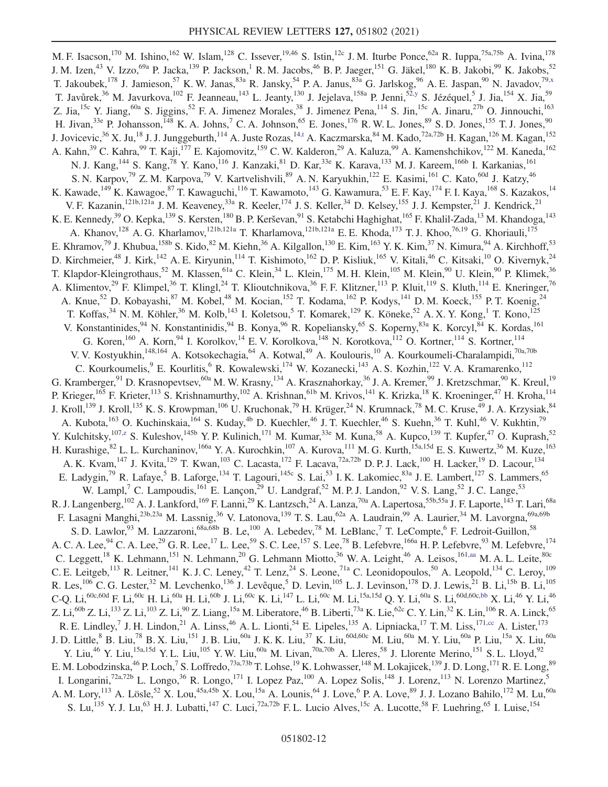<span id="page-12-4"></span><span id="page-12-3"></span><span id="page-12-2"></span><span id="page-12-1"></span><span id="page-12-0"></span>M. F. Isacson,<sup>170</sup> M. Ishino,<sup>162</sup> W. Islam,<sup>128</sup> C. Issever,<sup>19,46</sup> S. Istin,<sup>12c</sup> J. M. Iturbe Ponce,<sup>62a</sup> R. Iuppa,<sup>75a,75b</sup> A. Ivina,<sup>178</sup> J. M. Izen,<sup>43</sup> V. Izzo,<sup>69a</sup> P. Jacka,<sup>139</sup> P. Jackson,<sup>1</sup> R. M. Jacobs,<sup>46</sup> B. P. Jaeger,<sup>151</sup> G. Jäkel,<sup>180</sup> K. B. Jakobi,<sup>99</sup> K. Jakobs,<sup>52</sup> T. Jakoubek,<sup>178</sup> J. Jamieson,<sup>57</sup> K. W. Janas,<sup>83a</sup> R. Jansky,<sup>54</sup> P. A. Janus,<sup>83a</sup> G. Jarlskog,<sup>96</sup> A. E. Jaspan,<sup>90</sup> N. Javadov,<sup>79[,x](#page-21-21)</sup> T. Javůrek,<sup>36</sup> M. Javurkova,<sup>102</sup> F. Jeanneau,<sup>143</sup> L. Jeanty,<sup>130</sup> J. Jejelava,<sup>158a</sup> P. Jenni,<sup>52[,y](#page-21-22)</sup> S. Jézéquel,<sup>5</sup> J. Jia,<sup>154</sup> X. Jia,<sup>59</sup> Z. Jia,<sup>15c</sup> Y. Jiang,<sup>60a</sup> S. Jiggins,<sup>52</sup> F. A. Jimenez Morales,<sup>38</sup> J. Jimenez Pena,<sup>114</sup> S. Jin,<sup>15c</sup> A. Jinaru,<sup>27b</sup> O. Jinnouchi,<sup>163</sup> H. Jivan,<sup>33e</sup> P. Johansson,<sup>148</sup> K. A. Johns,<sup>7</sup> C. A. Johnson,<sup>65</sup> E. Jones,<sup>176</sup> R. W. L. Jones,<sup>89</sup> S. D. Jones,<sup>155</sup> T. J. Jones,<sup>90</sup> J. Jovicevic,<sup>36</sup> X. Ju,<sup>18</sup> J. J. Junggeburth,<sup>114</sup> A. Juste Rozas,<sup>14[,t](#page-21-17)</sup> A. Kaczmarska,<sup>84</sup> M. Kado,<sup>72a,72b</sup> H. Kagan,<sup>126</sup> M. Kagan,<sup>152</sup> A. Kahn,<sup>39</sup> C. Kahra,<sup>99</sup> T. Kaji,<sup>177</sup> E. Kajomovitz,<sup>159</sup> C. W. Kalderon,<sup>29</sup> A. Kaluza,<sup>99</sup> A. Kamenshchikov,<sup>122</sup> M. Kaneda,<sup>162</sup> N. J. Kang, <sup>144</sup> S. Kang, <sup>78</sup> Y. Kano, <sup>116</sup> J. Kanzaki, <sup>81</sup> D. Kar, <sup>33e</sup> K. Karava, <sup>133</sup> M. J. Kareem, <sup>166b</sup> I. Karkanias, <sup>161</sup> S. N. Karpov,<sup>79</sup> Z. M. Karpova,<sup>79</sup> V. Kartvelishvili,<sup>89</sup> A. N. Karyukhin,<sup>122</sup> E. Kasimi,<sup>161</sup> C. Kato,<sup>60d</sup> J. Katzy,<sup>46</sup> K. Kawade,<sup>149</sup> K. Kawagoe,<sup>87</sup> T. Kawaguchi,<sup>116</sup> T. Kawamoto,<sup>143</sup> G. Kawamura,<sup>53</sup> E. F. Kay,<sup>174</sup> F. I. Kaya,<sup>168</sup> S. Kazakos,<sup>14</sup> V. F. Kazanin, <sup>121b,121a</sup> J. M. Keaveney,<sup>33a</sup> R. Keeler, <sup>174</sup> J. S. Keller, <sup>34</sup> D. Kelsey, <sup>155</sup> J. J. Kempster, <sup>21</sup> J. Kendrick, <sup>21</sup> K. E. Kennedy,<sup>39</sup> O. Kepka, <sup>139</sup> S. Kersten, <sup>180</sup> B. P. Kerševan, <sup>91</sup> S. Ketabchi Haghighat, <sup>165</sup> F. Khalil-Zada, <sup>13</sup> M. Khandoga, <sup>143</sup> A. Khanov,<sup>128</sup> A. G. Kharlamov,<sup>121b,121a</sup> T. Kharlamova,<sup>121b,121a</sup> E. E. Khoda,<sup>173</sup> T. J. Khoo,<sup>76,19</sup> G. Khoriauli,<sup>175</sup> E. Khramov,<sup>79</sup> J. Khubua,<sup>158b</sup> S. Kido,<sup>82</sup> M. Kiehn,<sup>36</sup> A. Kilgallon,<sup>130</sup> E. Kim,<sup>163</sup> Y. K. Kim,<sup>37</sup> N. Kimura,<sup>94</sup> A. Kirchhoff,<sup>53</sup> D. Kirchmeier,<sup>48</sup> J. Kirk,<sup>142</sup> A. E. Kiryunin,<sup>114</sup> T. Kishimoto,<sup>162</sup> D. P. Kisliuk,<sup>165</sup> V. Kitali,<sup>46</sup> C. Kitsaki,<sup>10</sup> O. Kivernyk,<sup>24</sup> T. Klapdor-Kleingrothaus,<sup>52</sup> M. Klassen,<sup>61a</sup> C. Klein,<sup>34</sup> L. Klein,<sup>175</sup> M. H. Klein,<sup>105</sup> M. Klein,<sup>90</sup> U. Klein,<sup>90</sup> P. Klimek,<sup>36</sup> A. Klimentov,<sup>29</sup> F. Klimpel,<sup>36</sup> T. Klingl,<sup>24</sup> T. Klioutchnikova,<sup>36</sup> F. F. Klitzner,<sup>113</sup> P. Kluit,<sup>119</sup> S. Kluth,<sup>114</sup> E. Kneringer,<sup>76</sup> A. Knue,<sup>52</sup> D. Kobayashi,<sup>87</sup> M. Kobel,<sup>48</sup> M. Kocian,<sup>152</sup> T. Kodama,<sup>162</sup> P. Kodys,<sup>141</sup> D. M. Koeck,<sup>155</sup> P. T. Koenig,<sup>24</sup> T. Koffas,<sup>34</sup> N. M. Köhler,<sup>36</sup> M. Kolb,<sup>143</sup> I. Koletsou,<sup>5</sup> T. Komarek,<sup>129</sup> K. Köneke,<sup>52</sup> A. X. Y. Kong,<sup>1</sup> T. Kono,<sup>125</sup> V. Konstantinides, <sup>94</sup> N. Konstantinidis, <sup>94</sup> B. Konya, <sup>96</sup> R. Kopeliansky, <sup>65</sup> S. Koperny, <sup>83a</sup> K. Korcyl, <sup>84</sup> K. Kordas, <sup>161</sup> G. Koren,<sup>160</sup> A. Korn,<sup>94</sup> I. Korolkov,<sup>14</sup> E. V. Korolkova,<sup>148</sup> N. Korotkova,<sup>112</sup> O. Kortner,<sup>114</sup> S. Kortner,<sup>114</sup> V. V. Kostyukhin,<sup>148,164</sup> A. Kotsokechagia,<sup>64</sup> A. Kotwal,<sup>49</sup> A. Koulouris,<sup>10</sup> A. Kourkoumeli-Charalampidi,<sup>70a,70b</sup> C. Kourkoumelis, <sup>9</sup> E. Kourlitis, <sup>6</sup> R. Kowalewski,<sup>174</sup> W. Kozanecki,<sup>143</sup> A. S. Kozhin,<sup>122</sup> V. A. Kramarenko,<sup>112</sup> G. Kramberger,<sup>91</sup> D. Krasnopevtsev,<sup>60a</sup> M. W. Krasny,<sup>134</sup> A. Krasznahorkay,<sup>36</sup> J. A. Kremer,<sup>99</sup> J. Kretzschmar,<sup>90</sup> K. Kreul,<sup>19</sup> P. Krieger,<sup>165</sup> F. Krieter,<sup>113</sup> S. Krishnamurthy,<sup>102</sup> A. Krishnan,<sup>61b</sup> M. Krivos,<sup>141</sup> K. Krizka,<sup>18</sup> K. Kroeninger,<sup>47</sup> H. Kroha,<sup>114</sup> J. Kroll,<sup>139</sup> J. Kroll,<sup>135</sup> K. S. Krowpman,<sup>106</sup> U. Kruchonak,<sup>79</sup> H. Krüger,<sup>24</sup> N. Krumnack,<sup>78</sup> M. C. Kruse,<sup>49</sup> J. A. Krzysiak,<sup>84</sup> A. Kubota,<sup>163</sup> O. Kuchinskaia,<sup>164</sup> S. Kuday,<sup>4b</sup> D. Kuechler,<sup>46</sup> J. T. Kuechler,<sup>46</sup> S. Kuehn,<sup>36</sup> T. Kuhl,<sup>46</sup> V. Kukhtin,<sup>79</sup> Y. Kulchitsky,<sup>107[,z](#page-21-23)</sup> S. Kuleshov,<sup>145b</sup> Y. P. Kulinich,<sup>171</sup> M. Kumar,<sup>33e</sup> M. Kuna,<sup>58</sup> A. Kupco,<sup>139</sup> T. Kupfer,<sup>47</sup> O. Kuprash,<sup>52</sup> H. Kurashige,<sup>82</sup> L. L. Kurchaninov,<sup>166a</sup> Y. A. Kurochkin,<sup>107</sup> A. Kurova,<sup>111</sup> M. G. Kurth,<sup>15a,15d</sup> E. S. Kuwertz,<sup>36</sup> M. Kuze,<sup>163</sup> A. K. Kvam,<sup>147</sup> J. Kvita,<sup>129</sup> T. Kwan,<sup>103</sup> C. Lacasta,<sup>172</sup> F. Lacava,<sup>72a,72b</sup> D. P. J. Lack,<sup>100</sup> H. Lacker,<sup>19</sup> D. Lacour,<sup>134</sup> E. Ladygin,<sup>79</sup> R. Lafaye,<sup>5</sup> B. Laforge,<sup>134</sup> T. Lagouri,<sup>145c</sup> S. Lai,<sup>53</sup> I. K. Lakomiec,<sup>83a</sup> J. E. Lambert,<sup>127</sup> S. Lammers,<sup>65</sup> W. Lampl,<sup>7</sup> C. Lampoudis, <sup>161</sup> E. Lançon,<sup>29</sup> U. Landgraf,<sup>52</sup> M. P. J. Landon,<sup>92</sup> V. S. Lang,<sup>52</sup> J. C. Lange,<sup>53</sup> R. J. Langenberg,<sup>102</sup> A. J. Lankford,<sup>169</sup> F. Lanni,<sup>29</sup> K. Lantzsch,<sup>24</sup> A. Lanza,<sup>70a</sup> A. Lapertosa,<sup>55b,55a</sup> J. F. Laporte,<sup>143</sup> T. Lari,<sup>68a</sup> F. Lasagni Manghi,<sup>23b,23a</sup> M. Lassnig,<sup>36</sup> V. Latonova,<sup>139</sup> T. S. Lau,<sup>62a</sup> A. Laudrain,<sup>99</sup> A. Laurier,<sup>34</sup> M. Lavorgna,<sup>69a,69b</sup> S. D. Lawlor,<sup>93</sup> M. Lazzaroni,<sup>68a,68b</sup> B. Le,<sup>100</sup> A. Lebedev,<sup>78</sup> M. LeBlanc,<sup>7</sup> T. LeCompte,<sup>6</sup> F. Ledroit-Guillon,<sup>58</sup> A. C. A. Lee, $^{94}$  C. A. Lee, $^{29}$  G. R. Lee, $^{17}$  L. Lee, $^{59}$  S. C. Lee, $^{157}$  S. Lee, $^{78}$  B. Lefebvre, $^{166a}$  H. P. Lefebvre, $^{93}$  M. Lefebvre, $^{174}$ C. Leggett,<sup>18</sup> K. Lehmann,<sup>151</sup> N. Lehmann,<sup>20</sup> G. Lehmann Miotto,<sup>36</sup> W. A. Leight,<sup>46</sup> A. Leisos,<sup>16[1,aa](#page-21-24)</sup> M. A. L. Leite,<sup>80c</sup> C. E. Leitgeb,<sup>113</sup> R. Leitner,<sup>141</sup> K. J. C. Leney,<sup>42</sup> T. Lenz,<sup>24</sup> S. Leone,<sup>71a</sup> C. Leonidopoulos,<sup>50</sup> A. Leopold,<sup>134</sup> C. Leroy,<sup>109</sup> R. Les,<sup>106</sup> C. G. Lester,<sup>32</sup> M. Levchenko,<sup>136</sup> J. Levêque,<sup>5</sup> D. Levin,<sup>105</sup> L. J. Levinson,<sup>178</sup> D. J. Lewis,<sup>21</sup> B. Li,<sup>15b</sup> B. Li,<sup>105</sup>  $C$ -Q. Li, $^{60c,60d}$  F. Li, $^{60c}$  H. Li, $^{60a}$  H. Li, $^{60b}$  J. Li, $^{60c}$  K. Li, $^{147}$  L. Li, $^{60c}$  M. Li, $^{15a,15d}$  Q. Y. Li, $^{60a}$  S. Li, $^{60d,60c,bb}$  $^{60d,60c,bb}$  $^{60d,60c,bb}$  X. Li, $^{46}$  Y. Li, $^{46}$ Z. Li, $^{60b}$  Z. Li, $^{133}$  Z. Li, $^{103}$  Z. Li, $^{90}$  Z. Liang, $^{15a}$  M. Liberatore, $^{46}$  B. Liberti, $^{73a}$  K. Lie, $^{62c}$  C. Y. Lin, $^{32}$  K. Lin, $^{106}$  R. A. Linck, $^{65}$ R. E. Lindley, <sup>7</sup> J. H. Lindon, <sup>21</sup> A. Linss, <sup>46</sup> A. L. Lionti, <sup>54</sup> E. Lipeles, <sup>135</sup> A. Lipniacka, <sup>17</sup> T. M. Liss, <sup>171[,cc](#page-21-26)</sup> A. Lister, <sup>173</sup> J. D. Little,<sup>8</sup> B. Liu,<sup>78</sup> B. X. Liu,<sup>151</sup> J. B. Liu,<sup>60a</sup> J. K. K. Liu,<sup>37</sup> K. Liu,<sup>60d,60c</sup> M. Liu,<sup>60a</sup> M. Y. Liu,<sup>60a</sup> P. Liu,<sup>15a</sup> X. Liu,<sup>60a</sup> Y. Liu,<sup>46</sup> Y. Liu,<sup>15a,15d</sup> Y. L. Liu,<sup>105</sup> Y. W. Liu,<sup>60a</sup> M. Livan,<sup>70a,70b</sup> A. Lleres,<sup>58</sup> J. Llorente Merino,<sup>151</sup> S. L. Lloyd,<sup>92</sup> E. M. Lobodzinska, $^{46}$  P. Loch, $^7$  S. Loffredo, $^{73a,73b}$  T. Lohse, $^{19}$  K. Lohwasser, $^{148}$  M. Lokajicek, $^{139}$  J. D. Long, $^{171}$  R. E. Long, $^{89}$ I. Longarini,<sup>72a,72b</sup> L. Longo,<sup>36</sup> R. Longo,<sup>171</sup> I. Lopez Paz,<sup>100</sup> A. Lopez Solis,<sup>148</sup> J. Lorenz,<sup>113</sup> N. Lorenzo Martinez,<sup>5</sup> A. M. Lory, <sup>113</sup> A. Lösle, <sup>52</sup> X. Lou, <sup>45a, 45b</sup> X. Lou, <sup>15a</sup> A. Lounis, <sup>64</sup> J. Love, <sup>6</sup> P. A. Love, <sup>89</sup> J. J. Lozano Bahilo, <sup>172</sup> M. Lu, <sup>60a</sup> S. Lu,<sup>135</sup> Y. J. Lu,<sup>63</sup> H. J. Lubatti,<sup>147</sup> C. Luci,<sup>72a,72b</sup> F. L. Lucio Alves,<sup>15c</sup> A. Lucotte,<sup>58</sup> F. Luehring,<sup>65</sup> I. Luise,<sup>154</sup>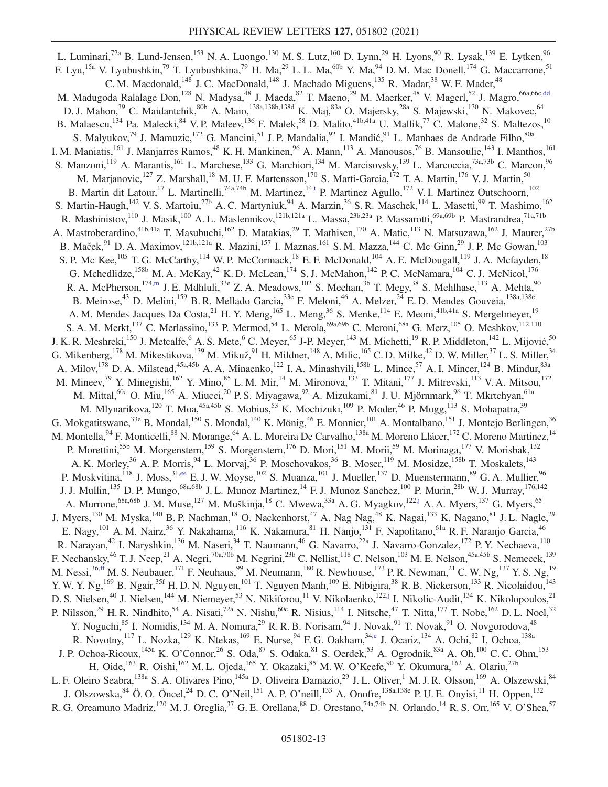<span id="page-13-2"></span><span id="page-13-1"></span><span id="page-13-0"></span>L. Luminari,<sup>72a</sup> B. Lund-Jensen,<sup>153</sup> N. A. Luongo,<sup>130</sup> M. S. Lutz,<sup>160</sup> D. Lynn,<sup>29</sup> H. Lyons,<sup>90</sup> R. Lysak,<sup>139</sup> E. Lytken,<sup>96</sup> F. Lyu,<sup>15a</sup> V. Lyubushkin,<sup>79</sup> T. Lyubushkina,<sup>79</sup> H. Ma,<sup>29</sup> L. L. Ma,<sup>60b</sup> Y. Ma,<sup>94</sup> D. M. Mac Donell,<sup>174</sup> G. Maccarrone,<sup>51</sup> C. M. Macdonald, $^{148}$  J. C. MacDonald, $^{148}$  J. Machado Miguens, $^{135}$  R. Madar, $^{38}$  W. F. Mader, $^{48}$ M. Madugoda Ralalage Don,<sup>128</sup> N. Madysa,<sup>48</sup> J. Maeda,<sup>82</sup> T. Maeno,<sup>29</sup> M. Maerker,<sup>48</sup> V. Magerl,<sup>52</sup> J. Magro,<sup>66a,66[c,dd](#page-21-27)</sup> D. J. Mahon,<sup>39</sup> C. Maidantchik,<sup>80b</sup> A. Maio,<sup>138a,138b,138d</sup> K. Maj,<sup>83a</sup> O. Majersky,<sup>28a</sup> S. Majewski,<sup>130</sup> N. Makovec,<sup>64</sup> B. Malaescu,<sup>134</sup> Pa. Malecki, <sup>84</sup> V. P. Maleev, <sup>136</sup> F. Malek, <sup>58</sup> D. Malito, <sup>41b, 41a</sup> U. Mallik, <sup>77</sup> C. Malone, <sup>32</sup> S. Maltezos, <sup>10</sup> S. Malyukov,<sup>79</sup> J. Mamuzic,<sup>172</sup> G. Mancini,<sup>51</sup> J. P. Mandalia,<sup>92</sup> I. Mandić,<sup>91</sup> L. Manhaes de Andrade Filho,<sup>80a</sup> I. M. Maniatis,<sup>161</sup> J. Manjarres Ramos,<sup>48</sup> K. H. Mankinen,<sup>96</sup> A. Mann,<sup>113</sup> A. Manousos,<sup>76</sup> B. Mansoulie,<sup>143</sup> I. Manthos,<sup>161</sup> S. Manzoni,<sup>119</sup> A. Marantis,<sup>161</sup> L. Marchese,<sup>133</sup> G. Marchiori,<sup>134</sup> M. Marcisovsky,<sup>139</sup> L. Marcoccia,<sup>73a,73b</sup> C. Marcon,<sup>96</sup> M. Marjanovic,<sup>127</sup> Z. Marshall,<sup>18</sup> M. U. F. Martensson,<sup>170</sup> S. Marti-Garcia,<sup>172</sup> T. A. Martin,<sup>176</sup> V. J. Martin,<sup>50</sup> B. Martin dit Latour,<sup>17</sup> L. Martinelli,<sup>74a,74b</sup> M. Martinez,<sup>14[,t](#page-21-17)</sup> P. Martinez Agullo,<sup>172</sup> V. I. Martinez Outschoorn,<sup>102</sup> S. Martin-Haugh,<sup>142</sup> V. S. Martoiu,<sup>27b</sup> A. C. Martyniuk,<sup>94</sup> A. Marzin,<sup>36</sup> S. R. Maschek,<sup>114</sup> L. Masetti,<sup>99</sup> T. Mashimo,<sup>162</sup> R. Mashinistov,<sup>110</sup> J. Masik,<sup>100</sup> A. L. Maslennikov,<sup>121b,121a</sup> L. Massa,<sup>23b,23a</sup> P. Massarotti,<sup>69a,69b</sup> P. Mastrandrea,<sup>71a,71b</sup> A. Mastroberardino, <sup>41b,41a</sup> T. Masubuchi, <sup>162</sup> D. Matakias, <sup>29</sup> T. Mathisen, <sup>170</sup> A. Matic, <sup>113</sup> N. Matsuzawa, <sup>162</sup> J. Maurer, <sup>27b</sup> B. Maček,<sup>91</sup> D. A. Maximov,<sup>121b,121a</sup> R. Mazini,<sup>157</sup> I. Maznas,<sup>161</sup> S. M. Mazza,<sup>144</sup> C. Mc Ginn,<sup>29</sup> J. P. Mc Gowan,<sup>103</sup> S. P. Mc Kee,<sup>105</sup> T. G. McCarthy,<sup>114</sup> W. P. McCormack,<sup>18</sup> E. F. McDonald,<sup>104</sup> A. E. McDougall,<sup>119</sup> J. A. Mcfayden,<sup>18</sup> G. Mchedlidze,<sup>158b</sup> M. A. McKay,<sup>42</sup> K. D. McLean,<sup>174</sup> S. J. McMahon,<sup>142</sup> P. C. McNamara,<sup>104</sup> C. J. McNicol,<sup>176</sup> R. A. McPherson,<sup>17[4,m](#page-21-10)</sup> J. E. Mdhluli,<sup>33e</sup> Z. A. Meadows,<sup>102</sup> S. Meehan,<sup>36</sup> T. Megy,<sup>38</sup> S. Mehlhase,<sup>113</sup> A. Mehta,<sup>90</sup> B. Meirose,<sup>43</sup> D. Melini,<sup>159</sup> B. R. Mellado Garcia,<sup>33e</sup> F. Meloni,<sup>46</sup> A. Melzer,<sup>24</sup> E. D. Mendes Gouveia,<sup>138a,138e</sup> A. M. Mendes Jacques Da Costa, <sup>21</sup> H. Y. Meng, <sup>165</sup> L. Meng, <sup>36</sup> S. Menke, <sup>114</sup> E. Meoni, <sup>41b, 41a</sup> S. Mergelmeyer, <sup>19</sup> S. A. M. Merkt,<sup>137</sup> C. Merlassino,<sup>133</sup> P. Mermod,<sup>54</sup> L. Merola,<sup>69a,69b</sup> C. Meroni,<sup>68a</sup> G. Merz,<sup>105</sup> O. Meshkov,<sup>112,110</sup> J. K. R. Meshreki,<sup>150</sup> J. Metcalfe, <sup>6</sup> A. S. Mete, <sup>6</sup> C. Meyer, <sup>65</sup> J-P. Meyer, <sup>143</sup> M. Michetti, <sup>19</sup> R. P. Middleton, <sup>142</sup> L. Mijović, <sup>50</sup> G. Mikenberg, <sup>178</sup> M. Mikestikova, <sup>139</sup> M. Mikuž, <sup>91</sup> H. Mildner, <sup>148</sup> A. Milic, <sup>165</sup> C. D. Milke, <sup>42</sup> D. W. Miller, <sup>37</sup> L. S. Miller, <sup>34</sup> A. Milov,<sup>178</sup> D. A. Milstead,<sup>45a,45b</sup> A. A. Minaenko,<sup>122</sup> I. A. Minashvili,<sup>158b</sup> L. Mince,<sup>57</sup> A. I. Mincer,<sup>124</sup> B. Mindur,<sup>83a</sup> M. Mineev,<sup>79</sup> Y. Minegishi,<sup>162</sup> Y. Mino,<sup>85</sup> L. M. Mir,<sup>14</sup> M. Mironova,<sup>133</sup> T. Mitani,<sup>177</sup> J. Mitrevski,<sup>113</sup> V. A. Mitsou,<sup>172</sup> M. Mittal,<sup>60c</sup> O. Miu,<sup>165</sup> A. Miucci,<sup>20</sup> P. S. Miyagawa,<sup>92</sup> A. Mizukami,<sup>81</sup> J. U. Mjörnmark,<sup>96</sup> T. Mkrtchyan,<sup>61a</sup> M. Mlynarikova,<sup>120</sup> T. Moa,<sup>45a,45b</sup> S. Mobius,<sup>53</sup> K. Mochizuki,<sup>109</sup> P. Moder,<sup>46</sup> P. Mogg,<sup>113</sup> S. Mohapatra,<sup>39</sup> G. Mokgatitswane,<sup>33e</sup> B. Mondal,<sup>150</sup> S. Mondal,<sup>140</sup> K. Mönig,<sup>46</sup> E. Monnier,<sup>101</sup> A. Montalbano,<sup>151</sup> J. Montejo Berlingen,<sup>36</sup> M. Montella, <sup>94</sup> F. Monticelli, <sup>88</sup> N. Morange, <sup>64</sup> A. L. Moreira De Carvalho, <sup>138a</sup> M. Moreno Llácer, <sup>172</sup> C. Moreno Martinez, <sup>14</sup> P. Morettini,<sup>55b</sup> M. Morgenstern,<sup>159</sup> S. Morgenstern,<sup>176</sup> D. Mori,<sup>151</sup> M. Morii,<sup>59</sup> M. Morinaga,<sup>177</sup> V. Morisbak,<sup>132</sup> A. K. Morley,<sup>36</sup> A. P. Morris,<sup>94</sup> L. Morvaj,<sup>36</sup> P. Moschovakos,<sup>36</sup> B. Moser,<sup>119</sup> M. Mosidze,<sup>158b</sup> T. Moskalets,<sup>143</sup> P. Moskvitina, <sup>118</sup> J. Moss, <sup>31[,ee](#page-21-28)</sup> E. J. W. Moyse, <sup>102</sup> S. Muanza, <sup>101</sup> J. Mueller, <sup>137</sup> D. Muenstermann, <sup>89</sup> G. A. Mullier, <sup>96</sup> J. J. Mullin,<sup>135</sup> D. P. Mungo,<sup>68a,68b</sup> J. L. Munoz Martinez,<sup>14</sup> F. J. Munoz Sanchez,<sup>100</sup> P. Murin,<sup>28b</sup> W. J. Murray,<sup>176,142</sup> A. Murrone,<sup>68a,68b</sup> J. M. Muse,<sup>127</sup> M. Muškinja,<sup>18</sup> C. Mwewa,<sup>33a</sup> A. G. Myagkov,<sup>12[2,j](#page-21-7)</sup> A. A. Myers,<sup>137</sup> G. Myers,<sup>65</sup> J. Myers,<sup>130</sup> M. Myska,<sup>140</sup> B. P. Nachman,<sup>18</sup> O. Nackenhorst,<sup>47</sup> A. Nag Nag,<sup>48</sup> K. Nagai,<sup>133</sup> K. Nagano,<sup>81</sup> J. L. Nagle,<sup>29</sup> E. Nagy,<sup>101</sup> A. M. Nairz,<sup>36</sup> Y. Nakahama,<sup>116</sup> K. Nakamura,<sup>81</sup> H. Nanjo,<sup>131</sup> F. Napolitano,<sup>61a</sup> R. F. Naranjo Garcia,<sup>46</sup> R. Narayan,<sup>42</sup> I. Naryshkin,<sup>136</sup> M. Naseri,<sup>34</sup> T. Naumann,<sup>46</sup> G. Navarro,<sup>22a</sup> J. Navarro-Gonzalez,<sup>172</sup> P. Y. Nechaeva,<sup>110</sup> F. Nechansky,<sup>46</sup> T. J. Neep,<sup>21</sup> A. Negri,<sup>70a,70b</sup> M. Negrini,<sup>23b</sup> C. Nellist,<sup>118</sup> C. Nelson,<sup>103</sup> M. E. Nelson,<sup>45a,45b</sup> S. Nemecek,<sup>139</sup> M. Nessi,<sup>3[6,ff](#page-21-29)</sup> M. S. Neubauer,<sup>171</sup> F. Neuhaus,<sup>99</sup> M. Neumann,<sup>180</sup> R. Newhouse,<sup>173</sup> P. R. Newman,<sup>21</sup> C. W. Ng,<sup>137</sup> Y. S. Ng,<sup>19</sup> Y. W. Y. Ng, <sup>169</sup> B. Ngair,<sup>35f</sup> H. D. N. Nguyen,<sup>101</sup> T. Nguyen Manh,<sup>109</sup> E. Nibigira,<sup>38</sup> R. B. Nickerson,<sup>133</sup> R. Nicolaidou,<sup>143</sup> D. S. Nielsen,<sup>40</sup> J. Nielsen,<sup>144</sup> M. Niemeyer,<sup>53</sup> N. Nikiforou,<sup>11</sup> V. Nikolaenko,<sup>122[,j](#page-21-7)</sup> I. Nikolic-Audit,<sup>134</sup> K. Nikolopoulos,<sup>21</sup> P. Nilsson,<sup>29</sup> H. R. Nindhito,<sup>54</sup> A. Nisati,<sup>72a</sup> N. Nishu,<sup>60c</sup> R. Nisius,<sup>114</sup> I. Nitsche,<sup>47</sup> T. Nitta,<sup>177</sup> T. Nobe,<sup>162</sup> D. L. Noel,<sup>32</sup> Y. Noguchi, <sup>85</sup> I. Nomidis, <sup>134</sup> M. A. Nomura, <sup>29</sup> R. R. B. Norisam, <sup>94</sup> J. Novak, <sup>91</sup> T. Novak, <sup>91</sup> O. Novgorodova, <sup>48</sup> R. Novotny,<sup>117</sup> L. Nozka,<sup>129</sup> K. Ntekas,<sup>169</sup> E. Nurse,<sup>94</sup> F. G. Oakham,<sup>34[,e](#page-21-2)</sup> J. Ocariz,<sup>134</sup> A. Ochi,<sup>82</sup> I. Ochoa,<sup>138a</sup> J. P. Ochoa-Ricoux, <sup>145a</sup> K. O'Connor,<sup>26</sup> S. Oda,<sup>87</sup> S. Odaka,<sup>81</sup> S. Oerdek,<sup>53</sup> A. Ogrodnik,<sup>83a</sup> A. Oh,<sup>100</sup> C. C. Ohm,<sup>153</sup> H. Oide,<sup>163</sup> R. Oishi,<sup>162</sup> M. L. Ojeda,<sup>165</sup> Y. Okazaki,<sup>85</sup> M. W. O'Keefe,<sup>90</sup> Y. Okumura,<sup>162</sup> A. Olariu,<sup>27b</sup> L. F. Oleiro Seabra, <sup>138a</sup> S. A. Olivares Pino, <sup>145a</sup> D. Oliveira Damazio, <sup>29</sup> J. L. Oliver, <sup>1</sup> M. J. R. Olsson, <sup>169</sup> A. Olszewski, <sup>84</sup> J. Olszowska,  $84$  Ö. O. Öncel,  $24$  D. C. O'Neil,  $151$  A. P. O'neill,  $133$  A. Onofre,  $138a,138e$  P. U. E. Onyisi,  $11$  H. Oppen,  $132$ R. G. Oreamuno Madriz,<sup>120</sup> M. J. Oreglia,<sup>37</sup> G. E. Orellana,<sup>88</sup> D. Orestano,<sup>74a,74b</sup> N. Orlando,<sup>14</sup> R. S. Orr,<sup>165</sup> V. O'Shea,<sup>57</sup>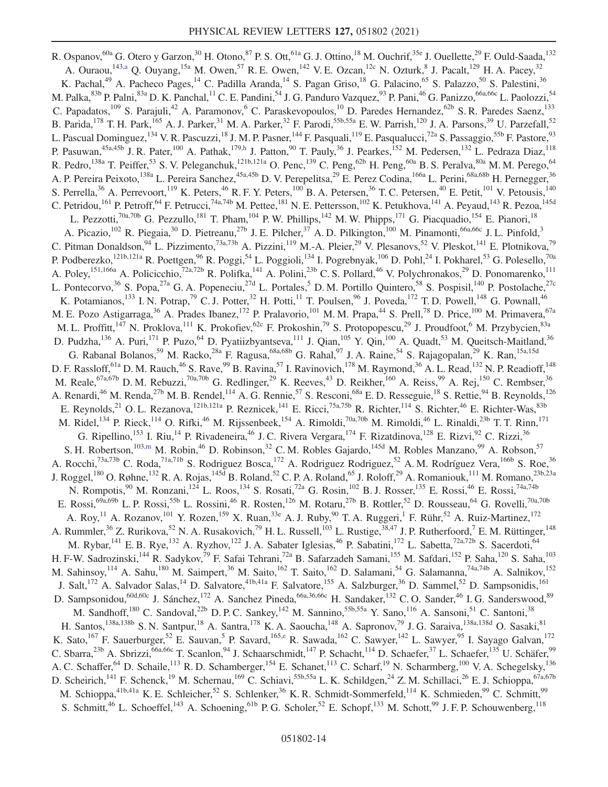R. Ospanov, <sup>60a</sup> G. Otero y Garzon, <sup>30</sup> H. Otono, <sup>87</sup> P. S. Ott, <sup>61a</sup> G. J. Ottino, <sup>18</sup> M. Ouchrif, <sup>35e</sup> J. Ouellette, <sup>29</sup> F. Ould-Saada, <sup>132</sup> A. Ouraou,  $^{143,a}$  $^{143,a}$  $^{143,a}$  Q. Ouyang,  $^{15a}$  M. Owen,  $^{57}$  R. E. Owen,  $^{142}$  V. E. Ozcan,  $^{12c}$  N. Ozturk,  $^{8}$  J. Pacalt,  $^{129}$  H. A. Pacey,  $^{32}$ K. Pachal,<sup>49</sup> A. Pacheco Pages,<sup>14</sup> C. Padilla Aranda,<sup>14</sup> S. Pagan Griso,<sup>18</sup> G. Palacino,<sup>65</sup> S. Palazzo,<sup>50</sup> S. Palestini,<sup>36</sup> M. Palka, 83b P. Palni, 83a D. K. Panchal, <sup>11</sup> C. E. Pandini, <sup>54</sup> J. G. Panduro Vazquez, <sup>93</sup> P. Pani, <sup>46</sup> G. Panizzo, <sup>66a, 66c</sup> L. Paolozzi, <sup>54</sup> C. Papadatos,<sup>109</sup> S. Parajuli,<sup>42</sup> A. Paramonov,<sup>6</sup> C. Paraskevopoulos,<sup>10</sup> D. Paredes Hernandez,<sup>62b</sup> S. R. Paredes Saenz,<sup>133</sup> B. Parida, <sup>178</sup> T. H. Park, <sup>165</sup> A. J. Parker, <sup>31</sup> M. A. Parker, <sup>32</sup> F. Parodi, <sup>55b, 55a</sup> E. W. Parrish, <sup>120</sup> J. A. Parsons, <sup>39</sup> U. Parzefall, <sup>52</sup> L. Pascual Dominguez,<sup>134</sup> V. R. Pascuzzi,<sup>18</sup> J. M. P. Pasner,<sup>144</sup> F. Pasquali,<sup>119</sup> E. Pasqualucci,<sup>72a</sup> S. Passaggio,<sup>55b</sup> F. Pastore,<sup>93</sup> P. Pasuwan,<sup>45a,45b</sup> J. R. Pater,<sup>100</sup> A. Pathak,<sup>17[9,h](#page-21-5)</sup> J. Patton,<sup>90</sup> T. Pauly,<sup>36</sup> J. Pearkes,<sup>152</sup> M. Pedersen,<sup>132</sup> L. Pedraza Diaz,<sup>118</sup> R. Pedro,  $^{138a}$  T. Peiffer,  $^{53}$  S. V. Peleganchuk,  $^{121b,121a}$  O. Penc,  $^{139}$  C. Peng,  $^{62b}$  H. Peng,  $^{60a}$  B. S. Peralva,  $^{80a}$  M. M. Perego,  $^{64}$ A. P. Pereira Peixoto,<sup>138a</sup> L. Pereira Sanchez,<sup>45a,45b</sup> D. V. Perepelitsa,<sup>29</sup> E. Perez Codina,<sup>166a</sup> L. Perini,<sup>68a,68b</sup> H. Pernegger,<sup>36</sup><br>A. P. Pereira Peixoto,<sup>138a</sup> L. Pereira Sanchez,<sup>45a,45b</sup> D. V. Perepelitsa,<sup>29</sup> S. Perrella,<sup>36</sup> A. Perrevoort,<sup>119</sup> K. Peters,<sup>46</sup> R. F. Y. Peters,<sup>100</sup> B. A. Petersen,<sup>36</sup> T. C. Petersen,<sup>40</sup> E. Petit,<sup>101</sup> V. Petousis,<sup>140</sup> C. Petridou,<sup>161</sup> P. Petroff,<sup>64</sup> F. Petrucci,<sup>74a,74b</sup> M. Pettee,<sup>181</sup> N. E. Pettersson,<sup>102</sup> K. Petukhova,<sup>141</sup> A. Peyaud,<sup>143</sup> R. Pezoa,<sup>145d</sup> L. Pezzotti,<sup>70a,70b</sup> G. Pezzullo,<sup>181</sup> T. Pham,<sup>104</sup> P.W. Phillips,<sup>142</sup> M.W. Phipps,<sup>171</sup> G. Piacquadio,<sup>154</sup> E. Pianori,<sup>18</sup> A. Picazio,<sup>102</sup> R. Piegaia,<sup>30</sup> D. Pietreanu,<sup>27b</sup> J. E. Pilcher,<sup>37</sup> A. D. Pilkington,<sup>100</sup> M. Pinamonti,<sup>66a,66c</sup> J. L. Pinfold,<sup>3</sup> C. Pitman Donaldson, <sup>94</sup> L. Pizzimento, <sup>73a, 73b</sup> A. Pizzini, <sup>119</sup> M.-A. Pleier, <sup>29</sup> V. Plesanovs, <sup>52</sup> V. Pleskot, <sup>141</sup> E. Plotnikova, <sup>79</sup> P. Podberezko,<sup>121b,121a</sup> R. Poettgen,<sup>96</sup> R. Poggi,<sup>54</sup> L. Poggioli,<sup>134</sup> I. Pogrebnyak,<sup>106</sup> D. Pohl,<sup>24</sup> I. Pokharel,<sup>53</sup> G. Polesello,<sup>70a</sup> A. Poley, <sup>151,166a</sup> A. Policicchio,<sup>72a,72b</sup> R. Polifka, <sup>141</sup> A. Polini,<sup>23b</sup> C. S. Pollard,<sup>46</sup> V. Polychronakos,<sup>29</sup> D. Ponomarenko,<sup>111</sup> L. Pontecorvo,<sup>36</sup> S. Popa,<sup>27a</sup> G. A. Popeneciu,<sup>27d</sup> L. Portales,<sup>5</sup> D. M. Portillo Quintero,<sup>58</sup> S. Pospisil,<sup>140</sup> P. Postolache,<sup>27c</sup> K. Potamianos,<sup>133</sup> I. N. Potrap,<sup>79</sup> C. J. Potter,<sup>32</sup> H. Potti,<sup>11</sup> T. Poulsen,<sup>96</sup> J. Poveda,<sup>172</sup> T. D. Powell,<sup>148</sup> G. Pownall,<sup>46</sup> M. E. Pozo Astigarraga,<sup>36</sup> A. Prades Ibanez,<sup>172</sup> P. Pralavorio,<sup>101</sup> M. M. Prapa,<sup>44</sup> S. Prell,<sup>78</sup> D. Price,<sup>100</sup> M. Primavera,<sup>67a</sup> M. L. Proffitt,<sup>147</sup> N. Proklova,<sup>111</sup> K. Prokofiev,<sup>62c</sup> F. Prokoshin,<sup>79</sup> S. Protopopescu,<sup>29</sup> J. Proudfoot,<sup>6</sup> M. Przybycien,<sup>83a</sup> D. Pudzha,  $^{136}$  A. Puri,  $^{171}$  P. Puzo,  $^{64}$  D. Pyatiizbyantseva,  $^{111}$  J. Qian,  $^{105}$  Y. Qin,  $^{100}$  A. Quadt,  $^{53}$  M. Queitsch-Maitland,  $^{36}$ G. Rabanal Bolanos,<sup>59</sup> M. Racko,<sup>28a</sup> F. Ragusa,<sup>68a,68b</sup> G. Rahal,<sup>97</sup> J. A. Raine,<sup>54</sup> S. Rajagopalan,<sup>29</sup> K. Ran,<sup>15a,15d</sup> D. F. Rassloff,  $61a$  D. M. Rauch,  $46$  S. Rave,  $99$  B. Ravina,  $57$  I. Ravinovich,  $178$  M. Raymond,  $36$  A. L. Read,  $132$  N. P. Readioff,  $148$ M. Reale, <sup>67a, 67b</sup> D. M. Rebuzzi,<sup>70a, 70b</sup> G. Redlinger,<sup>29</sup> K. Reeves,<sup>43</sup> D. Reikher, <sup>160</sup> A. Reiss, <sup>99</sup> A. Rej, <sup>150</sup> C. Rembser, <sup>36</sup> A. Renardi,<sup>46</sup> M. Renda,<sup>27b</sup> M. B. Rendel,<sup>114</sup> A. G. Rennie,<sup>57</sup> S. Resconi,<sup>68a</sup> E. D. Resseguie,<sup>18</sup> S. Rettie,<sup>94</sup> B. Reynolds,<sup>126</sup> E. Reynolds,<sup>21</sup> O. L. Rezanova,<sup>121b,121a</sup> P. Reznicek,<sup>141</sup> E. Ricci,<sup>75a,75b</sup> R. Richter,<sup>114</sup> S. Richter,<sup>46</sup> E. Richter-Was,<sup>83b</sup> M. Ridel,<sup>134</sup> P. Rieck,<sup>114</sup> O. Rifki,<sup>46</sup> M. Rijssenbeek,<sup>154</sup> A. Rimoldi,<sup>70a,70b</sup> M. Rimoldi,<sup>46</sup> L. Rinaldi,<sup>23b</sup> T. T. Rinn,<sup>171</sup> G. Ripellino,<sup>153</sup> I. Riu,<sup>14</sup> P. Rivadeneira,<sup>46</sup> J. C. Rivera Vergara,<sup>174</sup> F. Rizatdinova,<sup>128</sup> E. Rizvi,<sup>92</sup> C. Rizzi,<sup>36</sup> S. H. Robertson,<sup>10[3,m](#page-21-10)</sup> M. Robin,<sup>46</sup> D. Robinson,<sup>32</sup> C. M. Robles Gajardo,<sup>145d</sup> M. Robles Manzano,<sup>99</sup> A. Robson,<sup>57</sup> A. Rocchi,<sup>73a,73b</sup> C. Roda,<sup>71a,71b</sup> S. Rodriguez Bosca,<sup>172</sup> A. Rodriguez Rodriguez,<sup>52</sup> A. M. Rodríguez Vera,<sup>166b</sup> S. Roe,<sup>36</sup> J. Roggel,<sup>180</sup> O. Røhne,<sup>132</sup> R. A. Rojas,<sup>145d</sup> B. Roland,<sup>52</sup> C. P. A. Roland,<sup>65</sup> J. Roloff,<sup>29</sup> A. Romaniouk,<sup>111</sup> M. Romano,<sup>23b,23a</sup> N. Rompotis,<sup>90</sup> M. Ronzani,<sup>124</sup> L. Roos,<sup>134</sup> S. Rosati,<sup>72a</sup> G. Rosin,<sup>102</sup> B. J. Rosser,<sup>135</sup> E. Rossi,<sup>46</sup> E. Rossi,<sup>74a,74b</sup> E. Rossi,<sup>69a,69b</sup> L. P. Rossi,<sup>55b</sup> L. Rossini,<sup>46</sup> R. Rosten,<sup>126</sup> M. Rotaru,<sup>27b</sup> B. Rottler,<sup>52</sup> D. Rousseau,<sup>64</sup> G. Rovelli,<sup>70a,70b</sup> A. Roy,<sup>11</sup> A. Rozanov,<sup>101</sup> Y. Rozen,<sup>159</sup> X. Ruan,<sup>33e</sup> A. J. Ruby,<sup>90</sup> T. A. Ruggeri,<sup>1</sup> F. Rühr,<sup>52</sup> A. Ruiz-Martinez,<sup>172</sup> A. Rummler,<sup>36</sup> Z. Rurikova,<sup>52</sup> N. A. Rusakovich,<sup>79</sup> H. L. Russell,<sup>103</sup> L. Rustige,<sup>38,47</sup> J. P. Rutherfoord,<sup>7</sup> E. M. Rüttinger,<sup>148</sup> M. Rybar,<sup>141</sup> E. B. Rye,<sup>132</sup> A. Ryzhov,<sup>122</sup> J. A. Sabater Iglesias,<sup>46</sup> P. Sabatini,<sup>172</sup> L. Sabetta,<sup>72a,72b</sup> S. Sacerdoti,<sup>64</sup> H. F-W. Sadrozinski,<sup>144</sup> R. Sadykov,<sup>79</sup> F. Safai Tehrani,<sup>72a</sup> B. Safarzadeh Samani,<sup>155</sup> M. Safdari,<sup>152</sup> P. Saha,<sup>120</sup> S. Saha,<sup>103</sup> M. Sahinsoy,<sup>114</sup> A. Sahu,<sup>180</sup> M. Saimpert,<sup>36</sup> M. Saito,<sup>162</sup> T. Saito,<sup>162</sup> D. Salamani,<sup>54</sup> G. Salamanna,<sup>74a,74b</sup> A. Salnikov,<sup>152</sup> J. Salt,<sup>172</sup> A. Salvador Salas,<sup>14</sup> D. Salvatore,<sup>41b,41a</sup> F. Salvatore,<sup>155</sup> A. Salzburger,<sup>36</sup> D. Sammel,<sup>52</sup> D. Sampsonidis,<sup>161</sup> D. Sampsonidou,<sup>60d,60c</sup> J. Sánchez,<sup>172</sup> A. Sanchez Pineda,<sup>66a,36,66c</sup> H. Sandaker,<sup>132</sup> C.O. Sander,<sup>46</sup> I.G. Sanderswood,<sup>89</sup> M. Sandhoff,<sup>180</sup> C. Sandoval,<sup>22b</sup> D. P. C. Sankey,<sup>142</sup> M. Sannino,<sup>55b,55a</sup> Y. Sano,<sup>116</sup> A. Sansoni,<sup>51</sup> C. Santoni,<sup>38</sup> H. Santos,<sup>138a,138b</sup> S. N. Santpur,<sup>18</sup> A. Santra,<sup>178</sup> K. A. Saoucha,<sup>148</sup> A. Sapronov,<sup>79</sup> J. G. Saraiva,<sup>138a,138d</sup> O. Sasaki,<sup>81</sup> K. Sato,<sup>167</sup> F. Sauerburger,<sup>52</sup> E. Sauvan,<sup>5</sup> P. Savard,<sup>16[5,e](#page-21-2)</sup> R. Sawada,<sup>162</sup> C. Sawyer,<sup>142</sup> L. Sawyer,<sup>95</sup> I. Sayago Galvan,<sup>172</sup> C. Sbarra,<sup>23b</sup> A. Sbrizzi,<sup>66a,66c</sup> T. Scanlon,<sup>94</sup> J. Schaarschmidt,<sup>147</sup> P. Schacht,<sup>114</sup> D. Schaefer,<sup>37</sup> L. Schaefer,<sup>135</sup> U. Schäfer,<sup>99</sup> A. C. Schaffer,<sup>64</sup> D. Schaile,<sup>113</sup> R. D. Schamberger,<sup>154</sup> E. Schanet,<sup>113</sup> C. Scharf,<sup>19</sup> N. Scharmberg,<sup>100</sup> V. A. Schegelsky,<sup>136</sup> D. Scheirich,<sup>141</sup> F. Schenck,<sup>19</sup> M. Schernau,<sup>169</sup> C. Schiavi,<sup>55b,55a</sup> L. K. Schildgen,<sup>24</sup> Z. M. Schillaci,<sup>26</sup> E. J. Schioppa,<sup>67a,67b</sup> M. Schioppa,  $41b,41a$  K. E. Schleicher,  $52$  S. Schlenker,  $36$  K. R. Schmidt-Sommerfeld,  $114$  K. Schmieden,  $99$  C. Schmitt,  $99$  K. Schmitt,  $99$ S. Schmitt,<sup>46</sup> L. Schoeffel,<sup>143</sup> A. Schoening,<sup>61b</sup> P. G. Scholer,<sup>52</sup> E. Schopf,<sup>133</sup> M. Schott,<sup>99</sup> J. F. P. Schouwenberg,<sup>118</sup>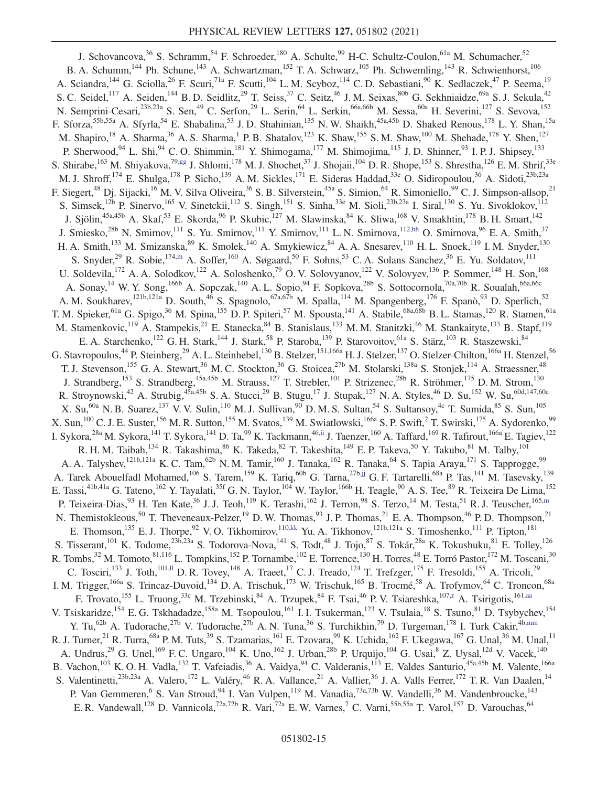<span id="page-15-6"></span><span id="page-15-5"></span><span id="page-15-4"></span><span id="page-15-3"></span><span id="page-15-2"></span><span id="page-15-1"></span><span id="page-15-0"></span>J. Schovancova,<sup>36</sup> S. Schramm,<sup>54</sup> F. Schroeder,<sup>180</sup> A. Schulte,<sup>99</sup> H-C. Schultz-Coulon,<sup>61a</sup> M. Schumacher,<sup>52</sup> B. A. Schumm,<sup>144</sup> Ph. Schune,<sup>143</sup> A. Schwartzman,<sup>152</sup> T. A. Schwarz,<sup>105</sup> Ph. Schwemling,<sup>143</sup> R. Schwienhorst,<sup>106</sup> A. Sciandra,<sup>144</sup> G. Sciolla,<sup>26</sup> F. Scuri,<sup>71a</sup> F. Scutti,<sup>104</sup> L.M. Scyboz,<sup>114</sup> C.D. Sebastiani,<sup>90</sup> K. Sedlaczek,<sup>47</sup> P. Seema,<sup>19</sup> S. C. Seidel,<sup>117</sup> A. Seiden,<sup>144</sup> B. D. Seidlitz,<sup>29</sup> T. Seiss,<sup>37</sup> C. Seitz,<sup>46</sup> J. M. Seixas,<sup>80b</sup> G. Sekhniaidze,<sup>69a</sup> S. J. Sekula,<sup>42</sup> N. Semprini-Cesari,<sup>23b,23a</sup> S. Sen,<sup>49</sup> C. Serfon,<sup>29</sup> L. Serin,<sup>64</sup> L. Serkin,<sup>66a,66b</sup> M. Sessa,<sup>60a</sup> H. Severini,<sup>127</sup> S. Sevova,<sup>152</sup> F. Sforza,<sup>55b,55a</sup> A. Sfyrla,<sup>54</sup> E. Shabalina,<sup>53</sup> J.D. Shahinian,<sup>135</sup> N.W. Shaikh,<sup>45a,45b</sup> D. Shaked Renous,<sup>178</sup> L.Y. Shan,<sup>15a</sup> M. Shapiro,<sup>18</sup> A. Sharma,<sup>36</sup> A. S. Sharma,<sup>1</sup> P. B. Shatalov,<sup>123</sup> K. Shaw,<sup>155</sup> S. M. Shaw,<sup>100</sup> M. Shehade,<sup>178</sup> Y. Shen,<sup>127</sup> P. Sherwood,<sup>94</sup> L. Shi,<sup>94</sup> C. O. Shimmin,<sup>181</sup> Y. Shimogama,<sup>177</sup> M. Shimojima,<sup>115</sup> J. D. Shinner,<sup>93</sup> I. P. J. Shipsey,<sup>133</sup> S. Shirabe,<sup>163</sup> M. Shiyakova,<sup>7[9,gg](#page-21-30)</sup> J. Shlomi,<sup>178</sup> M. J. Shochet,<sup>37</sup> J. Shojaii,<sup>104</sup> D. R. Shope,<sup>153</sup> S. Shrestha,<sup>126</sup> E. M. Shrif,<sup>33e</sup> M. J. Shroff,<sup>174</sup> E. Shulga,<sup>178</sup> P. Sicho,<sup>139</sup> A. M. Sickles,<sup>171</sup> E. Sideras Haddad,<sup>33e</sup> O. Sidiropoulou,<sup>36</sup> A. Sidoti,<sup>23b,23a</sup> F. Siegert,<sup>48</sup> Dj. Sijacki,<sup>16</sup> M. V. Silva Oliveira,<sup>36</sup> S. B. Silverstein,<sup>45a</sup> S. Simion,<sup>64</sup> R. Simoniello,<sup>99</sup> C. J. Simpson-allsop,<sup>21</sup> S. Simsek,<sup>12b</sup> P. Sinervo,<sup>165</sup> V. Sinetckii,<sup>112</sup> S. Singh,<sup>151</sup> S. Sinha,<sup>33e</sup> M. Sioli,<sup>23b,23a</sup> I. Siral,<sup>130</sup> S. Yu. Sivoklokov,<sup>112</sup> J. Sjölin,<sup>45a,45b</sup> A. Skaf,<sup>53</sup> E. Skorda,<sup>96</sup> P. Skubic,<sup>127</sup> M. Slawinska,<sup>84</sup> K. Sliwa,<sup>168</sup> V. Smakhtin,<sup>178</sup> B. H. Smart,<sup>142</sup> J. Smiesko,<sup>28b</sup> N. Smirnov,<sup>111</sup> S. Yu. Smirnov,<sup>111</sup> Y. Smirnov,<sup>111</sup> L. N. Smirnova,<sup>11[2,hh](#page-21-31)</sup> O. Smirnova,<sup>96</sup> E. A. Smith,<sup>37</sup> H. A. Smith,<sup>133</sup> M. Smizanska,<sup>89</sup> K. Smolek,<sup>140</sup> A. Smykiewicz,<sup>84</sup> A. A. Snesarev,<sup>110</sup> H. L. Snoek,<sup>119</sup> I. M. Snyder,<sup>130</sup> S. Snyder,<sup>29</sup> R. Sobie,<sup>174[,m](#page-21-10)</sup> A. Soffer,<sup>160</sup> A. Søgaard,<sup>50</sup> F. Sohns,<sup>53</sup> C. A. Solans Sanchez,<sup>36</sup> E. Yu. Soldatov,<sup>111</sup> U. Soldevila,<sup>172</sup> A. A. Solodkov,<sup>122</sup> A. Soloshenko,<sup>79</sup> O. V. Solovyanov,<sup>122</sup> V. Solovyev,<sup>136</sup> P. Sommer,<sup>148</sup> H. Son,<sup>168</sup> A. Sonay,<sup>14</sup> W. Y. Song,<sup>166b</sup> A. Sopczak,<sup>140</sup> A. L. Sopio,<sup>94</sup> F. Sopkova,<sup>28b</sup> S. Sottocornola,<sup>70a,70b</sup> R. Soualah,<sup>66a,66c</sup> A. M. Soukharev, <sup>121b,121a</sup> D. South, <sup>46</sup> S. Spagnolo, <sup>67a,67b</sup> M. Spalla, <sup>114</sup> M. Spangenberg, <sup>176</sup> F. Spanò, <sup>93</sup> D. Sperlich, <sup>52</sup> T. M. Spieker, <sup>61a</sup> G. Spigo, <sup>36</sup> M. Spina, <sup>155</sup> D. P. Spiteri, <sup>57</sup> M. Spousta, <sup>141</sup> A. Stabile, <sup>68a, 68b</sup> B. L. Stamas, <sup>120</sup> R. Stamen, <sup>61a</sup> M. Stamenkovic,<sup>119</sup> A. Stampekis,<sup>21</sup> E. Stanecka,<sup>84</sup> B. Stanislaus,<sup>133</sup> M. M. Stanitzki,<sup>46</sup> M. Stankaityte,<sup>133</sup> B. Stapf,<sup>119</sup> E. A. Starchenko,<sup>122</sup> G. H. Stark,<sup>144</sup> J. Stark,<sup>58</sup> P. Staroba,<sup>139</sup> P. Starovoitov,<sup>61a</sup> S. Stärz,<sup>103</sup> R. Staszewski,<sup>84</sup> G. Stavropoulos,<sup>44</sup> P. Steinberg,<sup>29</sup> A. L. Steinhebel,<sup>130</sup> B. Stelzer,<sup>151,166a</sup> H. J. Stelzer,<sup>137</sup> O. Stelzer-Chilton,<sup>166a</sup> H. Stenzel,<sup>56</sup> T. J. Stevenson,<sup>155</sup> G. A. Stewart,<sup>36</sup> M. C. Stockton,<sup>36</sup> G. Stoicea,<sup>27b</sup> M. Stolarski,<sup>138a</sup> S. Stonjek,<sup>114</sup> A. Straessner,<sup>48</sup> J. Strandberg,<sup>153</sup> S. Strandberg,<sup>45a,45b</sup> M. Strauss,<sup>127</sup> T. Strebler,<sup>101</sup> P. Strizenec,<sup>28b</sup> R. Ströhmer,<sup>175</sup> D. M. Strom,<sup>130</sup> R. Stroynowski,<sup>42</sup> A. Strubig,<sup>45a,45b</sup> S. A. Stucci,<sup>29</sup> B. Stugu,<sup>17</sup> J. Stupak,<sup>127</sup> N. A. Styles,<sup>46</sup> D. Su,<sup>152</sup> W. Su,<sup>60d,147,60c</sup> X. Su,<sup>60a</sup> N. B. Suarez,<sup>137</sup> V. V. Sulin,<sup>110</sup> M. J. Sullivan,<sup>90</sup> D. M. S. Sultan,<sup>54</sup> S. Sultansoy,<sup>4c</sup> T. Sumida,<sup>85</sup> S. Sun,<sup>105</sup> X. Sun,  $^{100}$  C. J. E. Suster,  $^{156}$  M. R. Sutton,  $^{155}$  M. Svatos,  $^{139}$  M. Swiatlowski,  $^{166a}$  S. P. Swift,  $^2$  T. Swirski,  $^{175}$  A. Sydorenko,  $^{99}$ I. Sykora,<sup>28a</sup> M. Sykora,<sup>141</sup> T. Sykora,<sup>141</sup> D. Ta,<sup>99</sup> K. Tackmann,<sup>46[,ii](#page-21-32)</sup> J. Taenzer,<sup>160</sup> A. Taffard,<sup>169</sup> R. Tafirout,<sup>166a</sup> E. Tagiev,<sup>122</sup> R. H. M. Taibah, <sup>134</sup> R. Takashima, <sup>86</sup> K. Takeda, <sup>82</sup> T. Takeshita, <sup>149</sup> E. P. Takeva, <sup>50</sup> Y. Takubo, <sup>81</sup> M. Talby, <sup>101</sup> A. A. Talyshev,<sup>121b,121a</sup> K. C. Tam,<sup>62b</sup> N. M. Tamir,<sup>160</sup> J. Tanaka,<sup>162</sup> R. Tanaka,<sup>64</sup> S. Tapia Araya,<sup>171</sup> S. Tapprogge,<sup>99</sup> A. Tarek Abouelfadl Mohamed,<sup>106</sup> S. Tarem,<sup>159</sup> K. Tariq,<sup>60b</sup> G. Tarna,<sup>27b[,jj](#page-21-33)</sup> G. F. Tartarelli,<sup>68a</sup> P. Tas,<sup>141</sup> M. Tasevsky,<sup>139</sup> E. Tassi,<sup>41b,41a</sup> G. Tateno,<sup>162</sup> Y. Tayalati,<sup>35f</sup> G. N. Taylor,<sup>104</sup> W. Taylor,<sup>166b</sup> H. Teagle,<sup>90</sup> A. S. Tee,<sup>89</sup> R. Teixeira De Lima,<sup>152</sup> P. Teixeira-Dias,  $93$  H. Ten Kate,  $36$  J. J. Teoh,  $^{119}$  K. Terashi,  $^{162}$  J. Terron,  $98$  S. Terzo,  $^{14}$  M. Testa,  $^{51}$  R. J. Teuscher,  $^{165,m}$  $^{165,m}$  $^{165,m}$ N. Themistokleous,<sup>50</sup> T. Theveneaux-Pelzer,<sup>19</sup> D. W. Thomas,<sup>93</sup> J. P. Thomas,<sup>21</sup> E. A. Thompson,<sup>46</sup> P. D. Thompson,<sup>21</sup> E. Thomson,<sup>135</sup> E. J. Thorpe,<sup>92</sup> V. O. Tikhomirov,<sup>110[,kk](#page-21-34)</sup> Yu. A. Tikhonov,<sup>121b,121a</sup> S. Timoshenko,<sup>111</sup> P. Tipton,<sup>181</sup> S. Tisserant,<sup>101</sup> K. Todome,<sup>23b,23a</sup> S. Todorova-Nova,<sup>141</sup> S. Todt,<sup>48</sup> J. Tojo,<sup>87</sup> S. Tokár,<sup>28a</sup> K. Tokushuku,<sup>81</sup> E. Tolley,<sup>126</sup> R. Tombs,<sup>32</sup> M. Tomoto,<sup>81,116</sup> L. Tompkins,<sup>152</sup> P. Tornambe,<sup>102</sup> E. Torrence,<sup>130</sup> H. Torres,<sup>48</sup> E. Torró Pastor,<sup>172</sup> M. Toscani,<sup>30</sup> C. Tosciri,<sup>133</sup> J. Toth,<sup>10[1,ll](#page-21-35)</sup> D. R. Tovey,<sup>148</sup> A. Traeet,<sup>17</sup> C. J. Treado,<sup>124</sup> T. Trefzger,<sup>175</sup> F. Tresoldi,<sup>155</sup> A. Tricoli,<sup>29</sup> I. M. Trigger,<sup>166a</sup> S. Trincaz-Duvoid,<sup>134</sup> D. A. Trischuk,<sup>173</sup> W. Trischuk,<sup>165</sup> B. Trocmé,<sup>58</sup> A. Trofymov,<sup>64</sup> C. Troncon,<sup>68a</sup> F. Trovato,<sup>155</sup> L. Truong,<sup>33c</sup> M. Trzebinski,<sup>84</sup> A. Trzupek,<sup>84</sup> F. Tsai,<sup>46</sup> P. V. Tsiareshka,<sup>107[,z](#page-21-23)</sup> A. Tsirigotis,<sup>16[1,aa](#page-21-24)</sup> V. Tsiskaridze,<sup>154</sup> E. G. Tskhadadze,<sup>158a</sup> M. Tsopoulou,<sup>161</sup> I. I. Tsukerman,<sup>123</sup> V. Tsulaia,<sup>18</sup> S. Tsuno,<sup>81</sup> D. Tsybychev,<sup>154</sup> Y. Tu,<sup>62b</sup> A. Tudorache,<sup>27b</sup> V. Tudorache,<sup>27b</sup> A. N. Tuna,<sup>36</sup> S. Turchikhin,<sup>79</sup> D. Turgeman,<sup>178</sup> I. Turk Cakir,<sup>4[b,mm](#page-21-36)</sup> R. J. Turner,  $^{21}$  R. Turra,  $^{68a}$  P. M. Tuts,  $^{39}$  S. Tzamarias,  $^{161}$  E. Tzovara,  $^{99}$  K. Uchida,  $^{162}$  F. Ukegawa,  $^{167}$  G. Unal,  $^{36}$  M. Unal,  $^{11}$ A. Undrus,<sup>29</sup> G. Unel,<sup>169</sup> F. C. Ungaro,<sup>104</sup> K. Uno,<sup>162</sup> J. Urban,<sup>28b</sup> P. Urquijo,<sup>104</sup> G. Usai,<sup>8</sup> Z. Uysal,<sup>12d</sup> V. Vacek,<sup>140</sup> B. Vachon, <sup>103</sup> K. O. H. Vadla, <sup>132</sup> T. Vafeiadis, <sup>36</sup> A. Vaidya, <sup>94</sup> C. Valderanis, <sup>113</sup> E. Valdes Santurio, <sup>45a, 45b</sup> M. Valente, <sup>166a</sup> S. Valentinetti,<sup>23b,23a</sup> A. Valero,<sup>172</sup> L. Valéry,<sup>46</sup> R. A. Vallance,<sup>21</sup> A. Vallier,<sup>36</sup> J. A. Valls Ferrer,<sup>172</sup> T. R. Van Daalen,<sup>14</sup> P. Van Gemmeren,<sup>6</sup> S. Van Stroud,<sup>94</sup> I. Van Vulpen,<sup>119</sup> M. Vanadia,<sup>73a,73b</sup> W. Vandelli,<sup>36</sup> M. Vandenbroucke,<sup>143</sup> E. R. Vandewall,<sup>128</sup> D. Vannicola,<sup>72a,72b</sup> R. Vari,<sup>72a</sup> E. W. Varnes,<sup>7</sup> C. Varni,<sup>55b,55a</sup> T. Varol,<sup>157</sup> D. Varouchas,<sup>64</sup>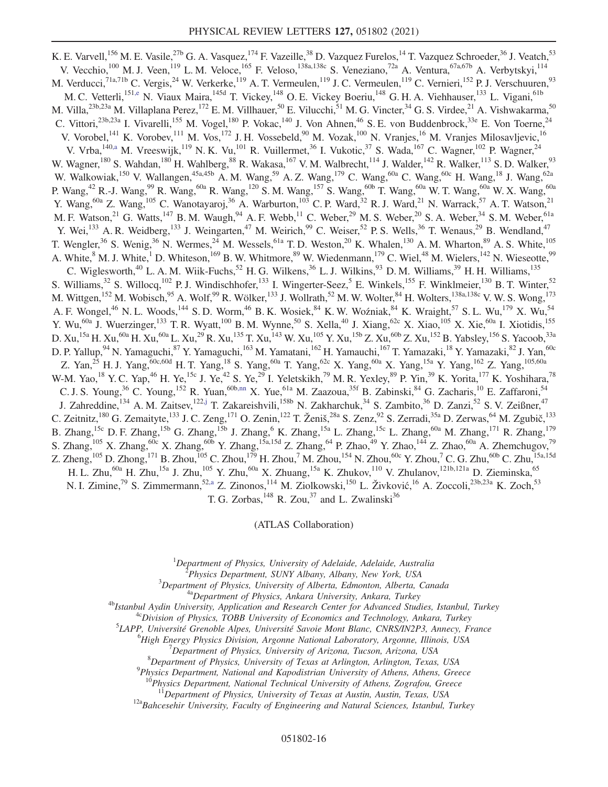K. E. Varvell,<sup>156</sup> M. E. Vasile,<sup>27b</sup> G. A. Vasquez,<sup>174</sup> F. Vazeille,<sup>38</sup> D. Vazquez Furelos,<sup>14</sup> T. Vazquez Schroeder,<sup>36</sup> J. Veatch,<sup>53</sup> V. Vecchio,<sup>100</sup> M. J. Veen,<sup>119</sup> L. M. Veloce,<sup>165</sup> F. Veloso,<sup>138a,138c</sup> S. Veneziano,<sup>72a</sup> A. Ventura,<sup>67a,67b</sup> A. Verbytskyi,<sup>114</sup> M. Verducci,<sup>71a,71b</sup> C. Vergis,<sup>24</sup> W. Verkerke,<sup>119</sup> A. T. Vermeulen,<sup>119</sup> J. C. Vermeulen,<sup>119</sup> C. Vernieri,<sup>152</sup> P. J. Verschuuren,<sup>93</sup> M. C. Vetterli,<sup>15[1,e](#page-21-2)</sup> N. Viaux Maira,<sup>145d</sup> T. Vickey,<sup>148</sup> O. E. Vickey Boeriu,<sup>148</sup> G. H. A. Viehhauser,<sup>133</sup> L. Vigani,<sup>61b</sup> M. Villa,<sup>23b,23a</sup> M. Villaplana Perez,<sup>172</sup> E. M. Villhauer,<sup>50</sup> E. Vilucchi,<sup>51</sup> M. G. Vincter,<sup>34</sup> G. S. Virdee,<sup>21</sup> A. Vishwakarma,<sup>50</sup> C. Vittori,<sup>23b,23a</sup> I. Vivarelli,<sup>155</sup> M. Vogel,<sup>180</sup> P. Vokac,<sup>140</sup> J. Von Ahnen,<sup>46</sup> S. E. von Buddenbrock,<sup>33e</sup> E. Von Toerne,<sup>24</sup> V. Vorobel,<sup>141</sup> K. Vorobev,<sup>111</sup> M. Vos,<sup>172</sup> J. H. Vossebeld,<sup>90</sup> M. Vozak,<sup>100</sup> N. Vranjes,<sup>16</sup> M. Vranjes Milosavljevic,<sup>16</sup> V. Vrba,  $^{140, a}$  M. Vreeswijk,  $^{119}$  N. K. Vu,  $^{101}$  R. Vuillermet,  $^{36}$  I. Vukotic,  $^{37}$  S. Wada,  $^{167}$  C. Wagner,  $^{102}$  P. Wagner,  $^{24}$ W. Wagner,<sup>180</sup> S. Wahdan,<sup>180</sup> H. Wahlberg,<sup>88</sup> R. Wakasa,<sup>167</sup> V. M. Walbrecht,<sup>114</sup> J. Walder,<sup>142</sup> R. Walker,<sup>113</sup> S. D. Walker,<sup>93</sup> W. Walkowiak,<sup>150</sup> V. Wallangen,<sup>45a,45b</sup> A. M. Wang,<sup>59</sup> A. Z. Wang,<sup>179</sup> C. Wang,<sup>60a</sup> C. Wang,<sup>60c</sup> H. Wang,<sup>18</sup> J. Wang,<sup>62a</sup> P. Wang,<sup>42</sup> R.-J. Wang,<sup>99</sup> R. Wang,<sup>60a</sup> R. Wang,<sup>120</sup> S. M. Wang,<sup>157</sup> S. Wang,<sup>60b</sup> T. Wang,<sup>60a</sup> W. T. Wang,<sup>60a</sup> W. X. Wang,<sup>60a</sup> Y. Wang,<sup>60a</sup> Z. Wang,<sup>105</sup> C. Wanotayaroj,<sup>36</sup> A. Warburton,<sup>103</sup> C. P. Ward,<sup>32</sup> R. J. Ward,<sup>21</sup> N. Warrack,<sup>57</sup> A. T. Watson,<sup>21</sup> M. F. Watson,<sup>21</sup> G. Watts,<sup>147</sup> B. M. Waugh,<sup>94</sup> A. F. Webb,<sup>11</sup> C. Weber,<sup>29</sup> M. S. Weber,<sup>20</sup> S. A. Weber,<sup>34</sup> S. M. Weber,<sup>61a</sup> Y. Wei,<sup>133</sup> A. R. Weidberg,<sup>133</sup> J. Weingarten,<sup>47</sup> M. Weirich,<sup>99</sup> C. Weiser,<sup>52</sup> P. S. Wells,<sup>36</sup> T. Wenaus,<sup>29</sup> B. Wendland,<sup>47</sup> T. Wengler,<sup>36</sup> S. Wenig,<sup>36</sup> N. Wermes,<sup>24</sup> M. Wessels,<sup>61a</sup> T. D. Weston,<sup>20</sup> K. Whalen,<sup>130</sup> A. M. Wharton,<sup>89</sup> A. S. White,<sup>105</sup> A. White,<sup>8</sup> M. J. White,<sup>1</sup> D. Whiteson,<sup>169</sup> B. W. Whitmore,<sup>89</sup> W. Wiedenmann,<sup>179</sup> C. Wiel,<sup>48</sup> M. Wielers,<sup>142</sup> N. Wieseotte,<sup>99</sup> C. Wiglesworth,<sup>40</sup> L. A. M. Wiik-Fuchs,<sup>52</sup> H. G. Wilkens,<sup>36</sup> L. J. Wilkins,<sup>93</sup> D. M. Williams,<sup>39</sup> H. H. Williams,<sup>135</sup> S. Williams,  $32$  S. Willocq,  $102$  P. J. Windischhofer,  $133$  I. Wingerter-Seez,  $5$  E. Winkels,  $155$  F. Winklmeier,  $130$  B. T. Winter,  $52$ M. Wittgen,<sup>152</sup> M. Wobisch,<sup>95</sup> A. Wolf,<sup>99</sup> R. Wölker,<sup>133</sup> J. Wollrath,<sup>52</sup> M. W. Wolter,<sup>84</sup> H. Wolters,<sup>138a,138c</sup> V. W. S. Wong,<sup>173</sup> A. F. Wongel,<sup>46</sup> N. L. Woods,<sup>144</sup> S. D. Worm,<sup>46</sup> B. K. Wosiek,<sup>84</sup> K. W. Woźniak,<sup>84</sup> K. Wraight,<sup>57</sup> S. L. Wu,<sup>179</sup> X. Wu,<sup>54</sup> Y. Wu,<sup>60a</sup> J. Wuerzinger,<sup>133</sup> T. R. Wyatt,<sup>100</sup> B. M. Wynne,<sup>50</sup> S. Xella,<sup>40</sup> J. Xiang,<sup>62c</sup> X. Xiao,<sup>105</sup> X. Xie,<sup>60a</sup> I. Xiotidis,<sup>155</sup> D. Xu,<sup>15a</sup> H. Xu,<sup>60a</sup> H. Xu,<sup>60a</sup> L. Xu,<sup>29</sup> R. Xu,<sup>135</sup> T. Xu,<sup>143</sup> W. Xu,<sup>105</sup> Y. Xu,<sup>15b</sup> Z. Xu,<sup>60b</sup> Z. Xu,<sup>152</sup> B. Yabsley,<sup>156</sup> S. Yacoob,<sup>33a</sup> D. P. Yallup, <sup>94</sup> N. Yamaguchi, <sup>87</sup> Y. Yamaguchi, <sup>163</sup> M. Yamatani, <sup>162</sup> H. Yamauchi, <sup>167</sup> T. Yamazaki, <sup>18</sup> Y. Yamazaki, <sup>82</sup> J. Yan, <sup>60c</sup> Z. Yan,<sup>25</sup> H. J. Yang,<sup>60c,60d</sup> H. T. Yang,<sup>18</sup> S. Yang,<sup>60a</sup> T. Yang,<sup>62c</sup> X. Yang,<sup>60a</sup> X. Yang,<sup>15a</sup> Y. Yang,<sup>162</sup> Z. Yang,<sup>105,60a</sup> W-M. Yao,  $^{18}$  Y. C. Yap,  $^{46}$  H. Ye,  $^{15c}$  J. Ye,  $^{42}$  S. Ye,  $^{29}$  I. Yeletskikh,  $^{79}$  M. R. Yexley,  $^{89}$  P. Yin,  $^{39}$  K. Yorita,  $^{177}$  K. Yoshihara,  $^{78}$ C. J. S. Young,<sup>36</sup> C. Young,<sup>152</sup> R. Yuan,<sup>60[b,nn](#page-21-37)</sup> X. Yue,<sup>61a</sup> M. Zaazoua,<sup>35f</sup> B. Zabinski,<sup>84</sup> G. Zacharis,<sup>10</sup> E. Zaffaroni,<sup>54</sup> J. Zahreddine,<sup>134</sup> A. M. Zaitsev,<sup>12[2,j](#page-21-7)</sup> T. Zakareishvili,<sup>158b</sup> N. Zakharchuk,<sup>34</sup> S. Zambito,<sup>36</sup> D. Zanzi,<sup>52</sup> S. V. Zeißner,<sup>47</sup> C. Zeitnitz,<sup>180</sup> G. Zemaityte,<sup>133</sup> J. C. Zeng,<sup>171</sup> O. Zenin,<sup>122</sup> T. Ženiš,<sup>28a</sup> S. Zenz,<sup>92</sup> S. Zerradi,<sup>35a</sup> D. Zerwas,<sup>64</sup> M. Zgubič,<sup>133</sup> B. Zhang, <sup>15c</sup> D. F. Zhang, <sup>15b</sup> G. Zhang, <sup>15b</sup> J. Zhang, <sup>6</sup> K. Zhang, <sup>15a</sup> L. Zhang, <sup>55c</sup> L. Zhang, <sup>60a</sup> M. Zhang, <sup>171</sup> R. Zhang, <sup>179</sup> S. Zhang,<sup>105</sup> X. Zhang,<sup>60c</sup> X. Zhang,<sup>60b</sup> Y. Zhang,<sup>15a,15d</sup> Z. Zhang,<sup>64</sup> P. Zhao,<sup>49</sup> Y. Zhao,<sup>144</sup> Z. Zhao,<sup>60a</sup> A. Zhemchugov,<sup>79</sup> Z. Zheng, $^{105}$  D. Zhong, $^{171}$  B. Zhou, $^{105}$  C. Zhou, $^{179}$  H. Zhou, $^7$  M. Zhou, $^{154}$  N. Zhou, $^{60\rm{c}}$  Y. Zhou, $^7$  C. G. Zhu, $^{60\rm{b}}$  C. Zhu, $^{15\rm{a,15d}}$ H. L. Zhu,<sup>60a</sup> H. Zhu,<sup>15a</sup> J. Zhu,<sup>105</sup> Y. Zhu,<sup>60a</sup> X. Zhuang,<sup>15a</sup> K. Zhukov,<sup>110</sup> V. Zhulanov,<sup>121b,121a</sup> D. Zieminska,<sup>65</sup> N. I. Zimine,<sup>79</sup> S. Zimmermann,<sup>52[,a](#page-20-1)</sup> Z. Zinonos,<sup>114</sup> M. Ziolkowski,<sup>150</sup> L. Živković,<sup>16</sup> A. Zoccoli,<sup>23b,23a</sup> K. Zoch,<sup>53</sup> T. G. Zorbas,  $^{148}$  R. Zou,  $^{37}$  and L. Zwalinski $^{36}$ 

(ATLAS Collaboration)

<span id="page-16-0"></span><sup>1</sup>Department of Physics, University of Adelaide, Adelaide, Australia<br><sup>2</sup> Physics Department, SUNY Albany, Albany, New York, USA

 $P$ hysics Department, SUNY Albany, Albany, New York, USA<br> $3$ Department of Physics, University of Alberta, Edmonton, Alberta, Canada

<sup>4a</sup>Department of Physics, Ankara University, Ankara, Turkey<br><sup>4b</sup>Istanbul Aydin University, Application and Research Center for Advanced Studies, Istanbul, Turkey<sup>4c</sup>Division of Physics, TOBB University of Economics and Te

 ${}^{5}$ LAPP, Université Grenoble Alpes, Université Savoie Mont Blanc, CNRS/IN2P3, Annecy, France

<sup>6</sup>High Energy Physics Division, Argonne National Laboratory, Argonne, Illinois, USA

 $^{7}$ Department of Physics, University of Arizona, Tucson, Arizona, USA

 ${}^{8}$ Department of Physics, University of Texas at Arlington, Arlington, Texas, USA

 $^{9}$ Physics Department, National and Kapodistrian University of Athens, Athens, Greece

Physics Department, National Technical University of Athens, Zografou, Greece<br> $11$ Department of Physics, University of Texas at Austin, Austin, Texas, USA

 $12a$ Bahcesehir University, Faculty of Engineering and Natural Sciences, Istanbul, Turkey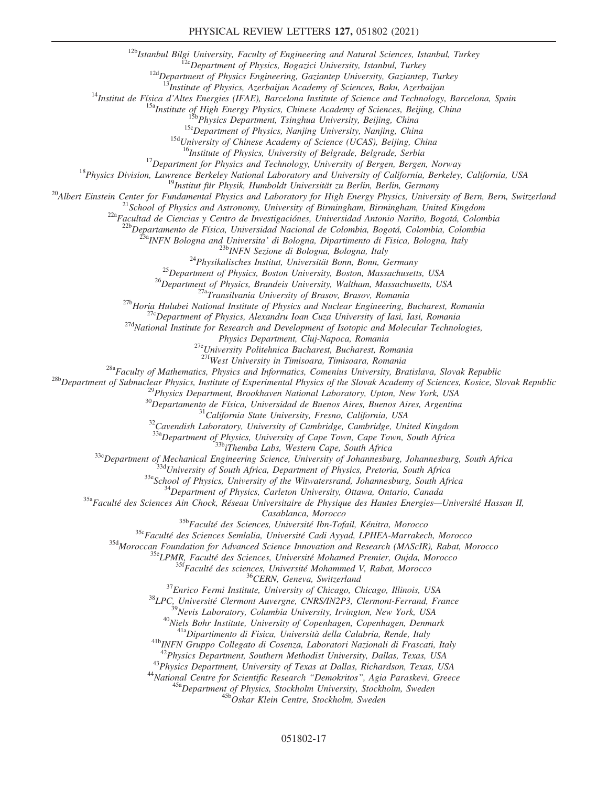<sup>12b</sup>Istanbul Bilgi University, Faculty of Engineering and Natural Sciences, Istanbul, Turkey<br><sup>12c</sup>Department of Physics, Bogazici University, Istanbul, Turkey<br><sup>12d</sup>Department of Physics Engineering, Gaziantep University,

<sup>14</sup>Institut de Física d'Altes Energies (IFAE), Barcelona Institute of Science and Technology, Barcelona, Spain<br><sup>15a</sup>Institute of High Energy Physics, Chinese Academy of Sciences, Beijing, China<br><sup>15b</sup>Physics Department, T

<sup>18</sup>Physics Division, Lawrence Berkeley National Laboratory and University of Bergen, Bergen, Norway<br><sup>18</sup>Physics Division, Lawrence Berkeley National Laboratory and University of California, Berkeley, California, USA<br><sup>19</sup>

<sup>23a</sup>INFN Bologna and Universita' di Bologna, Dipartimento di Fisica, Bologna, Italy<br><sup>23b</sup>INFN Sezione di Bologna, Bologna, Italy<br><sup>24</sup>Physikalisches Institut, Universität Bonn, Bonn, Germany<br><sup>25</sup>Department of Physics, Bos

Physics Department, Cluj-Napoca, Romania<br><sup>27e</sup>University Politehnica Bucharest, Bucharest, Romania<br><sup>27f</sup>West University in Timisoara, Timisoara, Romania

<sup>28b</sup>Department of Subnuclear Physics, Physics and Informatics, Comenius University, Bratislava, Slovak Republic<br><sup>28b</sup>Department of Subnuclear Physics, Institute of Experimental Physics of the Slovak Academy of Sciences,

<sup>33c</sup>Department of Mechanical Engineering Science, University of Johannesburg, Johannesburg, South Africa<br><sup>33d</sup>University of South Africa, Department of Physics, Pretoria, South Africa<br><sup>33e</sup>School of Physics, University o

 $\begin{array}{c} \textit{Casablanca, Morocco}\\ 35\text{b} \textit{Facult\'e des Sciences, Université Ibn-Tofail, Kénitra, Morocco}\\ 35\text{b} \textit{Facult\'e des Sciences, Université Cadi Ayyad, LPHEA-Marrakech, Morocco}\\ 35\text{b} \textit{Moroccan Foundation for Avanca Science Innovation and Research (MAScIR), Rabat, Morocco}\\ 35\text{c} \textit{LPMR, Facult\'e des Sciences, Université Mohamed Premier, Oujda, Morocco}\\ 35\text{c} \textit{Facult\'e des sciences, Université Mohammed V, Rabat, Morocco}\\ 35\text{c} \textit{EERN, Geneva, Switzerland}\\$ 

<sup>43</sup>Physics Department, University of Texas at Dallas, Richardson, Texas, USA<br><sup>44</sup>National Centre for Scientific Research "Demokritos", Agia Paraskevi, Greece<br><sup>45a</sup>Department of Physics, Stockholm University, Stockholm, S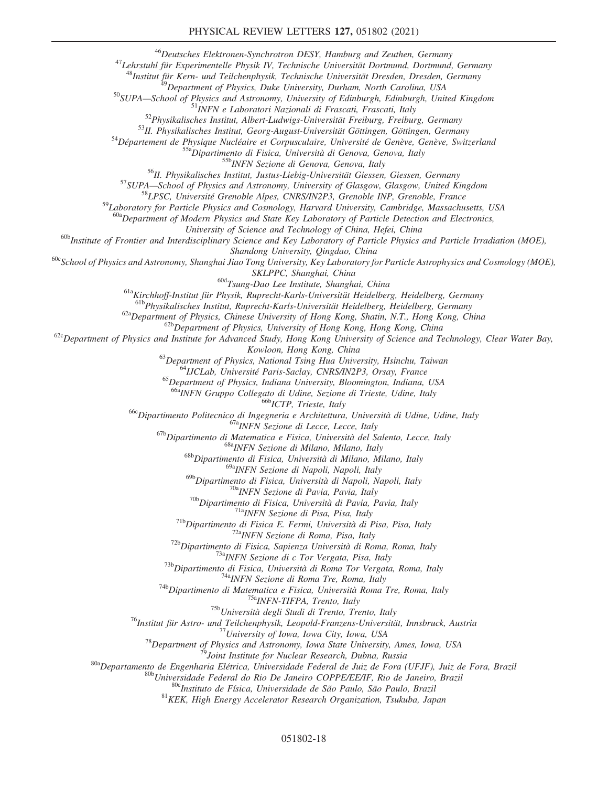<sup>46</sup>Deutsches Elektronen-Synchrotron DESY, Hamburg and Zeuthen, Germany<br><sup>47</sup>Lehrstuhl für Experimentelle Physik IV, Technische Universität Dortmund, Dortmund, Germany<br><sup>48</sup>Institut für Kern- und Teilchenphysik, Technische

<sup>48</sup>Institut für Kern- und Teilchenphysik, Technische Universität Dresden, Dresden, Germany<br><sup>49</sup>Department of Physics, Duke University, Durham, North Carolina, USA<br><sup>50</sup>SUPA—School of Physics and Astronomy, University of E

<sup>59</sup>Laboratory for Particle Physics and Cosmology, Harvard University, Cambridge, Massachusetts, USA

<sup>a</sup>Department of Modern Physics and State Key Laboratory of Particle Detection and Electronics,<br>University of Science and Technology of China, Hefei, China

 $^{60b}$ Institute of Frontier and Interdisciplinary Science and Key Laboratory of Particle Physics and Particle Irradiation (MOE),

Shandong University, Qingdao, China<br><sup>60c</sup>School of Physics and Astronomy, Shanghai Jiao Tong University, Key Laboratory for Particle Astrophysics and Cosmology (MOE),

SKLPPC, Shanghai, China<br><sup>61a</sup>Kirchhoff-Institut für Physik, Ruprecht-Karls-Universität Heidelberg, Heidelberg, Germany<br><sup>61a</sup>Kirchhoff-Institut für Physik, Ruprecht-Karls-Universität Heidelberg, Heidelberg, Germany<br><sup>61b</sup>Phy

<sup>62a</sup>Department of Physics, Chinese University of Hong Kong, Shatin, N.T., Hong Kong, China<br><sup>62b</sup>Department of Physics, University of Hong Kong, Hong Kong, China<br><sup>62c</sup>Department of Physics and Institute for Advanced Study

Kowloon, Hong Kong, China<br><sup>63</sup>Department of Physics, National Tsing Hua University, Hsinchu, Taiwan<br><sup>64</sup>IJCLab, Université Paris-Saclay, CNRS/IN2P3, Orsay, France<br><sup>65</sup>Department of Physics, Indiana University, Bloomington,

<sup>666</sup> ICTP, Trieste, Italy<br>
<sup>666</sup> Dipartimento Politecnico di Ingegneria e Architettura, Università di Udine, Udine, Italy<br>
<sup>678</sup> INFN Sezione di Lecce, Lecce, Italy<br>
<sup>676</sup> Dipartimento di Matematica e Fisica, Università

<sup>69a</sup>INFN Sezione di Napoli, Napoli, Italy<br><sup>69b</sup>Dipartimento di Fisica, Università di Napoli, Napoli, Italy

<sup>706</sup>Dipartimento di Fisica, Università di Pavia, Pavia, Italy<br>
<sup>706</sup>Dipartimento di Fisica, Pisa, Pisa, Italy<br>
<sup>716</sup>Dipartimento di Fisica E. Fermi, Università di Pisa, Pisa, Italy<br>
<sup>718</sup>Dipartimento di Fisica E. Fermi,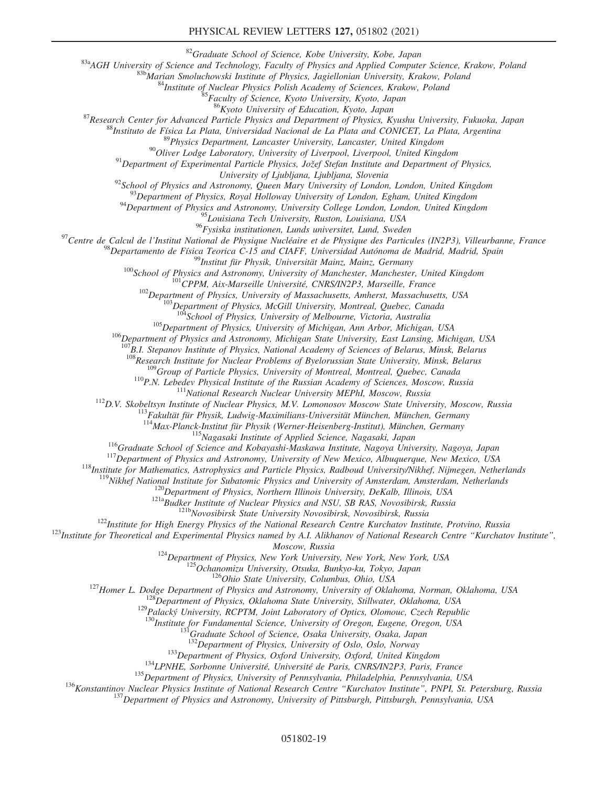#### PHYSICAL REVIEW LETTERS 127, 051802 (2021)

<sup>83</sup>a AGH University of Science and Technology, Faculty of Physics and Applied Computer Science, Krakow, Poland<br><sup>83b</sup> Marian Smoluchowski Institute of Physics, Jagiellonian University, Krakow, Poland<br><sup>84</sup>Institute of Nucl

<sup>87</sup>Research Center for Advanced Particle Physics and Department of Physics, Kyushu University, Fukuoka, Japan<br><sup>88</sup>Instituto de Física La Plata, Universidad Nacional de La Plata and CONICET, La Plata, Argentina<br><sup>89</sup>Physic

University of Ljubljana, Ljubljana, Slovenia<br><sup>92</sup>School of Physics and Astronomy, Queen Mary University of London, London, United Kingdom<br><sup>93</sup>Department of Physics, Royal Holloway University of London, Egham, United Kingdo

 $^{95}$ Louisiana Tech University, Ruston, Louisiana, USA<br> $^{96}$ Fysiska institutionen, Lunds universitet, Lund, Sweden

<sup>97</sup>Centre de Calcul de l'Institut National de Physique Nucléaire et de Physique des Particules (IN2P3), Villeurbanne, France<br><sup>98</sup>Departamento de Física Teorica C-15 and CIAFF, Universidad Autónoma de Madrid, Madrid, Spai

 $^{105}$ Department of Physics, University of Michigan, Ann Arbor, Michigan, USA<br><sup>106</sup>Department of Physics and Astronomy, Michigan State University, East Lansing, Michigan, USA

 $^{107}B.1$ . Stepanov Institute of Physics, National Academy of Sciences of Belarus, Minsk, Belarus<br> $^{108}R$ esearch Institute for Nuclear Problems of Byelorussian State University, Minsk, Belarus

<sup>109</sup>Group of Particle Physics, University of Montreal, Montreal, Quebec, Canada<br><sup>110</sup>P.N. Lebedev Physical Institute of the Russian Academy of Sciences, Moscow, Russia<br><sup>111</sup>National Research Nuclear University MEPhI, Mos

<sup>114</sup>Max-Planck-Institut für Physik (Werner-Heisenberg-Institut), München, Germany<br><sup>115</sup>Nagasaki Institute of Applied Science, Nagasaki, Japan<br><sup>115</sup>Nagasaki Institute of Applied Science, Nagasaki, Japan<br><sup>117</sup>Department of

Moscow, Russia<br><sup>124</sup>Department of Physics, New York University, New York, New York, USA<br><sup>125</sup>Ochanomizu University, Otsuka, Bunkyo-ku, Tokyo, Japan<br><sup>126</sup>Ohio State University, Columbus, Ohio, USA<br><sup>127</sup>Homer L. Dodge Depart

<sup>130</sup>Institute for Fundamental Science, University of Oregon, Eugene, Oregon, USA<br><sup>131</sup>Graduate School of Science, Osaka University, Osaka, Japan<br><sup>132</sup>Department of Physics, University of Oslo, Oslo, Norway

<sup>133</sup>Department of Physics, Oxford University, Oxford, United Kingdom<br><sup>134</sup>LPNHE, Sorbonne Université, Université de Paris, CNRS/IN2P3, Paris, France<br><sup>135</sup>Department of Physics, University of Pennsylvania, Philadelphia, P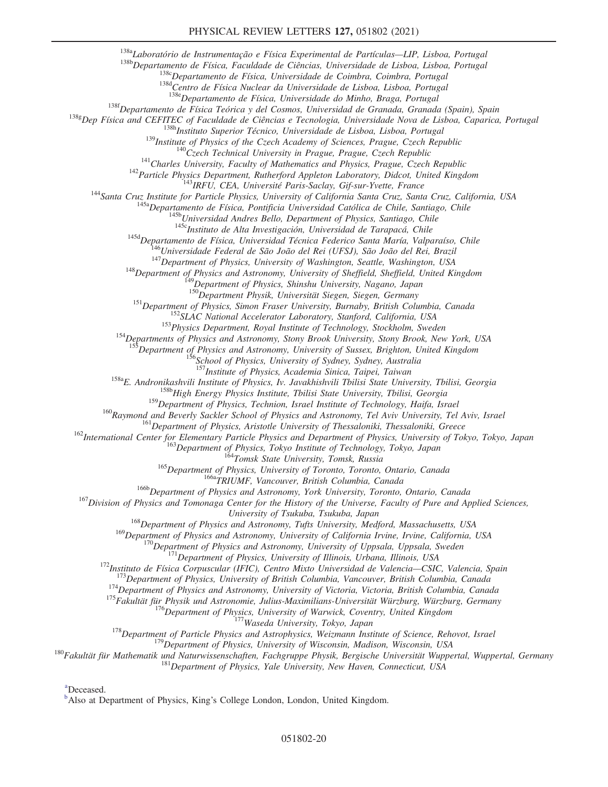<sup>138a</sup>Laboratório de Instrumentação e Física Experimental de Partículas—LIP, Lisboa, Portugal<br><sup>138b</sup>Departamento de Física, Faculdade de Ciências, Universidade de Lisboa, Lisboa, Portugal<br><sup>1386</sup>Departamento de Física, Uni

<sup>138f</sup>Departamento de Física Teórica y del Cosmos, Universidad de Granada, Granada (Spain), Spain<br><sup>138g</sup>Dep Física and CEFITEC of Faculdade de Ciências e Tecnologia, Universidade Nova de Lisboa, Caparica, Portugal

138h Instituto Superior Técnico, Universidade de Lisboa, Lisboa, Portugal<br>
139 Institute of Physics of the Czech Academy of Sciences, Prague, Czech Republic<br>
1<sup>40</sup> Czech Technical University in Prague, Read, Republic<br>
1<sup>44</sup>

<sup>151</sup>Department of Physics, Simon Fraser University, Burnaby, British Columbia, Canada<br><sup>152</sup>SLAC National Accelerator Laboratory, Stanford, California, USA<br><sup>153</sup>Physics Department, Royal Institute of Technology, Stockholm

**Example 156** Department of Physics and Astronomy, University of Sussex, Brighton, United Kingdom<br><sup>156</sup>School of Physics, University of Sydney, Sydney, Australia<br><sup>157</sup>Institute of Physics, Academia Sinica, Taipei, Taiwan

<sup>158a</sup>E. Andronikashvili Institute of Physics, Iv. Javakhishvili Tbilisi State University, Tbilisi, Georgia<br><sup>158b</sup>High Energy Physics Institute, Tbilisi State University, Tbilisi, Georgia<br><sup>159</sup>Department of Physics, Techn

<sup>160</sup>Raymond and Beverly Sackler School of Physics and Astronomy, Tel Aviv University, Tel Aviv, Israel<br><sup>161</sup>Department of Physics, Aristotle University of Thessaloniki, Thessaloniki, Greece<br><sup>162</sup>International Center for

 $^{168}$ Department of Physics and Astronomy, Tufts University, Medford, Massachusetts, USA<br><sup>169</sup>Department of Physics and Astronomy, University of California Irvine, Irvine, California, USA

<sup>169</sup>Department of Physics and Astronomy, University of California Irvine, Irvine, California, USA<br><sup>170</sup>Department of Physics and Astronomy, University of Uppsala, Uppsala, Sweden<br><sup>171</sup>Department of Physics, University of

<span id="page-20-1"></span>[a](#page-9-0) Deceased.

<span id="page-20-0"></span><sup>[b](#page-8-17)</sup>Also at Department of Physics, King's College London, London, United Kingdom.